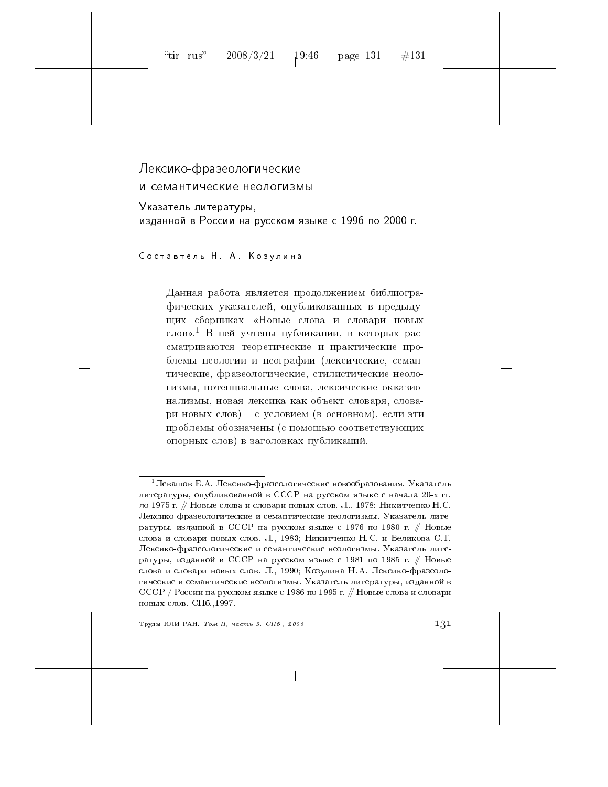# Лексико-фразеологические и семантические неологизмы

Указатель литературы, изданной в России на русском языке с 1996 по 2000 г.

Составтель Н. А. Козулина

Данная работа является продолжением библиографических указателей, опубликованных в предыдущих сборниках «Новые слова и словари новых слов».<sup>1</sup> В ней учтены публикации, в которых рассматриваются теоретические и практические проблемы неологии и неографии (лексические, семантические, фразеологические, стилистические неологизмы, потенциальные слова, лексические окказионализмы, новая лексика как объект словаря, словари новых слов) - с условием (в основном), если эти проблемы обозначены (с помощью соответствующих опорных слов) в заголовках публикаций.

Труды ИЛИ РАН. Том II, часть 3. СПб., 2006.

 $^1$ Левашов Е.А. Лексико-фразеологические новообразования. Указатель литературы, опубликованной в СССР на русском языке с начала 20-х гг. до 1975 г. // Новые слова и словари новых слов. Л., 1978; Никитченко Н.С. Лексико-фразеологические и семантические неологизмы. Указатель литературы, изданной в СССР на русском языке с 1976 по 1980 г. // Новые слова и словари новых слов. Л., 1983; Никитченко Н.С. и Беликова С.Г. Лексико-фразеологические и семантические неологизмы. Указатель литературы, изданной в СССР на русском языке с 1981 по 1985 г. // Новые слова и словари новых слов. Л., 1990; Козулина Н.А. Лексико-фразеологические и семантические неологизмы. Указатель литературы, изданной в СССР / России на русском языке с 1986 по 1995 г. // Новые слова и словари новых слов. СПб., 1997.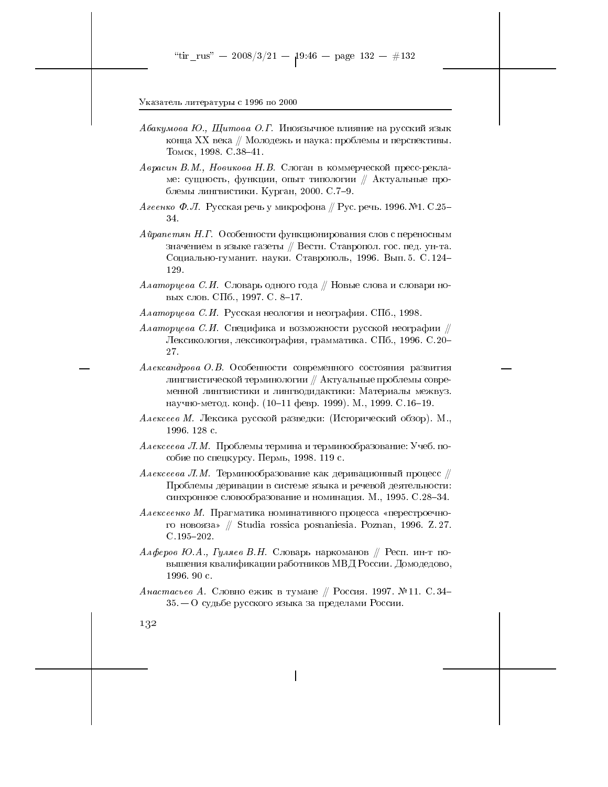- Абакумова Ю., Щитова О.Г. Иноязычное влияние на русский язык конца XX века // Молодежь и наука: проблемы и перспективы. Томск, 1998. С. 38-41.
- Аврасин В.М., Новикова Н.В. Слоган в коммерческой пресс-рекламе: сущность, функции, опыт типологии // Актуальные проблемы лингвистики. Курган, 2000. С. 7-9.
- $\emph{A}$ геенко Ф. Л. Русская речь у микрофона ∥ Рус. речь. 1996. №1. С.25– 34.
- Айрапетян Н.Г. Особенности функционирования слов с переносным значением в языке газеты // Вестн. Ставропол. гос. пед. ун-та. Социально-гуманит. науки. Ставрополь, 1996. Вып. 5. С. 124-129.
- Алаторцева С.И. Словарь одного года // Новые слова и словари новых слов. СПб., 1997. С. 8-17.
- *Алаторцева С.И.* Русская неология и неография. СПб., 1998.
- Алаторцева С.И. Специфика и возможности русской неографии  $\#$ Лексикология, лексикография, грамматика. СПб., 1996. С.20-27.
- Александрова О.В. Особенности современного состояния развития лингвистической терминологии // Актуальные проблемы современной лингвистики и лингводидактики: Материалы межвуз. научно-метод. конф. (10-11 февр. 1999). М., 1999. С.16-19.
- Алексеев М. Лексика русской разведки: (Исторический обзор). М., 1996. 128 с.
- *Алексеева Л.М.* Проблемы термина и терминообразование: Учеб. пособие по спецкурсу. Пермь, 1998. 119 с.
- Алексеева Л.М. Терминообразование как деривационный процесс  $\#$ Проблемы деривации в системе языка и речевой деятельности: синхронное словообразование и номинация. М., 1995. С.28-34.
- Алексеенко М. Прагматика номинативного процесса «перестроечного новояза» // Studia rossica posnaniesia. Poznan, 1996. Z.27.  $C.195 - 202.$
- Алферов Ю.А., Гуляев В.Н. Словарь наркоманов // Респ. ин-т повышения квалификации работников МВД России. Домодедово, 1996.90 с.
- Анастасьев А. Словно ежик в тумане // Россия. 1997. №11. С.34- $35-0$  судьбе русского языка за пределами России.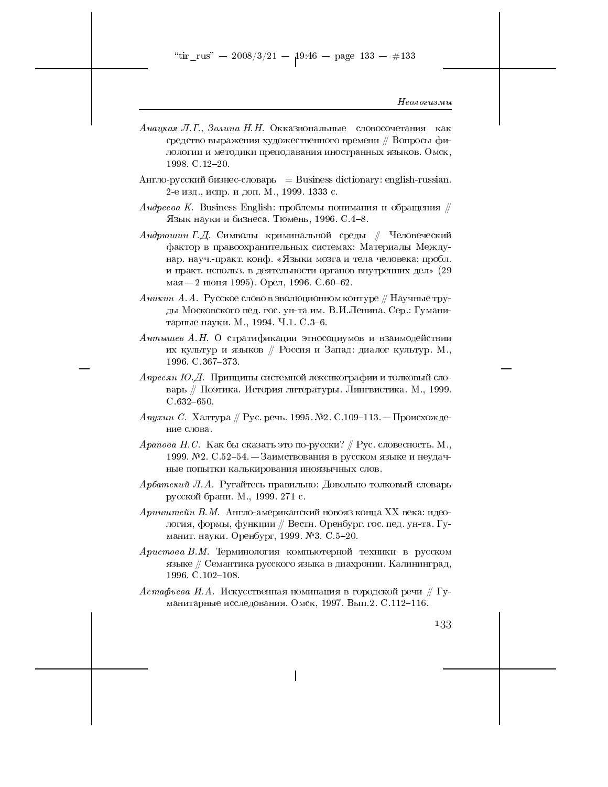"tir\_rus" -- 2008/3/21 --  $19:46$  -- page 133 -- #133

Неологизмы

- Анацкая Л.Г., Золина Н.Н. Окказиональные словосочетания как средство выражения художественного времени // Вопросы филологии и методики преподавания иностранных языков. Омск, 1998. C.12-20.
- Англо-русский бизнес-словарь = Business dictionary: english-russian. 2-е изд., испр. и доп. М., 1999. 1333 с.
- Андреева К. Business English: проблемы понимания и обращения  $\#$ Язык науки и бизнеса. Тюмень, 1996. С.4-8.
- Андрюшин Г.Д. Символы криминальной среды  $\parallel$  Человеческий фактор в правоохранительных системах: Материалы Междунар. науч.-практ. конф. «Языки мозга и тела человека: пробл. и практ. использ. в деятельности органов внутренних дел» (29 мая  $-2$  июня 1995). Орел, 1996. С.60-62.
- $A$ никин А.А. Русское слово в эволюционном контуре // Научные труды Московского пед. гос. ун-та им. В.И.Ленина. Сер.: Гуманитарные науки. М., 1994. Ч.1. С.3-6.
- Антышев А.Н. О стратификации этносоциумов и взаимодействии их культур и языков // Россия и Запад: диалог культур. М., 1996. C. 367-373.
- Апресян Ю.Д. Принципы системной лексикографии и толковый словарь // Поэтика. История литературы. Лингвистика. М., 1999.  $C.632 - 650.$
- *Апухин С.* Халтура // Рус. речь. 1995. №2. С.109-113. Происхождение слова.
- $\emph{Apanosa H.C.}$  Как бы сказать это по-русски? // Рус. словесность. М., 1999. №2. С.52-54. – Заимствования в русском языке и неудачные попытки калькирования иноязычных слов.
- Арбатский Л.А. Ругайтесь правильно: Довольно толковый словарь русской брани. М., 1999. 271 с.
- Аринштейн В.М. Англо-американский новояз конца XX века: идеология, формы, функции // Вестн. Оренбург. гос. пед. ун-та. Гуманит. науки. Оренбург, 1999. №3. С.5-20.
- Аристова В.М. Терминология компьютерной техники в русском языке // Семантика русского языка в диахронии. Калининград, 1996. C. 102-108.
- $A\,c$ тафьева И.А. Искусственная номинация в городской речи  $/\!\!/$  Гуманитарные исследования. Омск, 1997. Вып.2. С.112-116.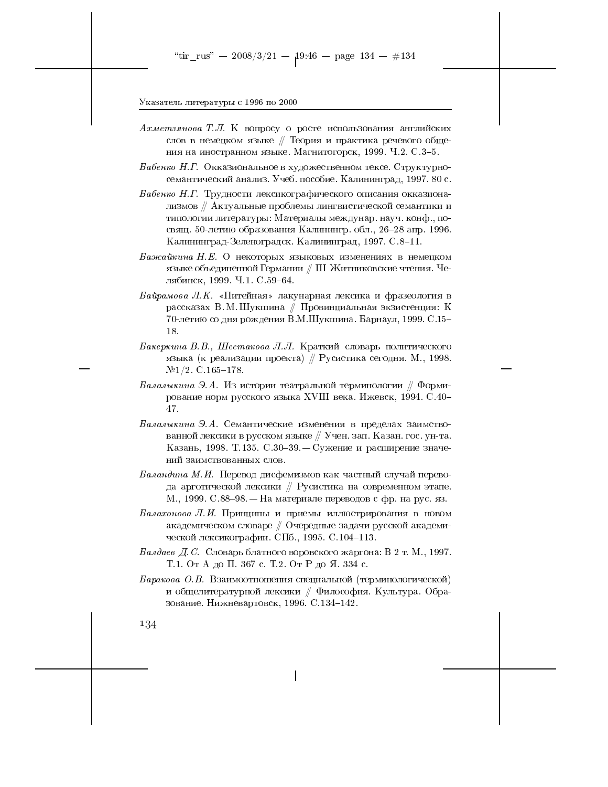- Ахметзянова Т.Л. К вопросу о росте использования английских слов в немецком языке // Теория и практика речевого общения на иностранном языке. Магнитогорск, 1999. Ч.2. С.3-5.
- Бабенко Н.Г. Окказиональное в художественном тексе. Структурносемантический анализ. Учеб. пособие. Калининград, 1997. 80 с.
- Бабенко Н.Г. Трудности лексикографического описания окказионализмов // Актуальные проблемы лингвистической семантики и типологии литературы: Материалы междунар. науч. конф., посвящ. 50-летию образования Калинингр. обл., 26-28 апр. 1996. Калининград-Зеленоградск. Калининград, 1997. С. 8-11.
- Бажайкина Н.Е. О некоторых языковых изменениях в немецком языке объединенной Германии  $\#$  III Житниковские чтения. Челябинск, 1999. Ч.1. С.59-64.
- Байрамова Л.К. «Питейная» лакунарная лексика и фразеология в рассказах В.М. Шукшина // Провинциальная экзистенция: К 70-летию со дня рождения В.М.Шукшина. Барнаул, 1999. С.15-18.
- Бакеркина В.В., Шестакова Л.Л. Краткий словарь политического языка (к реализации проекта) // Русистика сегодня. М., 1998.  $N<sup>2</sup>1/2$ . C.165-178.
- Балалыкина Э.А. Из истории театральной терминологии // Формирование норм русского языка XVIII века. Ижевск, 1994. С.40-47.
- *Балалыкина* Э.А. Семантические изменения в пределах заимствованной лексики в русском языке // Учен. зап. Казан. гос. ун-та. Казань, 1998. Т.135. С.30-39. - Сужение и расширение значений заимствованных слов.
- $B$ аландина М.И. Перевод дисфемизмов как частный случай перевода арготической лексики // Русистика на современном этапе. М., 1999. С.88-98. — На материале переводов с фр. на рус. яз.
- Балахонова Л.И. Принципы и приемы иллюстрирования в новом академическом словаре // Очередные задачи русской академической лексикографии. СПб., 1995. С.104-113.
- Балдаев Д.С. Словарь блатного воровского жаргона: В 2 т. М., 1997. Т.1. От А до П. 367 с. Т.2. От Р до Я. 334 с.
- $Bapaxoea$  О.В. Взаимоотношения специальной (терминологической) и общелитературной лексики // Философия. Культура. Образование. Нижневартовск, 1996. С.134-142.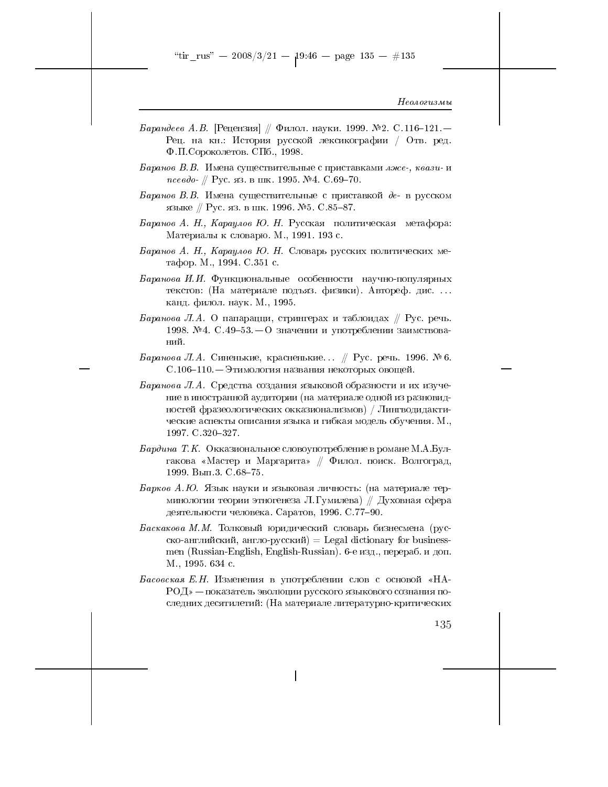- *Барандеев А.В.* [Рецензия] // Филол. науки. 1999. № 2. С.116-121. Рец. на кн.: История русской лексикографии / Отв. ред. Ф.П. Сороколетов. СПб., 1998.
- Баранов В.В. Имена существительные с приставками лже-, квази-и псевдо- // Рус. яз. в шк. 1995. №4. С.69-70.
- Баранов В.В. Имена существительные с приставкой де- в русском языке // Рус. яз. в шк. 1996. №5. С.85-87.
- Баранов А. Н., Караулов Ю. Н. Русская политическая метафора: Материалы к словарю. М., 1991. 193 с.
- Баранов А. Н., Караулов Ю. Н. Словарь русских политических метафор. М., 1994. С.351 с.
- Баранова И.И. Функциональные особенности научно-популярных текстов: (На материале подъяз. физики). Автореф. дис.... канд. филол. наук. М., 1995.
- Баранова Л.А. О папарацци, стрингерах и таблоидах  $\#$  Рус. речь. 1998. №4. С.49-53. — О значении и употреблении заимствований.
- Баранова Л.А. Синенькие, красненькие... // Рус. речь. 1996. № 6. С.106-110. — Этимология названия некоторых овощей.
- Баранова Л.А. Средства создания языковой образности и их изучение в иностранной аудитории (на материале одной из разновидностей фразеологических окказионализмов) / Лингводидактические аспекты описания языка и гибкая модель обучения. М., 1997. C. 320-327.
- Бардина Т.К. Окказиональное словоупотребление в романе М.А.Булгакова «Мастер и Маргарита» // Филол. поиск. Волгоград. 1999. Вып. 3. С. 68-75.
- Барков А.Ю. Язык науки и языковая личность: (на материале терминологии теории этногенеза Л. Гумилева) // Духовная сфера деятельности человека. Саратов, 1996. С.77-90.
- Баскакова М.М. Толковый юридический словарь бизнесмена (русско-английский, англо-русский) = Legal dictionary for businessmen (Russian-English, English-Russian). 6-е изд., перераб. и доп. М., 1995. 634 с.
- Басовская Е.Н. Изменения в употреблении слов с основой «НА- $P_{\text{O}}(X)$  — показатель эволюции русского языкового сознания последних десятилетий: (На материале литературно-критических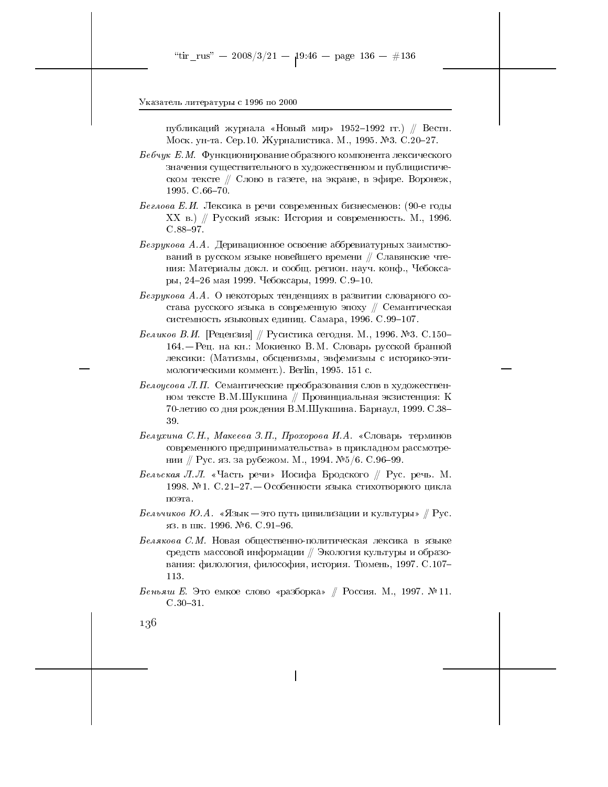публикаций журнала «Новый мир» 1952–1992 гг.) // Вестн. Моск. ун-та. Сер.10. Журналистика. М., 1995. №3. С.20-27.

 $Be6$ чук Е.М. Функционирование образного компонента лексического значения существительного в художественном и публицистическом тексте // Слово в газете, на экране, в эфире. Воронеж, 1995. C.66-70.

Беглова Е.И. Лексика в речи современных бизнесменов: (90-е годы XX в.) // Русский язык: История и современность. М., 1996.  $C.88 - 97.$ 

Безрукова А.А. Деривационное освоение аббревиатурных заимствований в русском языке новейшего времени // Славянские чтения: Материалы докл. и сообщ. регион. науч. конф., Чебоксары, 24-26 мая 1999. Чебоксары, 1999. С.9-10.

Безрукова А.А. О некоторых тенденциях в развитии словарного состава русского языка в современную эпоху // Семантическая системность языковых единиц. Самара, 1996. С.99-107.

*Беликов В.И.* [Рецензия] // Русистика сегодня. М., 1996. №3. С.150– 164. - Рец. на кн.: Мокиенко В.М. Словарь русской бранной лексики: (Матизмы, обсценизмы, эвфемизмы с историко-этимологическими коммент.). Berlin, 1995. 151 с.

*Белоусова Л.П.* Семантические преобразования слов в художественном тексте В.М.Шукшина // Провинциальная экзистенция: К 70-летию со дня рождения В.М.Шукшина. Барнаул, 1999. С.38-39.

Белухина С.Н., Макеева З.П., Прохорова И.А. «Словарь терминов современного предпринимательства» в прикладном рассмотрении // Рус. яз. за рубежом. М., 1994. №5/6. С.96-99.

Бельская Л.Л. «Часть речи» Иосифа Бродского // Рус. речь. М. 1998. №1. С.21-27. – Особенности языка стихотворного цикла поэта.

*Бельчиков Ю.А. «Язык* — это путь цивилизации и культуры» // Рус. яз. в шк. 1996. №6. С.91-96.

Белякова С.М. Новая общественно-политическая лексика в языке средств массовой информации // Экология культуры и образования: филология, философия, история. Тюмень, 1997. С.107-113.

Беньяш Е. Это емкое слово «разборка» // Россия. М., 1997. № 11.  $C.30 - 31.$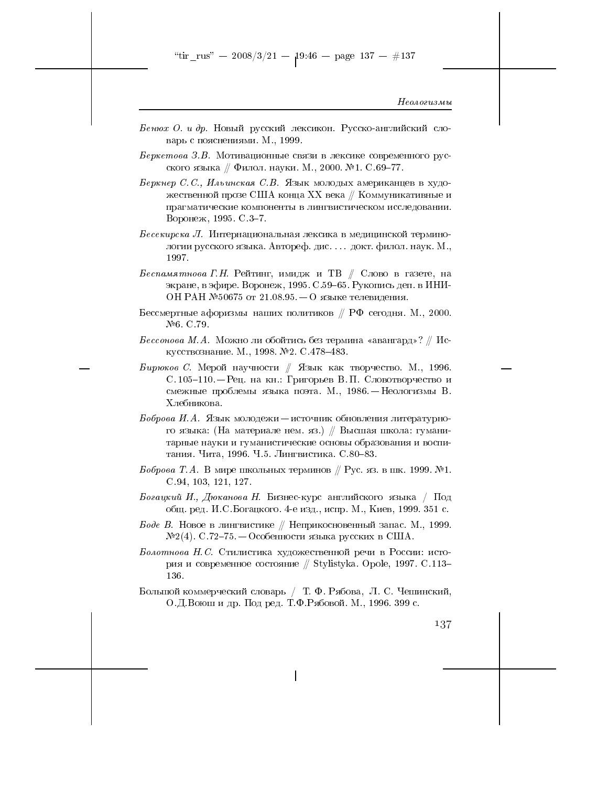- Бенюх О. и др. Новый русский лексикон. Русско-английский словарь с пояснениями. М., 1999.
- Беркетова З.В. Мотивационные связи в лексике современного русского языка // Филол. науки. М., 2000. №1. С.69-77.
- Беркнер С.С., Ильинская С.В. Язык молодых американцев в художественной прозе США конца XX века  $//$  Коммуникативные и прагматические компоненты в лингвистическом исследовании. Воронеж, 1995. С.3-7.
- $Becausear_{\mu\nu}$  Л. Интернациональная лексика в медицинской терминологии русского языка. Автореф. дис. . . . докт. филол. наук. М., 1997.
- Беспамятнова Г.Н. Рейтинг, имидж и ТВ  $\#$  Слово в газете, на экране, в эфире. Воронеж, 1995. С.59-65. Рукопись деп. в ИНИ-ОН РАН №50675 от 21.08.95 – О языке телевидения.
- Бессмертные афоризмы наших политиков  $/ \hspace{-1.25cm}$  РФ сегодня. М., 2000.  $N<sup>6</sup>$ . C.79.
- $\it{Beccono}$ ва М.А. Можно ли обойтись без термина «авангард»? // Искусствознание. М., 1998. №2. С.478-483.
- Бирюков С. Мерой научности // Язык как творчество. М., 1996. С. 105-110. – Рец. на кн.: Григорьев В. П. Словотворчество и смежные проблемы языка поэта. М., 1986. - Неологизмы В. Хлебникова.
- Боброва И.А. Язык молодежи источник обновления литературного языка: (На материале нем. яз.) // Высшая школа: гуманитарные науки и гуманистические основы образования и воспитания. Чита, 1996. Ч.5. Лингвистика. С.80-83.
- Боброва Т.А. В мире школьных терминов  $/ \hspace{-0.1cm}/$  Рус. яз. в шк. 1999. №1.  $C.94, 103, 121, 127.$
- Богацкий И., Дюканова Н. Бизнес-курс английского языка / Под общ. ред. И. С. Богацкого. 4-е изд., испр. М., Киев, 1999. 351 с.
- Боде В. Новое в лингвистике // Неприкосновенный запас. М., 1999.  $N2(4)$ . С.72–75. — Особенности языка русских в США.
- Болотнова Н. С. Стилистика художественной речи в России: история и современное состояние // Stylistyka. Opole, 1997. С.113-136.
- Большой коммерческий словарь / Т. Ф. Рябова, Л. С. Чешинский, О.Д.Воюш и др. Под ред. Т.Ф.Рябовой. М., 1996. 399 с.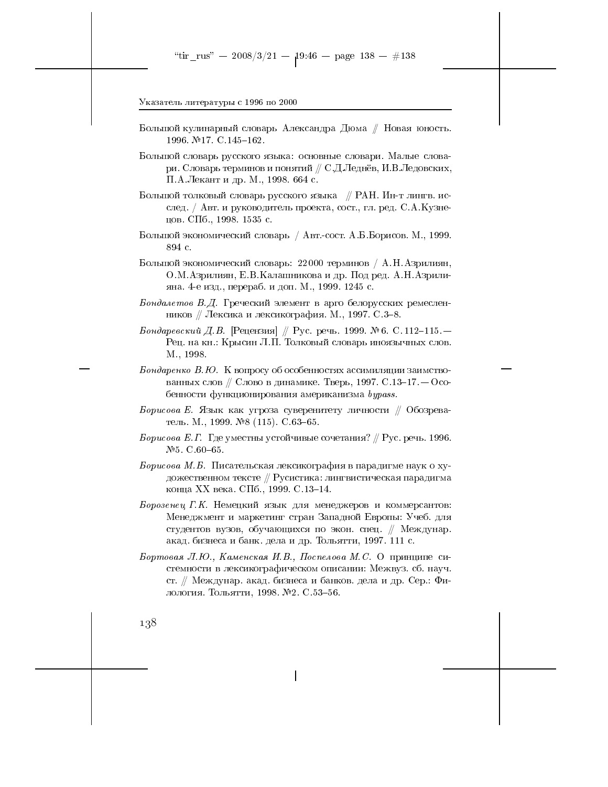- Большой кулинарный словарь Александра Дюма // Новая юность. 1996. №17. С.145-162.
- Большой словарь русского языка: основные словари. Малые словари. Словарь терминов и понятий  $\#$  С.Д.Леднёв, И.В.Ледовских, П.А.Лекант и др. М., 1998. 664 с.
- Большой толковый словарь русского языка // РАН. Ин-т лингв. исслед. / Авт. и руководитель проекта, сост., гл. ред. С.А. Кузнецов. СПб., 1998. 1535 с.
- Большой экономический словарь / Авт.-сост. А.Б.Борисов. М., 1999. 894 с.
- Большой экономический словарь: 22000 терминов / А.Н. Азрилиян, О.М. Азрилиян, Е.В. Калашникова и др. Под ред. А.Н. Азрилияна. 4-е изд., перераб. и доп. М., 1999. 1245 с.
- Бондалетов В.Д. Греческий элемент в арго белорусских ремесленников // Лексика и лексикография. М., 1997. С.3-8.
- Бондаревский Д.В. [Рецензия] // Рус. речь. 1999. №6. С. 112-115. Рец. на кн.: Крысин Л.П. Толковый словарь иноязычных слов. M., 1998.
- Бондаренко В.Ю. К вопросу об особенностях ассимиляции заимствованных слов // Слово в динамике. Тверь, 1997. С.13-17. — Особенности функционирования американизма bypass.
- Борисова Е. Язык как угроза суверенитету личности  $\#$  Обозреватель. М., 1999. №8 (115). С.63-65.
- *Борисова Е.Г.* Где уместны устойчивые сочетания? // Рус. речь. 1996.  $N<sub>2</sub>5$ . C.60-65.
- Борисова М.Б. Писательская лексикография в парадигме наук о художественном тексте // Русистика: лингвистическая парадигма конца XX века. СПб., 1999. С.13–14.
- Борозенец Г.К. Немецкий язык для менеджеров и коммерсантов: Менеджмент и маркетинг стран Западной Европы: Учеб. для студентов вузов, обучающихся по экон. спец. // Междунар. акад. бизнеса и банк. дела и др. Тольятти, 1997. 111 с.
- Бортовая Л.Ю., Каменская И.В., Поспелова М.С. О принципе системности в лексикографическом описании: Межвуз. сб. науч. ст. // Междунар. акад. бизнеса и банков. дела и др. Сер.: Филология. Тольятти, 1998. №2. С.53-56.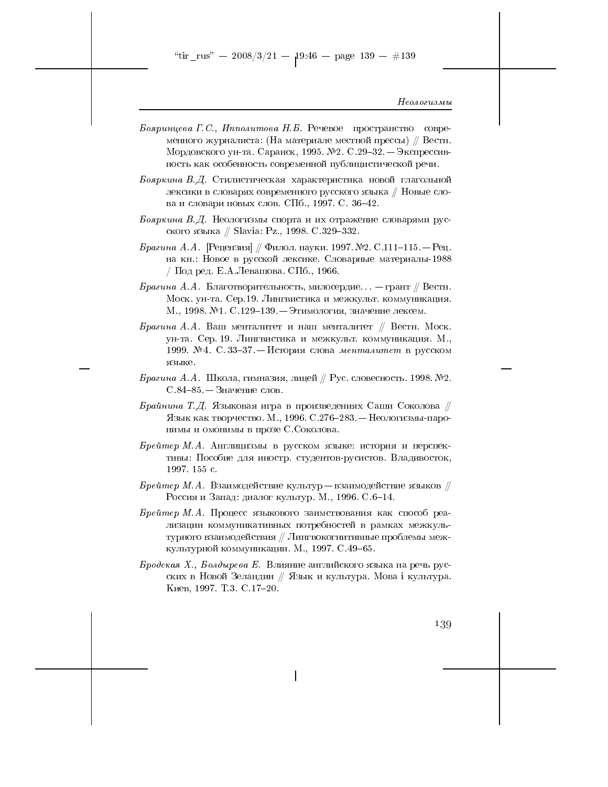"tir\_rus" -- 2008/3/21 --  $19.46$  -- page 139 -- #139

#### Неологизмы

- Бояринцева Г.С., Ипполитова Н.Б. Речевое пространство современного журналиста: (На материале местной прессы) // Вестн. Мордовского ун-та. Саранск, 1995. №2. С.29-32. - Экспрессивность как особенность современной публицистической речи.
- Бояркина В.Д. Стилистическая характеристика новой глагольной лексики в словарях современного русского языка // Новые слова и словари новых слов. СПб., 1997. С. 36-42.
- Бояркина В.Д. Неологизмы спорта и их отражение словарями русского языка // Slavia: Pz., 1998. С.329-332.
- *Брагина А.А.* [Рецензия] // Филол. науки. 1997. №2. С.111-115. Рец. на кн.: Новое в русской лексике. Словарные материалы-1988 / Под ред. Е.А.Левашова. СПб., 1966.
- Брагина А.А. Благотворительность, милосердие... грант // Вестн. Моск. ун-та. Сер.19. Лингвистика и межкульт. коммуникация. М., 1998. №1. С.129-139. - Этимология, значение лексем.
- Брагина А.А. Ваш менталитет и наш менталитет // Вестн. Моск. ун-та. Сер. 19. Лингвистика и межкульт. коммуникация. М., 1999. № 4. С. 33-37. - История слова менталитет в русском языке.
- Брагина А.А. Школа, гимназия, лицей // Рус. словесность. 1998. №2.  $C.84-85.$  — Значение слов.
- Брайнина Т.Д. Языковая игра в произведениях Саши Соколова // Язык как творчество. М., 1996. С.276-283. - Неологизмы-паронимы и омонимы в прозе С. Соколова.
- Брейтер М.А. Англицизмы в русском языке: история и перспективы: Пособие для иностр. студентов-русистов. Владивосток, 1997. 155 с.
- $\emph{Bpe\$ {u}mep\ M.A. B3a\text{umoge\#crBne}\ \text{kyJbryp} \text{b3a\text{umoge\#crBne}\ \text{a3b\text{m}}\otimes\ \text{\#} Россия и Запад: диалог культур. М., 1996. С.6-14.
- Брейтер М.А. Процесс языкового заимствования как способ реализации коммуникативных потребностей в рамках межкультурного взаимодействия // Лингвокогнитивные проблемы межкультурной коммуникации. М., 1997. С.49-65.
- $\mathcal{E}$ родская X., Болдырева Е. Влияние английского языка на речь русских в Новой Зеландии // Язык и культура. Мова і культура. Киев, 1997. Т.3. С.17-20.

139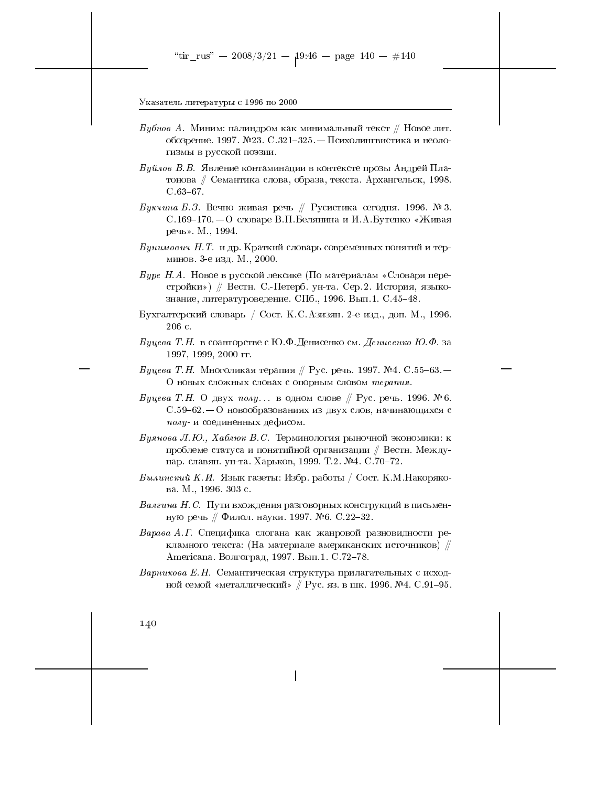- *Бубнов А.* Миним: палиндром как минимальный текст // Новое лит. обозрение. 1997. №23. С.321-325. - Психолингвистика и неологизмы в русской поэзии.
- $By\check{u}$ лов В.В. Явление контаминации в контексте прозы Андрей Платонова // Семантика слова, образа, текста. Архангельск, 1998.  $C.63-67.$
- Букчина Б.З. Вечно живая речь // Русистика сегодня. 1996. № 3. С.169–170. – О словаре В.П.Белянина и И.А.Бутенко «Живая речь». М., 1994.
- Бунимович Н. Т. и др. Краткий словарь современных понятий и терминов. 3-е изд. М., 2000.
- *Буре Н.А.* Новое в русской лексике (По материалам «Словаря перестройки») // Вестн. С.-Петерб. ун-та. Сер. 2. История, языкознание, литературоведение. СПб., 1996. Вып.1. С.45-48.
- Бухгалтерский словарь / Сост. К.С.Азизян. 2-е изд., доп. М., 1996. 206 с.
- Буцева Т.Н. в соавторстве с Ю.Ф.Денисенко см. Денисенко Ю.Ф. за 1997, 1999, 2000 гг.
- *Буцева Т.Н.* Многоликая терапия // Рус. речь. 1997. №4. С.55–63. О новых сложных словах с опорным словом терапия
- Буцева Т.Н. О двух полу... в одном слове // Рус. речь. 1996. №6.  $C.59-62.$  – О новообразованиях из двух слов, начинающихся с полу- и соединенных дефисом.
- Буянова Л.Ю., Хаблюк В.С. Терминология рыночной экономики: к проблеме статуса и понятийной организации // Вестн. Междунар. славян. ун-та. Харьков, 1999. Т.2. №4. С. 70-72.
- Былинский К.И. Язык газеты: Избр. работы / Сост. К.М.Накорякова. М., 1996. 303 с.
- Валгина Н. С. Пути вхождения разговорных конструкций в письменную речь // Филол. науки. 1997. №6. С.22-32.
- Варава А.Г. Специфика слогана как жанровой разновидности рекламного текста: (На материале американских источников) // Americana. Волгоград, 1997. Вып.1. С.72-78.
- Варникова Е.Н. Семантическая структура прилагательных с исходной семой «металлический» // Рус. яз. в шк. 1996. №4. С.91-95.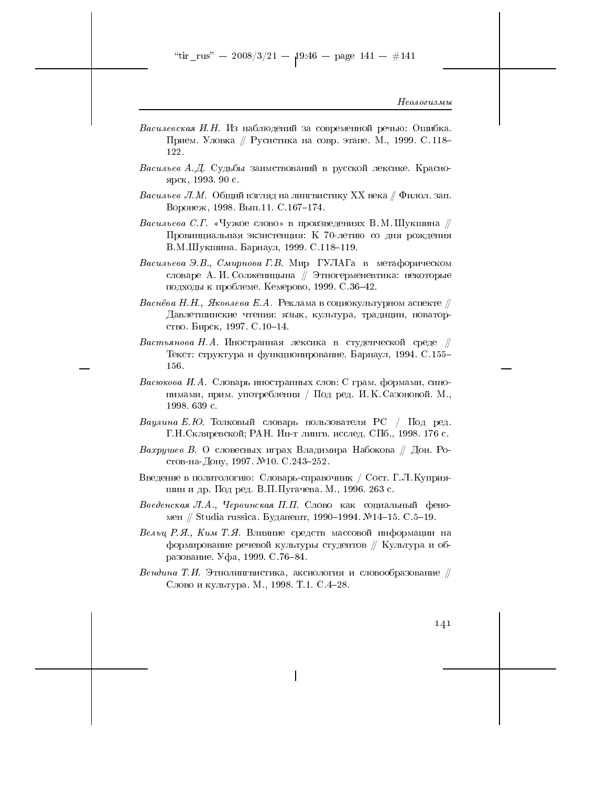- Василевская И.Н. Из наблюдений за современной речью: Ошибка. Прием. Уловка // Русистика на совр. этапе. М., 1999. С.118-122.
- Васильев А.Д. Судьбы заимствований в русской лексике. Красноярск, 1993. 90 с.
- *Васильев Л.М.* Общий взгляд на лингвистику XX века  $\#$  Филол. зап. Воронеж, 1998. Вып.11. С.167-174.
- Васильева С.Г. «Чужое слово» в произведениях В.М. Шукшина  $\#$ Провинциальная экзистенция: К 70-летию со дня рождения В.М.Шукшина. Барнаул, 1999. С.118-119.
- Васильева Э.В., Смирнова Г.В. Мир ГУЛАГа в метафорическом словаре А. И. Солженицына // Этногерменевтика: некоторые подходы к проблеме. Кемерово, 1999. С.36-42.
- Васнёва Н.Н., Яковлева Е.А. Реклама в социокультурном аспекте  $\#$ Давлетшинские чтения: язык, культура, традиции, новаторство. Бирск, 1997. С. 10-14.
- Вастьянова Н.А. Иностранная лексика в студенческой среде  $\#$ Текст: структура и функционирование. Барнаул, 1994. С.155-156.
- Васюкова И.А. Словарь иностранных слов: С грам. формами, синонимами, прим. употребления / Под ред. И. К. Сазоновой. М., 1998. 639 с.
- Ваулина Е.Ю. Толковый словарь пользователя РС / Под ред. Г.Н. Скляревской; РАН. Ин-т лингв. исслед. СПб., 1998. 176 с.
- *Вахрушев В.* О словесных играх Владимира Набокова // Дон. Ростов-на-Дону, 1997. №10. С.243-252.
- Введение в политологию: Словарь-справочник / Сост. Г.Л. Куприяшин и др. Под ред. В.П. Пугачева. М., 1996. 263 с.
- Введенская Л.А., Червинская П.П. Слово как социальный феномен // Studia russica. Будапешт, 1990-1994. №14-15. С.5-19.
- Вельц Р.Я., Ким Т.Я. Влияние средств массовой информации на формирование речевой культуры студентов // Культура и образование. Уфа, 1999. С. 76-84.
- Вендина Т.И. Этнолингвистика, аксиология и словообразование  $\#$ Слово и культура. М., 1998. Т.1. С.4-28.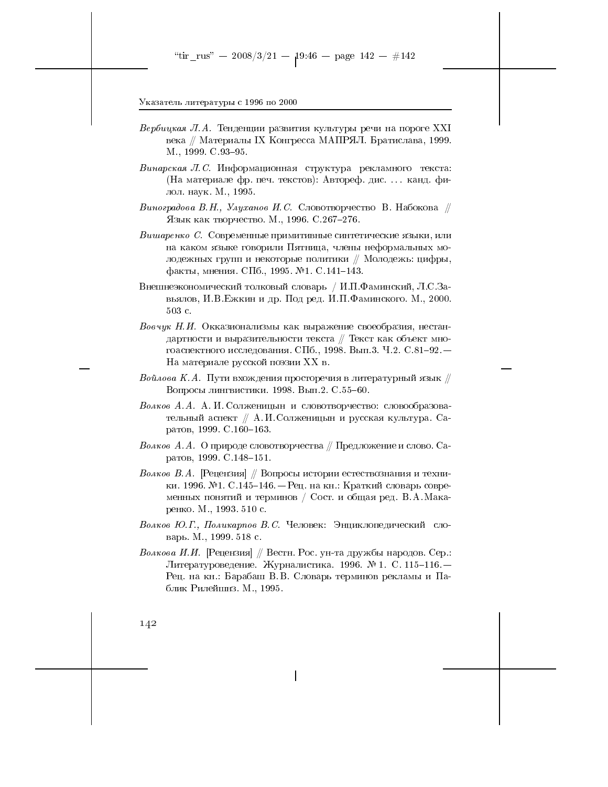- Вербицкая Л.А. Тенденции развития культуры речи на пороге XXI века // Материалы IX Конгресса МАПРЯЛ. Братислава, 1999. M., 1999. C. 93-95.
- Винарская Л.С. Информационная структура рекламного текста: (На материале фр. печ. текстов): Автореф. дис. ... канд. филол. наук. М., 1995.
- Виноградова В.Н., Улуханов И.С. Словотворчество В. Набокова  $\#$ Язык как творчество. М., 1996. С.267-276.
- Вишаренко С. Современные примитивные синтетические языки, или на каком языке говорили Пятница, члены неформальных молодежных групп и некоторые политики // Молодежь: цифры, факты, мнения. СПб., 1995. №1. С.141-143.
- Внешнеэкономический толковый словарь / И.П.Фаминский, Л.С.Завьялов, И.В. Ежкин и др. Под ред. И.П. Фаминского. М., 2000. 503 с.
- Вовчук Н.И. Окказионализмы как выражение своеобразия, нестандартности и выразительности текста // Текст как объект многоаспектного исследования. СПб., 1998. Вып.3. Ч.2. С.81-92. -На материале русской поэзии XX в.
- $\emph{Bo\'ua}o$ ва  $\emph{K.A.}$  Пути вхождения просторечия в литературный язык  $\mathbin{\#}$ Вопросы лингвистики. 1998. Вып. 2. С. 55-60.
- Волков А.А. А. И. Солженицын и словотворчество: словообразовательный аспект // А.И. Солженицын и русская культура. Саратов, 1999. С. 160-163.
- *Волков А.А.* О природе словотворчества // Предложение и слово. Саратов, 1999. С.148-151.
- Волков В.А. [Рецензия] // Вопросы истории естествознания и техники. 1996. №1. С.145-146. – Рец. на кн.: Краткий словарь современных понятий и терминов / Сост. и общая ред. В.А. Макаренко. М., 1993. 510 с.
- Волков Ю.Г., Поликарпов В.С. Человек: Энциклопедический словарь М., 1999. 518 с.
- Волкова И.И. [Рецензия] // Вестн. Рос. ун-та дружбы народов. Сер.: Литературоведение. Журналистика. 1996. № 1. С. 115-116. -Рец. на кн.: Барабаш В.В. Словарь терминов рекламы и Паблик Рилейшнз. М., 1995.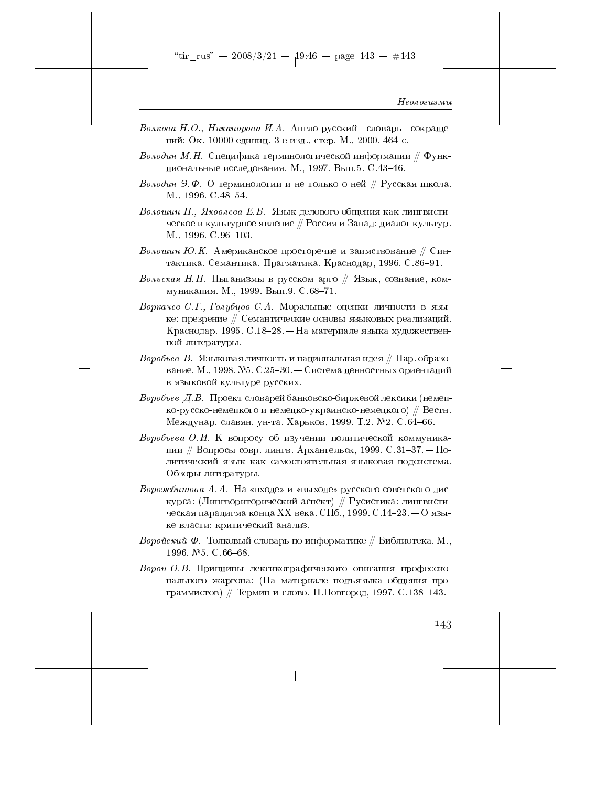- Волкова Н.О., Никанорова И.А. Англо-русский словарь сокращений: Ок. 10000 единиц. 3-е изд., стер. М., 2000. 464 с.
- *Володин М.Н.* Специфика терминологической информации // Функциональные исследования. М., 1997. Вып.5. С.43-46.
- Володин Э.Ф. О терминологии и не только о ней // Русская школа. M., 1996. C. 48-54.
- Волошин П., Яковлева Е.Б. Язык делового общения как лингвистическое и культурное явление // Россия и Запад: диалог культур. M., 1996. C. 96-103.
- Волошин Ю.К. Американское просторечие и заимствование  $\#$  Синтактика. Семантика. Прагматика. Краснодар, 1996. С.86-91.
- Вольская Н.П. Цыганизмы в русском арго  $\#$  Язык, сознание, коммуникация. М., 1999. Вып.9. С.68-71.
- Воркачев С.Г., Голубцов С.А. Моральные оценки личности в языке: презрение // Семантические основы языковых реализаций. Краснодар. 1995. С.18-28. – На материале языка художественной литературы.
- *Воробъев В. Я*зыковая личность и национальная идея // Нар. образование. М., 1998. №5. С.25-30. — Система ценностных ориентаций в языковой культуре русских.
- Воробьев Д.В. Проект словарей банковско-биржевой лексики (немецко-русско-немецкого и немецко-украинско-немецкого) // Вестн. Междунар. славян. ун-та. Харьков, 1999. Т.2. №2. С.64-66.
- Воробьева О.И. К вопросу об изучении политической коммуникации // Вопросы совр. лингв. Архангельск, 1999. С.31-37. — Политический язык как самостоятельная языковая подсистема. Обзоры литературы.
- *Ворожбитова А.А.* На «входе» и «выходе» русского советского дискурса: (Лингвориторический аспект) // Русистика: лингвистическая парадигма конца XX века. СПб., 1999. С.14-23. — О языке власти: критический анализ.
- Воройский Ф. Толковый словарь по информатике  $//$  Библиотека. М., 1996. №5. С.66-68.
- Ворон О.В. Принципы лексикографического описания профессионального жаргона: (На материале подъязыка общения программистов) // Термин и слово. Н. Новгород, 1997. С.138-143.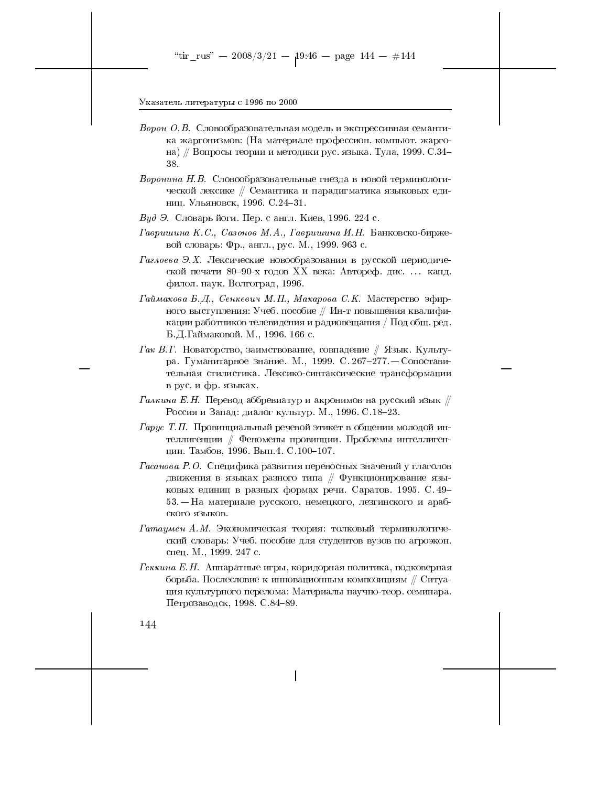- Ворон О.В. Словообразовательная модель и экспрессивная семантика жаргонизмов: (На материале профессион. компьют. жаргона) // Вопросы теории и методики рус. языка. Тула, 1999. С.34-38.
- Воронина Н.В. Словообразовательные гнезда в новой терминологической лексике // Семантика и парадигматика языковых единиц. Ульяновск, 1996. С.24-31.
- Вуд Э. Словарь йоги. Пер. с англ. Киев, 1996. 224 с.
- Гавришина К.С., Сазонов М.А., Гавришина И.Н. Банковско-биржевой словарь: Фр., англ., рус. М., 1999. 963 с.
- Гаглоева Э.Х. Лексические новообразования в русской периодической печати 80-90-х годов XX века: Автореф. дис.... канд. филол. наук. Волгоград, 1996.
- Гаймакова Б.Д., Сенкевич М.П., Макарова С.К. Мастерство эфирного выступления: Учеб. пособие // Ин-т повышения квалификации работников телевидения и радиовещания / Под общ. ред. Б.Д. Гаймаковой. М., 1996. 166 с.
- Гак В.Г. Новаторство, заимствование, совпадение  $//$  Язык. Культура. Гуманитарное знание. М., 1999. С. 267-277. - Сопоставительная стилистика. Лексико-синтаксические трансформации в рус. и фр. языках.
- $\Gamma$ алкина Е.Н. Перевод аббревиатур и акронимов на русский язык  $\#$ Россия и Запад: диалог культур. М., 1996. С.18-23.
- $\Gamma$ арус Т.П. Провинциальный речевой этикет в общении молодой интеллигенции // Феномены провинции. Проблемы интеллигенции. Тамбов, 1996. Вып. 4. С. 100-107.
- $\varGamma$ асанова Р.О. Специфика развития переносных значений у глаголов движения в языках разного типа  $\#$  Функционирование языковых единиц в разных формах речи. Саратов. 1995. С. 49-53. - На материале русского, немецкого, лезгинского и арабского языков.
- Гатаумен А.М. Экономическая теория: толковый терминологический словарь: Учеб. пособие для студентов вузов по агроэкон. спец. М., 1999. 247 с.
- Геккина Е.Н. Аппаратные игры, коридорная политика, подковерная борьба. Послесловие к инновационным композициям // Ситуация культурного перелома: Материалы научно-теор. семинара. Петрозаводск, 1998. С. 84-89.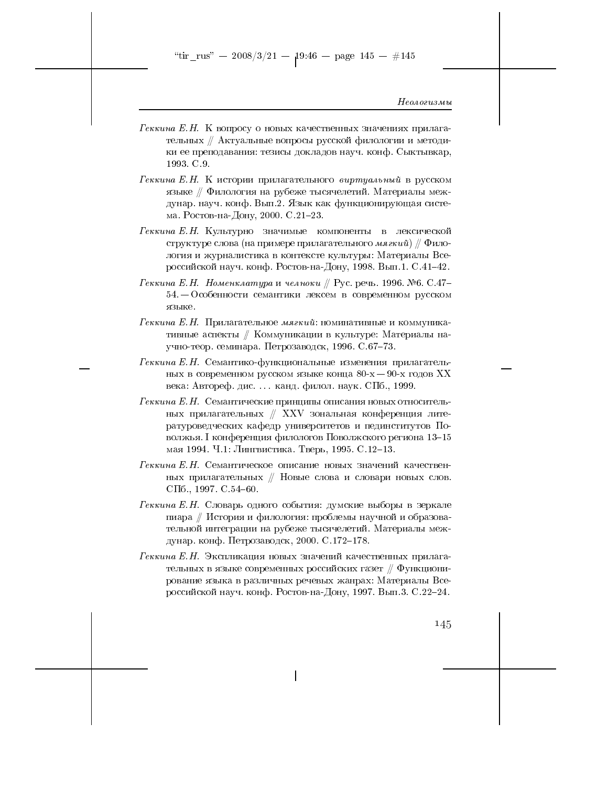"tir\_rus" -- 2008/3/21 --  $19.46$  -- page 145 -- #145

#### Неологизмы

- $\Gamma$ еккина Е.Н. К вопросу о новых качественных значениях прилагательных // Актуальные вопросы русской филологии и методики ее преподавания: тезисы докладов науч. конф. Сыктывкар, 1993 C.9
- Геккина Е.Н. К истории прилагательного виртуальный в русском языке // Филология на рубеже тысячелетий. Материалы междунар. науч. конф. Вып.2. Язык как функционирующая система. Ростов-на-Дону, 2000. С.21-23.
- Геккина Е.Н. Культурно значимые компоненты в лексической структуре слова (на примере прилагательного мягкий)  $\#$  Филология и журналистика в контексте культуры: Материалы Всероссийской науч. конф. Ростов-на-Дону, 1998. Вып.1. С.41-42.
- Геккина Е.Н. Номенклатура и челноки // Рус. речь. 1996. №6. С.47-54. - Особенности семантики лексем в современном русском языке.
- Геккина Е.Н. Прилагательное мягкий: номинативные и коммуникативные аспекты // Коммуникации в культуре: Материалы научно-теор. семинара. Петрозаводск, 1996. С.67-73.
- $Pekkuua E.H.$  Семантико-функциональные изменения прилагательных в современном русском языке конца  $80-x-90-x$  годов XX века: Автореф. дис.... канд. филол. наук. СПб., 1999.
- Геккина Е. Н. Семантические принципы описания новых относительных прилагательных // XXV зональная конференция литературоведческих кафедр университетов и пединститутов Поволжья. І конференция филологов Поволжского региона 13-15 мая 1994. Ч.1: Лингвистика. Тверь, 1995. С.12-13.
- Геккина Е.Н. Семантическое описание новых значений качественных прилагательных // Новые слова и словари новых слов. СПб., 1997. С.  $54-60$ .
- Геккина Е.Н. Словарь одного события: думские выборы в зеркале пиара // История и филология: проблемы научной и образовательной интеграции на рубеже тысячелетий. Материалы междунар. конф. Петрозаводск, 2000. С.172-178.
- Геккина Е.Н. Экспликация новых значений качественных прилагательных в языке современных российских газет  $\#$  Функционирование языка в различных речевых жанрах: Материалы Всероссийской науч. конф. Ростов-на-Дону, 1997. Вып.3. С.22-24.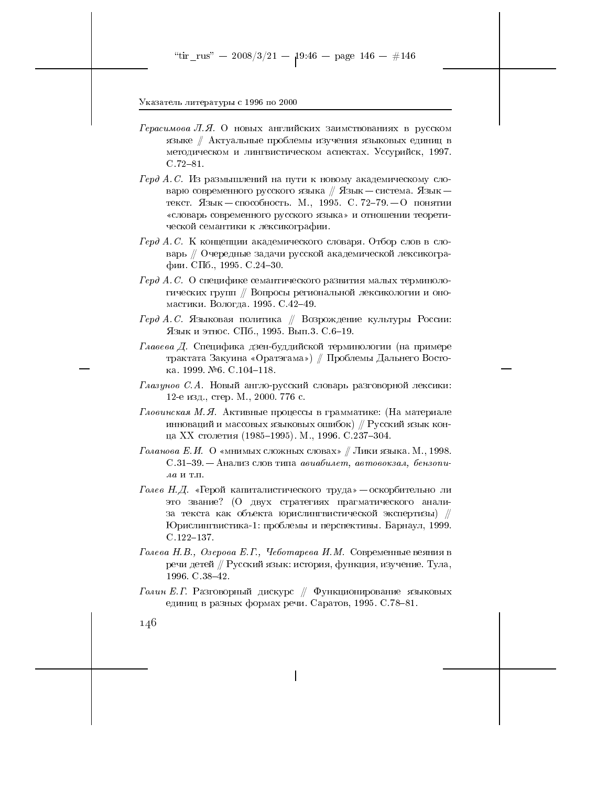- $Fepacumoea$  Л.Я. О новых английских заимствованиях в русском языке // Актуальные проблемы изучения языковых единиц в методическом и лингвистическом аспектах. Уссурийск, 1997.  $C.72 - 81.$
- Герд А.С. Из размышлений на пути к новому академическому словарю современного русского языка // Язык - система. Язык текст. Язык - способность. М., 1995. С. 72-79. - О понятии «словарь современного русского языка» и отношении теоретической семантики к лексикографии.
- Герд А.С. К концепции академического словаря. Отбор слов в словарь // Очередные задачи русской академической лексикографии. СПб., 1995. С.24-30.
- Герд А.С. О специфике семантического развития малых терминологических групп // Вопросы региональной лексикологии и ономастики. Вологда. 1995. С. 42-49.
- $\Gamma$ ерд А.С. Языковая политика // Возрождение культуры России: Язык и этнос. СПб., 1995. Вып.3. С.6-19.
- Главева Д. Специфика дзен-буддийской терминологии (на примере трактата Закуина «Оратэгама») // Проблемы Дальнего Востока. 1999. №6. С.104-118.
- $\Gamma$ лазунов С.А. Новый англо-русский словарь разговорной лексики: 12-е изд., стер. М., 2000. 776 с.
- Гловинская М.Я. Активные процессы в грамматике: (На материале инноваций и массовых языковых ошибок)  $\#$  Русский язык конца XX столетия (1985-1995). М., 1996. С.237-304.
- Голанова Е.И. О «мнимых сложных словах» // Лики языка. М., 1998. С.31-39. – Анализ слов типа авиабилет, автовокзал, бензопи- $\lambda a$  и т.п.
- Голев Н.Д. «Герой капиталистического труда» оскорбительно ли это звание? (О двух стратегиях прагматического анализа текста как объекта юрислингвистической экспертизы) // Юрислингвистика-1: проблемы и перспективы. Барнаул, 1999.  $C.122 - 137.$
- Голева Н.В., Озерова Е.Г., Чеботарева И.М. Современные веяния в речи детей // Русский язык: история, функция, изучение. Тула, 1996. C.  $38-42$ .
- Голин Е.Г. Разговорный дискурс  $\#\ \Phi$ ункционирование языковых единиц в разных формах речи. Саратов, 1995. С. 78-81.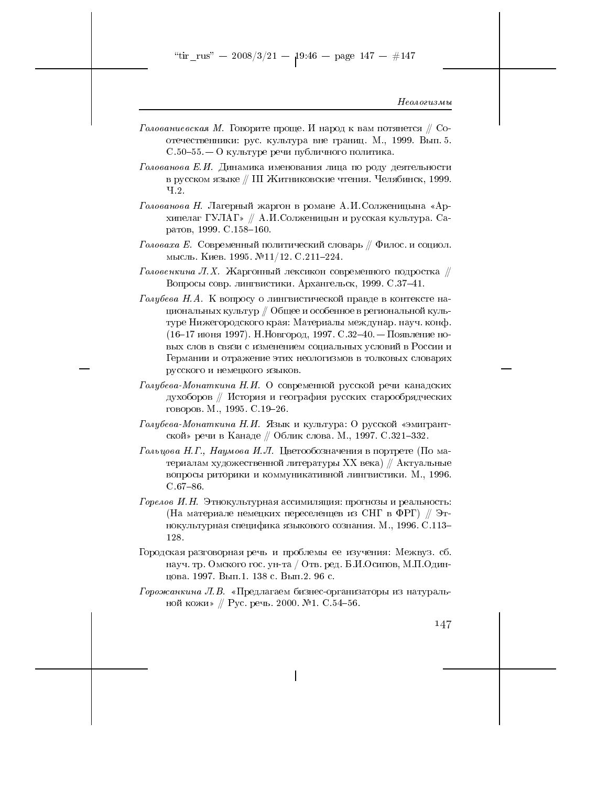- Голованиевская М. Говорите проще. И народ к вам потянется  $\#$  Соотечественники: рус. культура вне границ. М., 1999. Вып. 5.  $C.50-55-0$  культуре речи публичного политика.
- Голованова Е.И. Динамика именования лица по роду деятельности в русском языке // III Житниковские чтения. Челябинск, 1999.  $4.2.$
- Голованова Н. Лагерный жаргон в романе А.И. Солженицына «Архипелаг ГУЛАГ» // А.И.Солженицын и русская культура. Саратов, 1999. С.158-160.
- Головаха Е. Современный политический словарь  $/ \hspace{-0.2em}/ \hspace{0.2em}$ Филос. и социол. мысль. Киев. 1995.  $\mathbb{N}^211/12$ . С.211-224.
- Головенкина Л.Х. Жаргонный лексикон современного подростка  $\#$ Вопросы совр. лингвистики. Архангельск, 1999. С.37-41.
- Голубева Н.А. К вопросу о лингвистической правде в контексте национальных культур // Общее и особенное в региональной культуре Нижегородского края: Материалы междунар. науч. конф.  $(16-17 \text{ m}$ оня 1997). Н. Новгород, 1997. С.32-40. — Появление новых слов в связи с изменением социальных условий в России и Германии и отражение этих неологизмов в толковых словарях русского и немецкого языков.
- Голубева-Монаткина Н.И. О современной русской речи канадских духоборов // История и география русских старообрядческих говоров. М., 1995. С. 19-26.
- Голубева-Монаткина Н.И. Язык и культура: О русской «эмигрантской» речи в Канаде // Облик слова. М., 1997. С.321-332.
- Гольцова Н.Г., Наумова И.Л. Цветообозначения в портрете (По материалам художественной литературы XX века)  $//$  Актуальные вопросы риторики и коммуникативной лингвистики. М., 1996.  $C.67 - 86.$
- Горелов И.Н. Этнокультурная ассимиляция: прогнозы и реальность: (На материале немецких переселенцев из СНГ в ФРГ) // Этнокультурная специфика языкового сознания. М., 1996. С.113-128.
- Городская разговорная речь и проблемы ее изучения: Межвуз. сб. науч. тр. Омского гос. ун-та / Отв. ред. Б.И.Осипов, М.П.Одинцова. 1997. Вып.1. 138 с. Вып.2. 96 с.
- Горожанкина Л.В. «Предлагаем бизнес-организаторы из натуральной кожи» // Рус. речь. 2000. №1. С.54-56.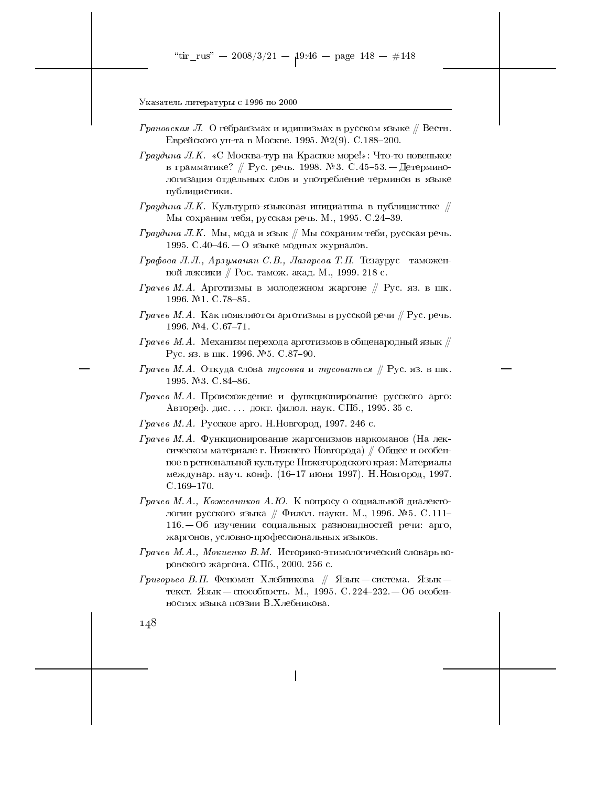- *Грановская Л.* О гебраизмах и идишизмах в русском языке // Вестн. Еврейского ун-та в Москве. 1995. №2(9). С.188-200.
- Граудина Л.К. «С Москва-тур на Красное море!»: Что-то новенькое в грамматике? // Рус. речь. 1998. № 3. С. 45–53. — Детерминологизация отдельных слов и употребление терминов в языке публицистики.
- $\Gamma$ раудина Л.К. Культурно-языковая инициатива в публицистике  $\#$ Мы сохраним тебя, русская речь. М., 1995. С.24-39.
- $\Gamma$ раудина Л.К. Мы, мода и язык // Мы сохраним тебя, русская речь. 1995. С.40-46. – О языке модных журналов.
- Графова Л.Л., Арзуманян С.В., Лазарева Т.П. Тезаурус таможенной лексики // Рос. тамож. акад. М., 1999. 218 с.
- Грачев М.А. Арготизмы в молодежном жаргоне  $\#$  Рус. яз. в шк. 1996. №1. С.78-85.
- Грачев М.А. Как появляются арготизмы в русской речи  $\#$  Рус. речь. 1996. №4. С.67-71.
- $\emph{Ppaчee M.A.}$  Механизм перехода арготизмов в общенародный язык  $\mathbin{\#}$ Рус. яз. в шк. 1996. № 5. С. 87-90.
- Грачев М.А. Откуда слова тусовка и тусоваться // Рус. яз. в шк. 1995 №3 C 84-86
- Грачев М.А. Происхождение и функционирование русского арго: Автореф. дис.... докт. филол. наук. СПб., 1995. 35 с.
- Грачев М.А. Русское арго. Н. Новгород, 1997. 246 с.
- Грачев М.А. Функционирование жаргонизмов наркоманов (На лексическом материале г. Нижнего Новгорода) // Общее и особенное в региональной культуре Нижегородского края: Материалы междунар. науч. конф. (16-17 июня 1997). Н. Новгород, 1997.  $C.169 - 170.$
- Грачев М.А., Кожевников А.Ю. К вопросу о социальной диалектологии русского языка // Филол. науки. М., 1996. № 5. С. 111- $116. -06$  изучении социальных разновидностей речи: арго, жаргонов, условно-профессиональных языков.
- Грачев М.А., Мокиенко В.М. Историко-этимологический словарь воровского жаргона. СПб., 2000. 256 с.
- $\Gamma$ ригорьев В.П. Феномен Хлебникова // Язык система. Язык текст. Язык - способность. М., 1995. С. 224-232. - Об особенностях языка поэзии В.Хлебникова.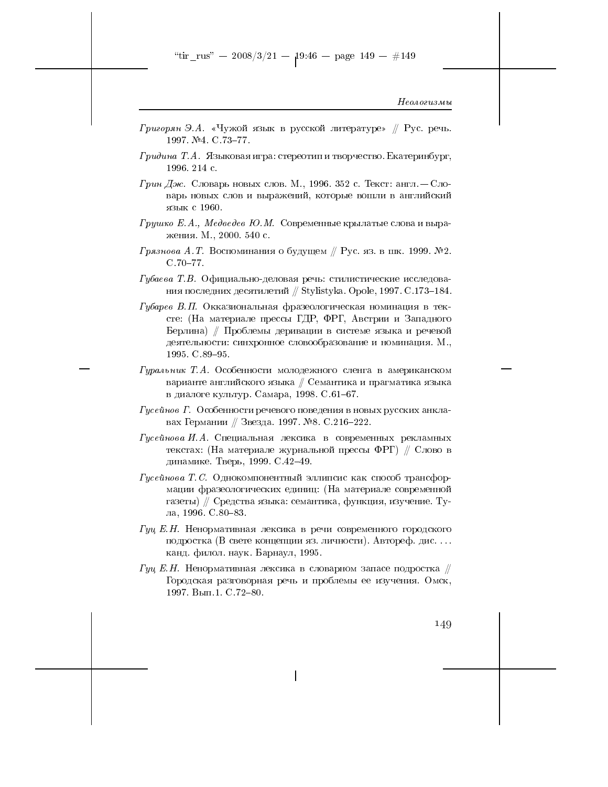- $\Gamma$ ригорян Э.А. «Чужой язык в русской литературе» // Рус. речь. 1997. №4. С.73-77.
- Гридина Т. А. Языковая игра: стереотип и творчество. Екатеринбург, 1996. 214 c.
- *Грин Дж.* Словарь новых слов. М., 1996. 352 с. Текст: англ. Словарь новых слов и выражений, которые вошли в английский язык с 1960.
- Грушко Е.А., Медведев Ю.М. Современные крылатые слова и выражения. М., 2000. 540 с.
- Грязнова А. Т. Воспоминания о будущем  $/ \hspace{-0.1cm}/$  Рус. яз. в шк. 1999. № 2.  $C.70-77.$
- Губаева Т.В. Официально-деловая речь: стилистические исследования последних десятилетий // Stylistyka. Opole, 1997. С.173-184.
- Губарев В.П. Окказиональная фразеологическая номинация в тексте: (На материале прессы ГДР, ФРГ, Австрии и Западного Берлина) // Проблемы деривации в системе языка и речевой деятельности: синхронное словообразование и номинация. М., 1995. C.89-95.
- Гуральник Т.А. Особенности молодежного сленга в американском варианте английского языка // Семантика и прагматика языка в диалоге культур. Самара, 1998. С.61-67.
- Гусейнов Г. Особенности речевого поведения в новых русских анклавах Германии // Звезда. 1997. №8. С.216-222.
- $\Gamma$ усейнова И.А. Специальная лексика в современных рекламных текстах: (На материале журнальной прессы ФРГ) // Слово в динамике. Тверь, 1999. С.42-49.
- $\Gamma$ усейнова Т. С. Однокомпонентный эллипсис как способ трансформации фразеологических единиц: (На материале современной газеты) // Средства языка: семантика, функция, изучение. Тула, 1996. С.80-83.
- Гуц Е.Н. Ненормативная лексика в речи современного городского подростка (В свете концепции яз. личности). Автореф. дис... канд. филол. наук. Барнаул, 1995.
- Гуц Е.Н. Ненормативная лексика в словарном запасе подростка  $\#$ Городская разговорная речь и проблемы ее изучения. Омск, 1997. Вып. 1. С. 72-80.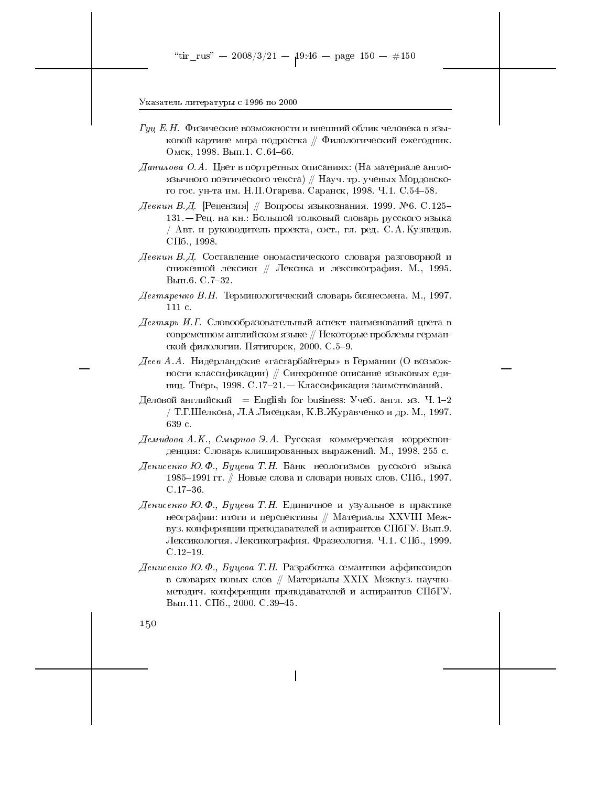- $\Gamma yu$  Е.Н. Физические возможности и внешний облик человека в языковой картине мира подростка  $\#$  Филологический ежегодник. Омск, 1998. Вып. 1. С. 64-66.
- $\emph{Jauu}$ лова О.А. Цвет в портретных описаниях: (На материале англоязычного поэтического текста) // Науч. тр. ученых Мордовского гос. ун-та им. Н.П.Огарева. Саранск, 1998. Ч.1. С.54-58.
- Девкин В.Д. [Рецензия] // Вопросы языкознания. 1999. №6. С.125– 131. – Рец. на кн.: Большой толковый словарь русского языка / Авт. и руководитель проекта, сост., гл. ред. С. А. Кузнецов.  $\text{C}\Pi$ <sub>6</sub>., 1998.
- Девкин В.Д. Составление ономастического словаря разговорной и сниженной лексики // Лексика и лексикография. М., 1995. Вып.6. С. 7-32.
- Дегтяренко В.Н. Терминологический словарь бизнесмена. М., 1997. 111 c.
- Дегтярь И.Г. Словообразовательный аспект наименований цвета в современном английском языке // Некоторые проблемы германской филологии. Пятигорск, 2000. С.5-9.
- Деев А.А. Нидерландские «гастарбайтеры» в Германии (О возможности классификации) // Синхронное описание языковых единиц. Тверь, 1998. С.17-21. - Классификация заимствований.
- Деловой английский = English for business: Учеб. англ. яз. Ч.1-2 / Т. Г. Шелкова, Л. А. Лясецкая, К. В. Журавченко и др. М., 1997. 639 c.
- Демидова А.К., Смирнов Э.А. Русская коммерческая корреспонденция: Словарь клишированных выражений. М., 1998. 255 с.
- Денисенко Ю.Ф., Буцева Т.Н. Банк неологизмов русского языка 1985–1991 гг. // Новые слова и словари новых слов. СПб., 1997.  $C.17 - 36.$
- Денисенко Ю.Ф., Буцева Т.Н. Единичное и узуальное в практике неографии: итоги и перспективы // Материалы XXVIII Межвуз. конференции преподавателей и аспирантов СПбГУ. Вып.9. Лексикология. Лексикография. Фразеология. Ч.1. СПб., 1999.  $C.12-19.$
- Денисенко Ю.Ф., Буцева Т.Н. Разработка семантики аффиксоидов в словарях новых слов // Материалы XXIX Межвуз. научнометодич. конференции преподавателей и аспирантов СПбГУ. Вып.11. СПб., 2000. С.39-45.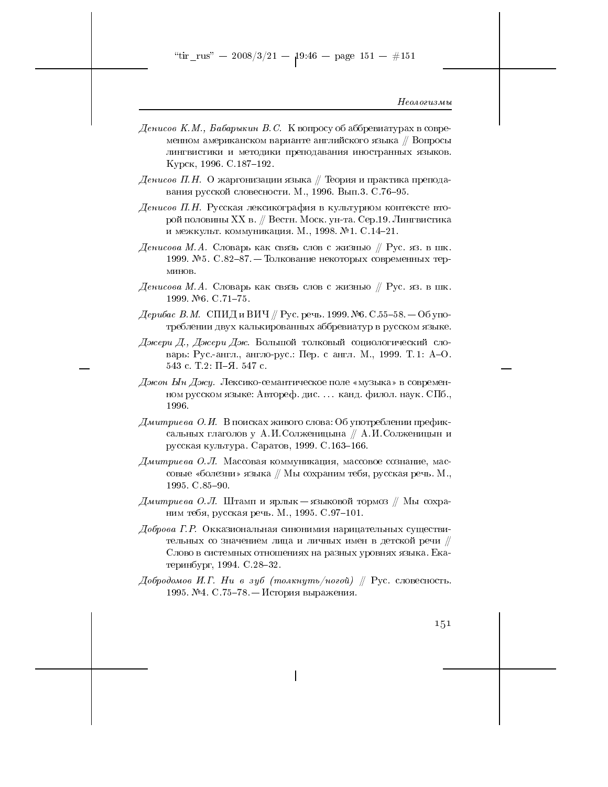"tir\_rus" — 2008/3/21 — 19:46 — page 151 — #151

Неологизмы

- Денисов К.М., Бабарыкин В.С. К вопросу об аббревиатурах в современном американском варианте английского языка // Вопросы лингвистики и методики преподавания иностранных языков. Курск, 1996. С. 187-192.
- $\emph{Jenucoe II.H. O}$  жаргонизации языка  $\emph{N}$  Теория и практика преподавания русской словесности. М., 1996. Вып.3. С.76-95.
- Денисов П.Н. Русская лексикография в культурном контексте второй половины XX в. // Вестн. Моск. ун-та. Сер.19. Лингвистика и межкульт. коммуникация. М., 1998. №1. С.14-21.
- Денисова М.А. Словарь как связь слов с жизнью  $\#$  Рус. яз. в шк. 1999. №5. С.82-87. — Толкование некоторых современных терминов.
- Денисова М.А. Словарь как связь слов с жизнью // Рус. яз. в шк. 1999 №6 C 71-75.
- Дерибас В.М. СПИД и ВИЧ // Рус. речь. 1999. №6. С.55-58. Об употреблении двух калькированных аббревиатур в русском языке.
- Джери Д., Джери Дж. Большой толковый социологический словарь: Рус.-англ., англо-рус.: Пер. с англ. М., 1999. Т.1: А-О. 543 с. Т.2: П-Я. 547 с.
- Джон Ын Джу. Лексико-семантическое поле «музыка» в современном русском языке: Автореф. дис.... канд. филол. наук. СПб., 1996.
- Дмитриева О.И. В поисках живого слова: Об употреблении префиксальных глаголов у А.И.Солженицына // А.И.Солженицын и русская культура. Саратов, 1999. С. 163-166.
- Дмитриева О.Л. Массовая коммуникация, массовое сознание, массовые «болезни» языка // Мы сохраним тебя, русская речь. М., 1995 C 85-90.
- Дмитриева О.Л. Штамп и ярлык $-$ языковой тормоз // Мы сохраним тебя, русская речь. М., 1995. С.97-101.
- Доброва Г.Р. Окказиональная синонимия нарицательных существительных со значением лица и личных имен в детской речи // Слово в системных отношениях на разных уровнях языка. Екатеринбург, 1994. С.28-32.
- Добродомов И.Г. Ни в зуб (толкнуть/ногой) // Рус. словесность. 1995. №4. С.75-78. — История выражения.

151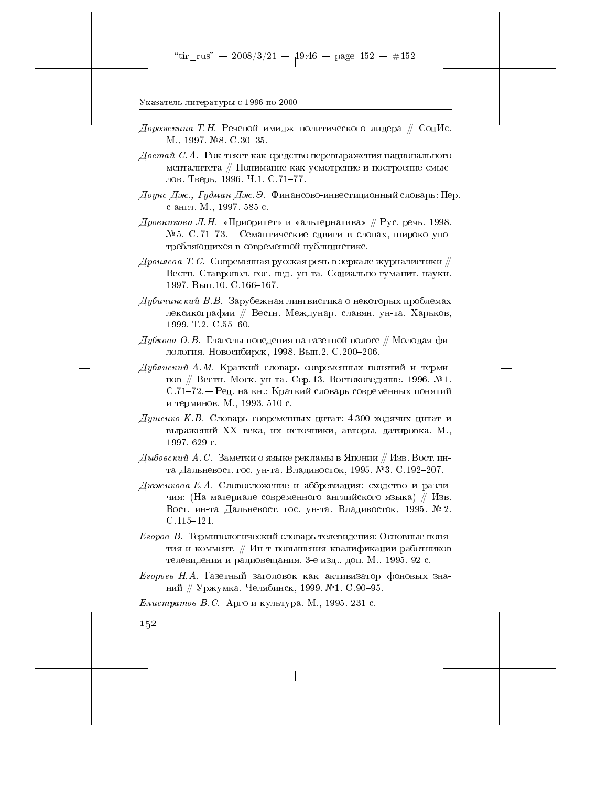- Дорожкина Т.Н. Речевой имидж политического лидера  $\#$  СоцИс. M., 1997. №8. C 30-35.
- $\emph{Qocm}$ ай  $\emph{C.A.}$  Рок-текст как средство перевыражения национального менталитета // Понимание как усмотрение и построение смыслов. Тверь, 1996. Ч.1. С.71-77.
- Доунс Дж., Гудман Дж. Э. Финансово-инвестиционный словарь: Пер. с англ. М., 1997. 585 с.
- Дровникова Л.Н. «Приоритет» и «альтернатива» // Рус. речь. 1998. № 5. С. 71-73. — Семантические сдвиги в словах, широко употребляющихся в современной публицистике.
- $\emph{Jp}$ оняева Т.С. Современная русская речь в зеркале журналистики  $\mathbin{\#}$ Вестн. Ставропол. гос. пед. ун-та. Социально-гуманит. науки. 1997. Вып. 10. С. 166-167.
- Дубичинский В.В. Зарубежная лингвистика о некоторых проблемах лексикографии // Вестн. Междунар. славян. ун-та. Харьков, 1999 T.2 C.55-60
- Дубкова О.В. Глаголы поведения на газетной полосе // Молодая филология. Новосибирск, 1998. Вып.2. С.200-206.
- Дубянский А.М. Краткий словарь современных понятий и терминов // Вестн. Моск. ун-та. Сер. 13. Востоковедение. 1996. №1. С.71-72. – Рец. на кн.: Краткий словарь современных понятий и терминов. М., 1993. 510 с.
- Душенко К.В. Словарь современных цитат: 4300 ходячих цитат и выражений XX века, их источники, авторы, датировка. М., 1997. 629 с.
- Дыбовский А.С. Заметки о языке рекламы в Японии // Изв. Вост. инта Дальневост. гос. ун-та. Владивосток, 1995. №3. С.192-207.
- Дюжикова Е.А. Словосложение и аббревиация: сходство и различия: (На материале современного английского языка) // Изв. Вост. ин-та Дальневост. гос. ун-та. Владивосток, 1995. № 2.  $C.115 - 121.$
- $E$ горов В. Терминологический словарь телевидения: Основные понятия и коммент. // Ин-т повышения квалификации работников телевидения и радиовещания. 3-е изд., доп. М., 1995. 92 с.
- Егорьев Н.А. Газетный заголовок как активизатор фоновых знаний // Уржумка. Челябинск, 1999. №1. С.90-95.

*Елистратов В.С.* Арго и культура. М., 1995. 231 с.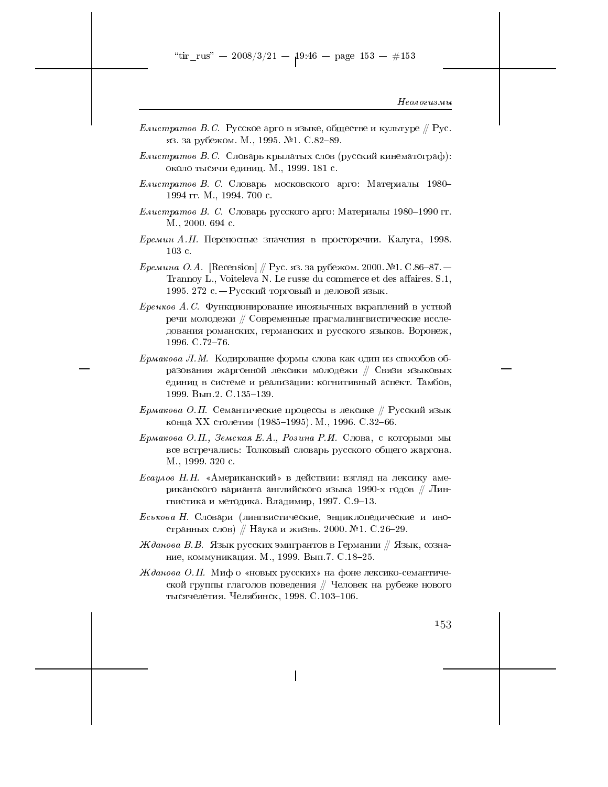- *Елистратов В.С.* Русское арго в языке, обществе и культуре  $\#$  Рус. яз. за рубежом. М., 1995. №1. С.82-89.
- *Елистратов В.С.* Словарь крылатых слов (русский кинематограф): около тысячи единиц. М., 1999. 181 с.
- Елистратов В. С. Словарь московского арго: Материалы 1980-1994 гг. М., 1994. 700 с.
- Елистратов В. С. Словарь русского арго: Материалы 1980-1990 гг. М., 2000. 694 с.
- Еремин А.Н. Переносные значения в просторечии. Калуга, 1998.  $103c$ .
- *Еремина О.А.* [Recension] // Рус. яз. за рубежом. 2000. №1. С.86–87. Trannoy L., Voiteleva N. Le russe du commerce et des affaires. S.1, 1995. 272 с. — Русский торговый и деловой язык.
- $E$ ренков А.С. Функционирование иноязычных вкраплений в устной речи молодежи // Современные прагмалингвистические исследования романских, германских и русского языков. Воронеж, 1996. C.72-76.
- *Ермакова Л.М.* Кодирование формы слова как один из способов образования жаргонной лексики молодежи // Связи языковых единиц в системе и реализации: когнитивный аспект. Тамбов, 1999. Вып.2. С.135-139.
- Ермакова О.П. Семантические процессы в лексике  $//$  Русский язык конца XX столетия (1985-1995). М., 1996. С.32-66.
- Ермакова О.П., Земская Е.А., Розина Р.И. Слова, с которыми мы все встречались: Толковый словарь русского общего жаргона. М., 1999. 320 с.
- $Ecay\omega_6$  Н. Н. «Американский» в действии: взгляд на лексику американского варианта английского языка 1990-х годов // Лингвистика и методика. Владимир, 1997. С.9-13.
- Еськова Н. Словари (лингвистические, энциклопедические и иностранных слов) // Наука и жизнь. 2000. №1. С.26-29.
- Жданова В.В. Язык русских эмигрантов в Германии // Язык, сознание, коммуникация. М., 1999. Вып. 7. С.18-25.
- Жданова О.П. Миф о «новых русских» на фоне лексико-семантической группы глаголов поведения // Человек на рубеже нового тысячелетия. Челябинск, 1998. С.103-106.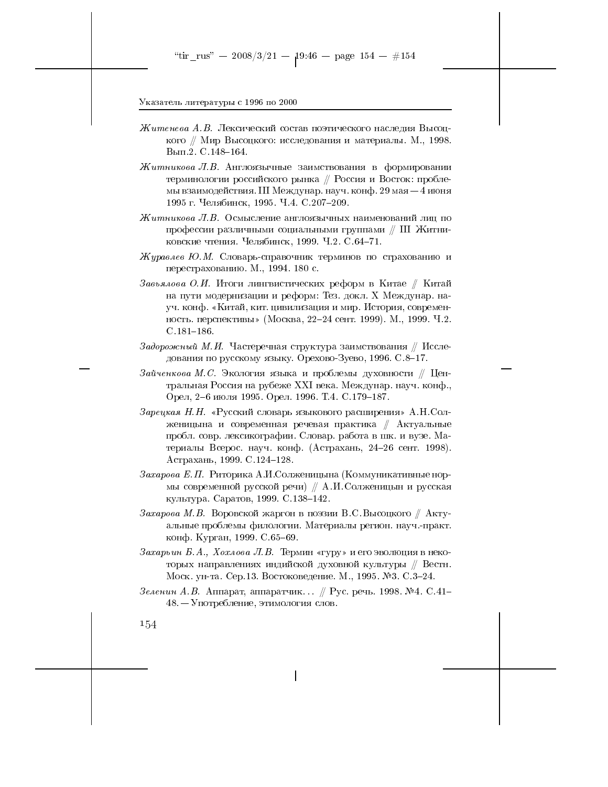- Житенева А.В. Лексический состав поэтического наследия Высоцкого // Мир Высоцкого: исследования и материалы. М., 1998. Вып.2. С.148-164.
- $Xumnu\n kooa J.B.$  Англоязычные заимствования в формировании терминологии российского рынка // Россия и Восток: проблемы взаимодействия. III Междунар. науч. конф. 29 мая - 4 июня 1995 г. Челябинск, 1995. Ч.4. С.207-209.
- Житникова Л.В. Осмысление англоязычных наименований лиц по профессии различными социальными группами // III Житниковские чтения. Челябинск, 1999. Ч.2. С.64-71.
- Журавлев Ю.М. Словарь-справочник терминов по страхованию и перестрахованию. М., 1994. 180 с.
- Завьялова О.И. Итоги лингвистических реформ в Китае // Китай на пути модернизации и реформ: Тез. докл. Х Междунар. науч. конф. «Китай, кит. цивилизация и мир. История, современность. перспективы» (Москва, 22-24 сент. 1999). М., 1999. Ч.2.  $C.181 - 186.$
- Задорожный М.И. Частеречная структура заимствования  $\#$  Исследования по русскому языку. Орехово-Зуево, 1996. С.8-17.
- Зайченкова М.С. Экология языка и проблемы духовности // Центральная Россия на рубеже XXI века. Междунар. науч. конф., Орел, 2-6 июля 1995. Орел. 1996. Т.4. С.179-187.
- Зарецкая Н.Н. «Русский словарь языкового расширения» А.Н. Солженицына и современная речевая практика // Актуальные пробл. совр. лексикографии. Словар. работа в шк. и вузе. Материалы Всерос. науч. конф. (Астрахань, 24-26 сент. 1998). Астрахань, 1999. С.124-128.
- Захарова Е.П. Риторика А.И.Солженицына (Коммуникативные нормы современной русской речи) // А.И. Солженицын и русская культура. Саратов, 1999. С. 138-142.
- Захарова М.В. Воровской жаргон в поэзии В.С. Высоцкого  $\#$  Актуальные проблемы филологии. Материалы регион. науч.-практ. конф. Курган, 1999. С.65-69.
- Захарьин Б.А., Хохлова Л.В. Термин «гуру» и его эволюция в некоторых направлениях индийской духовной культуры // Вестн. Моск. ун-та. Сер.13. Востоковедение. М., 1995. №3. С.3–24.
- Зеленин А.В. Аппарат, аппаратчик... // Рус. речь. 1998. №4. С.41-48. - Употребление, этимология слов.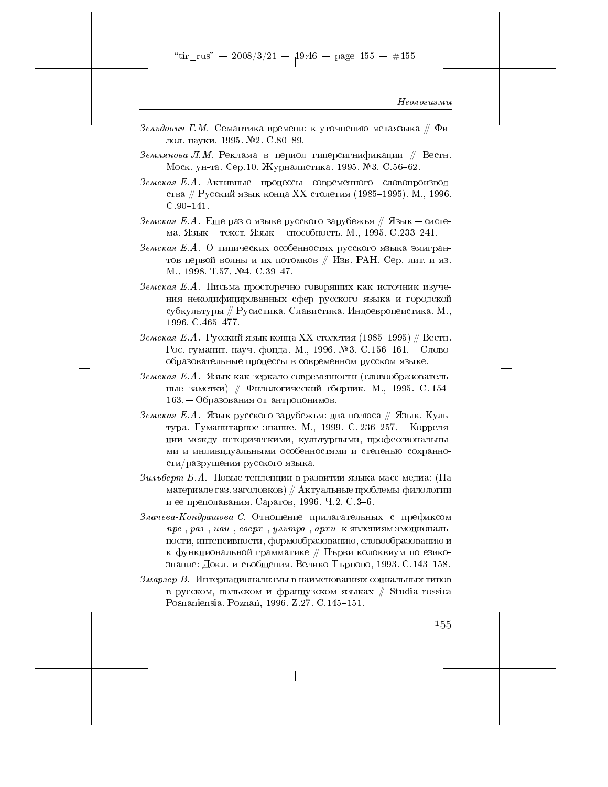- Зельдович Г.М. Семантика времени: к уточнению метаязыка  $\#$  Филол. науки. 1995. №2. С.80-89.
- Землянова Л.М. Реклама в период гиперсигнификации // Вестн. Моск. ун-та. Сер.10. Журналистика. 1995. №3. С.56-62.
- Земская Е.А. Активные процессы современного словопроизводства // Русский язык конца XX столетия (1985–1995). М., 1996.  $C.90-141.$
- Земская Е.А. Еще раз о языке русского зарубежья  $\#$  Язык система. Язык — текст. Язык — способность. М., 1995. С.233-241.
- Земская Е.А. О типических особенностях русского языка эмигрантов первой волны и их потомков // Изв. РАН. Сер. лит. и яз. М., 1998. Т.57, №4. С.39-47.
- Земская Е.А. Письма просторечно говорящих как источник изучения некодифицированных сфер русского языка и городской субкультуры // Русистика. Славистика. Индоевропеистика. М., 1996. C. 465-477.
- Земская Е.А. Русский язык конца XX столетия (1985–1995) // Вестн. Рос. гуманит. науч. фонда. М., 1996. №3. С. 156-161. - Словообразовательные процессы в современном русском языке.
- Земская Е.А. Язык как зеркало современности (словообразовательные заметки) // Филологический сборник. М., 1995. С. 154-163. – Образования от антропонимов.
- Земская Е.А. Язык русского зарубежья: два полюса // Язык. Культура. Гуманитарное знание. М., 1999. С. 236-257. — Корреляции между историческими, культурными, профессиональными и индивидуальными особенностями и степенью сохранности/разрушения русского языка.
- материале газ. заголовков) // Актуальные проблемы филологии и ее преподавания. Саратов, 1996. Ч.2. С.3-6.
- Злачева-Кондрашова С. Отношение прилагательных с префиксом пре-, раз-, наи-, сверх-, ультра-, архи- к явлениям эмоциональности, интенсивности, формообразованию, словообразованию и к функциональной грамматике // Първи колоквиум по езикознание: Докл. и съобщения. Велико Търново, 1993. С.143-158.
- Змарзер В. Интернационализмы в наименованиях социальных типов в русском, польском и французском языках // Studia rossica Posnaniensia. Poznań, 1996. Z.27. C.145-151.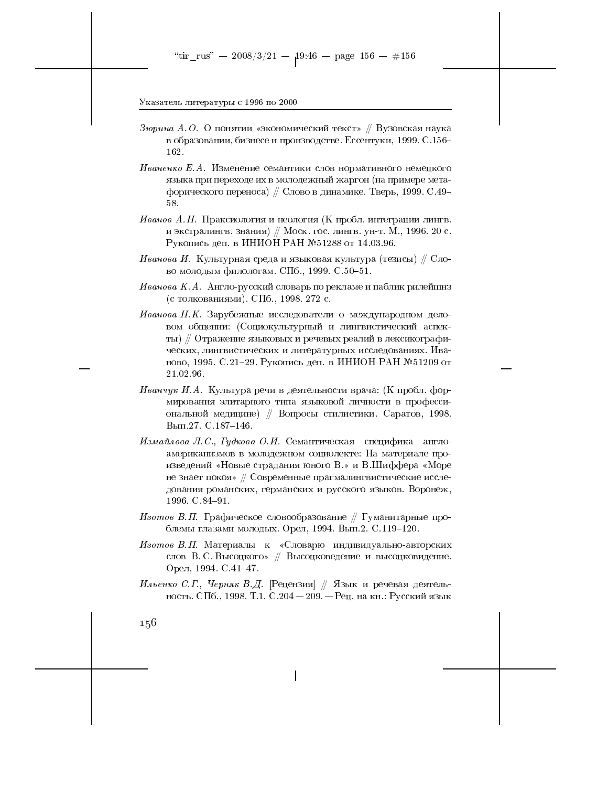- Зюрина А.О. О понятии «экономический текст» // Вузовская наука в образовании, бизнесе и производстве. Ессентуки, 1999. С.156-162.
- Иваненко Е.А. Изменение семантики слов нормативного немецкого языка при переходе их в молодежный жаргон (на примере метафорического переноса) // Слово в динамике. Тверь, 1999. С.49-58.
- Иванов А.Н. Праксиология и неология (К пробл. интеграции лингв. и экстралингв. знания) // Моск. гос. лингв. ун-т. М., 1996. 20 с. Рукопись деп. в ИНИОН РАН №51288 от 14.03.96.
- Иванова И. Культурная среда и языковая культура (тезисы) // Слово молодым филологам. СПб., 1999. С.50-51.
- Иванова К.А. Англо-русский словарь по рекламе и паблик рилейшнз (с толкованиями). СПб., 1998. 272 с.
- Иванова Н.К. Зарубежные исследователи о международном деловом общении: (Социокультурный и лингвистический аспекты) // Отражение языковых и речевых реалий в лексикографических, лингвистических и литературных исследованиях. Иваново, 1995. С.21-29. Рукопись деп. в ИНИОН РАН №51209 от 21.02.96.
- Иванчук И.А. Культура речи в деятельности врача: (К пробл. формирования элитарного типа языковой личности в профессиональной медицине) // Вопросы стилистики. Саратов, 1998. Вып.27. С.187-146.
- Измайлова Л.С., Гудкова О.И. Семантическая специфика англоамериканизмов в молодежном социолекте: На материале произведений «Новые страдания юного В.» и В.Шиффера «Море не знает покоя» // Современные прагмалингвистические исследования романских, германских и русского языков. Воронеж, 1996. C 84-91.
- Изотов В.П. Графическое словообразование  $//$  Гуманитарные проблемы глазами молодых. Орел, 1994. Вып.2. С.119-120.
- Изотов В.П. Материалы к «Словарю индивидуально-авторских слов В. С. Высоцкого» // Высоцковедение и высоцковидение. Орел, 1994. С.41-47.
- Ильенко С.Г., Черняк В.Д. [Рецензия] // Язык и речевая деятельность. СПб., 1998. Т.1. С.204 - 209. - Рец. на кн.: Русский язык

 $1,56$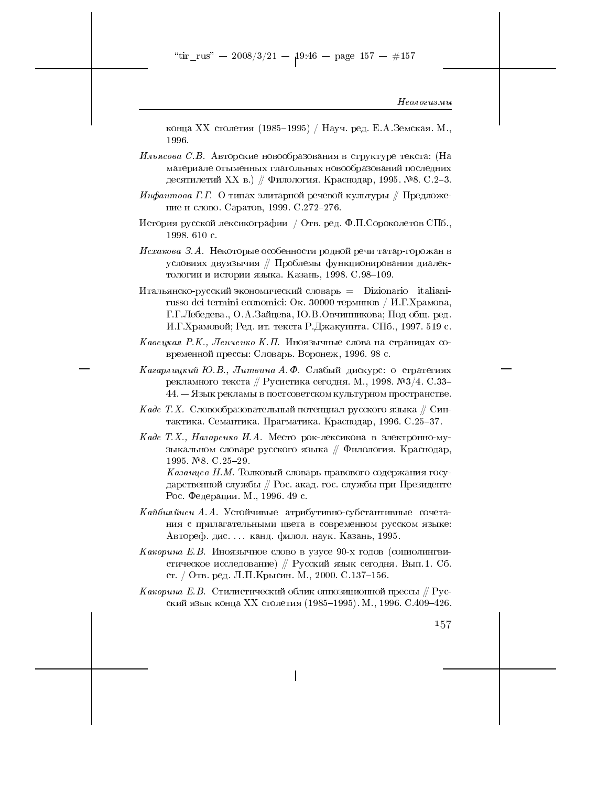конца XX столетия (1985–1995) / Науч. ред. Е. А. Земская. М., 1996.

- ${\it Unbsa} co$ ва С.В. Авторские новообразования в структуре текста: (На материале отыменных глагольных новообразований последних десятилетий XX в.) // Филология. Краснодар, 1995. №8. С.2-3.
- Инфантова Г.Г. О типах элитарной речевой культуры // Предложение и слово. Саратов, 1999. С.272-276.
- История русской лексикографии / Отв. ред. Ф.П. Сороколетов СПб., 1998. 610 с.
- Исхакова З.А. Некоторые особенности родной речи татар-горожан в условиях двуязычия // Проблемы функционирования диалектологии и истории языка. Казань, 1998. С. 98-109.
- Итальянско-русский экономический словарь = Dizionario italianirusso dei termini economici: Ок. 30000 терминов / И.Г.Храмова, Г.Г. Лебедева., О.А. Зайцева, Ю.В. Овчинникова; Под общ. ред. И.Г.Храмовой; Ред. ит. текста Р.Джакуинта. СПб., 1997. 519 с.
- Кавецкая Р.К., Ленченко К.П. Иноязычные слова на страницах современной прессы: Словарь. Воронеж, 1996. 98 с.
- Кагарлицкий Ю.В., Литвина А.Ф. Слабый дискурс: о стратегиях рекламного текста // Русистика сегодня. М., 1998. №3/4. С.33-44. – Язык рекламы в постсоветском культурном пространстве.
- Каде Т.Х. Словообразовательный потенциал русского языка // Синтактика. Семантика. Прагматика. Краснодар, 1996. С.25–37.
- Каде Т.Х., Назаренко И.А. Место рок-лексикона в электронно-музыкальном словаре русского языка // Филология. Краснодар, 1995.  $N$ <sup>8</sup>. C.25-29.
	- Казанцев Н.М. Толковый словарь правового содержания государственной службы // Рос. акад. гос. службы при Президенте Рос. Федерации. М., 1996. 49 с.
- Кайбияйнен А.А. Устойчивые атрибутивно-субстантивные сочетания с прилагательными цвета в современном русском языке: Автореф. дис.... канд. филол. наук. Казань, 1995.
- Какорина Е.В. Иноязычное слово в узусе 90-х годов (социолингвистическое исследование) // Русский язык сегодня. Вып. 1. Сб. ст. / Отв. ред. Л.П. Крысин. М., 2000. С.137-156.
- $Ka$ корина Е.В. Стилистический облик оппозиционной прессы // Русский язык конца XX столетия (1985-1995). М., 1996. С.409-426.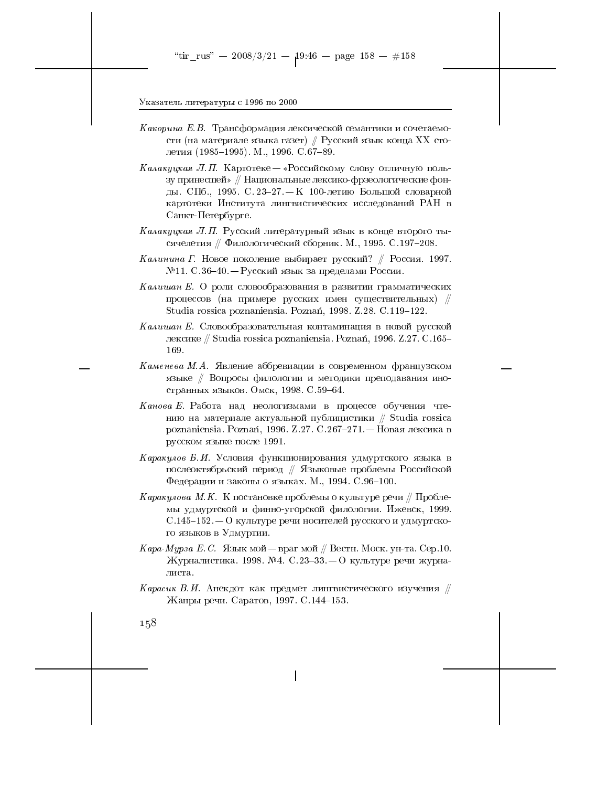- Какорина Е.В. Трансформация лексической семантики и сочетаемости (на материале языка газет) // Русский язык конца XX столетия (1985-1995). М., 1996. С.67-89.
- Калакуцкая Л.П. Картотеке «Российскому слову отличную пользу принесшей» // Национальные лексико-фрзеологические фонды. СПб., 1995. С. 23-27. - К 100-летию Большой словарной картотеки Института лингвистических исследований РАН в Санкт-Петербурге.
- Калакуцкая Л.П. Русский литературный язык в конце второго тысячелетия // Филологический сборник. М., 1995. С.197-208.
- Калинина Г. Новое поколение выбирает русский? // Россия. 1997.  $N$ <sup>2</sup>11. С.36-40. — Русский язык за пределами России.
- Калишан Е. О роли словообразования в развитии грамматических процессов (на примере русских имен существительных) // Studia rossica poznaniensia. Poznań, 1998. Z.28. C.119-122.
- Калишан Е. Словообразовательная контаминация в новой русской лексике // Studia rossica poznaniensia. Poznań, 1996. Z.27. C.165-169.
- Каменева М.А. Явление аббревиации в современном французском языке // Вопросы филологии и методики преподавания иностранных языков. Омск, 1998. С.59-64.
- Канова Е. Работа над неологизмами в процессе обучения чтению на материале актуальной публицистики // Studia rossica poznaniensia. Poznań, 1996. Z.27. С.267-271. – Новая лексика в русском языке после 1991.
- Каракулов Б.И. Условия функционирования удмуртского языка в послеоктябрьский период // Языковые проблемы Российской Федерации и законы о языках. М., 1994. С.96-100.
- Каракулова М.К. К постановке проблемы о культуре речи  $\#$  Проблемы удмуртской и финно-угорской филологии. Ижевск, 1999.  $C.145-152-0$  культуре речи носителей русского и удмуртского языков в Удмуртии.
- *Кара-Мурза Е.С. Я*зык мой враг мой // Вестн. Моск. ун-та. Сер.10. Журналистика. 1998. №4. С.23-33. – О культуре речи журналиста.
- $Kapacu$ к В.И. Анекдот как предмет лингвистического изучения  $\#$ Жанры речи. Саратов, 1997. С.144-153.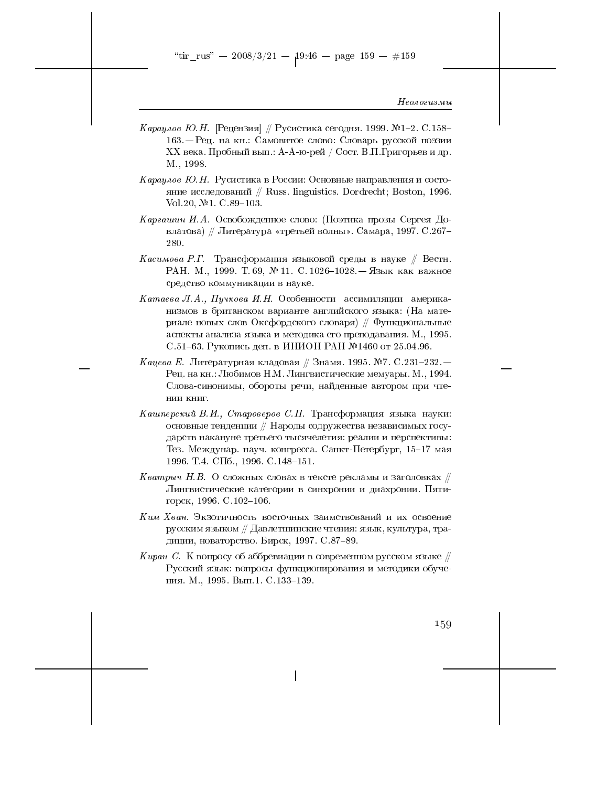- *Караулов Ю.Н.* [Рецензия] ∥ Русистика сегодня. 1999. №1–2. С.158– 163. - Рец. на кн.: Самовитое слово: Словарь русской поэзии XX века. Пробный вып.: А-А-ю-рей / Сост. В.П. Григорьев и др. M., 1998.
- Караулов Ю.Н. Русистика в России: Основные направления и состояние исследований  $//$  Russ. linguistics. Dordrecht; Boston, 1996. Vol. 20, №1. C.89-103.
- Каргашин И.А. Освобожденное слово: (Поэтика прозы Сергея Довлатова) // Литература «третьей волны». Самара, 1997. С.267-280.
- *Касимова Р.Г.* Трансформация языковой среды в науке // Вестн. РАН. М., 1999. Т.69, №11. С. 1026-1028. - Язык как важное средство коммуникации в науке.
- Катаева Л.А., Пучкова И.Н. Особенности ассимиляции американизмов в британском варианте английского языка: (На материале новых слов Оксфордского словаря)  $\#$  Функциональные аспекты анализа языка и методика его преподавания. М., 1995. С.51-63. Рукопись деп. в ИНИОН РАН №1460 от 25.04.96.
- Кацева Е. Литературная кладовая // Знамя. 1995. №7. С.231-232. Рец. на кн.: Любимов Н.М. Лингвистические мемуары. М., 1994. Слова-синонимы, обороты речи, найденные автором при чтении книг.
- Кашперский В.И., Староверов С.П. Трансформация языка науки: основные тенденции // Народы содружества независимых государств накануне третьего тысячелетия: реалии и перспективы: Тез. Междунар. науч. конгресса. Санкт-Петербург, 15-17 мая 1996. Т.4. СПб., 1996. С. 148-151.
- Кватрыч Н.В. О сложных словах в тексте рекламы и заголовках  $\#$ Лингвистические категории в синхронии и диахронии. Пятигорск, 1996. С. 102-106.
- Ким Хван. Экзотичность восточных заимствований и их освоение русским языком // Давлетшинские чтения: язык, культура, традиции, новаторство. Бирск, 1997. С.87-89.
- Киран С. К вопросу об аббревиации в современном русском языке  $\#$ Русский язык: вопросы функционирования и методики обучения. М., 1995. Вып.1. С.133-139.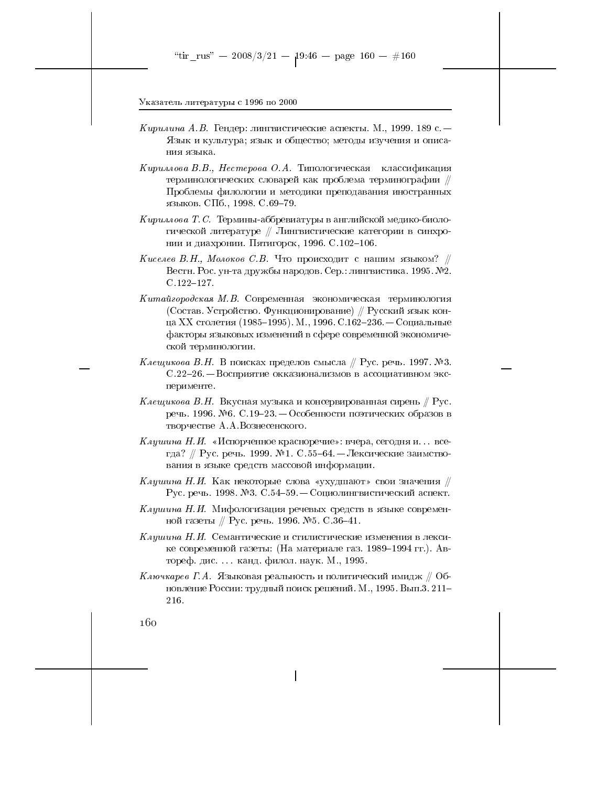- *Кирилина А.В.* Гендер: лингвистические аспекты. М., 1999. 189 с. Язык и культура; язык и общество; методы изучения и описания языка.
- Кириллова В.В., Нестерова О.А. Типологическая классификация терминологических словарей как проблема терминографии // Проблемы филологии и методики преподавания иностранных языков. СПб., 1998. С.69-79.
- $Kupu$ лова Т. С. Термины-аббревиатуры в английской медико-биологической литературе // Лингвистические категории в синхронии и диахронии. Пятигорск, 1996. С.102-106.
- Киселев В.Н., Молоков С.В. Что происходит с нашим языком?  $\#$ Вестн. Рос. ун-та дружбы народов. Сер.: лингвистика. 1995. №2.  $C.122 - 127.$
- $Kuma\check u$ городская М.В. Современная экономическая терминология (Состав. Устройство. Функционирование) // Русский язык конца XX столетия (1985–1995). М., 1996. С.162–236. — Социальные факторы языковых изменений в сфере современной экономической терминологии.
- Клещикова В.Н. В поисках пределов смысла  $/ \hspace{-1.25cm}/$  Рус. речь. 1997. №3. С. 22-26. – Восприятие окказионализмов в ассоциативном эксперименте.
- *Клещикова В.Н.* Вкусная музыка и консервированная сирень // Рус. речь. 1996. №6. С.19-23. — Особенности поэтических образов в творчестве А.А. Вознесенского.
- Клушина Н.И. «Испорченное красноречие»: вчера, сегодня и... всегда? // Рус. речь. 1999. №1. С.55-64. — Лексические заимствования в языке средств массовой информации.
- Клушина Н.И. Как некоторые слова «ухудшают» свои значения  $\#$ Рус. речь. 1998. №3. С.54-59. — Социолингвистический аспект.
- Клушина Н.И. Мифологизация речевых средств в языке современной газеты // Рус. речь. 1996. №5. С.36-41.
- *Клушина Н.И.* Семантические и стилистические изменения в лексике современной газеты: (На материале газ. 1989–1994 гг.). Автореф. дис.... канд. филол. наук. М., 1995.
- $K$ лючкарев Г.А. Языковая реальность и политический имидж  $\#$  Обновление России: трудный поиск решений. М., 1995. Вып.3. 211-216.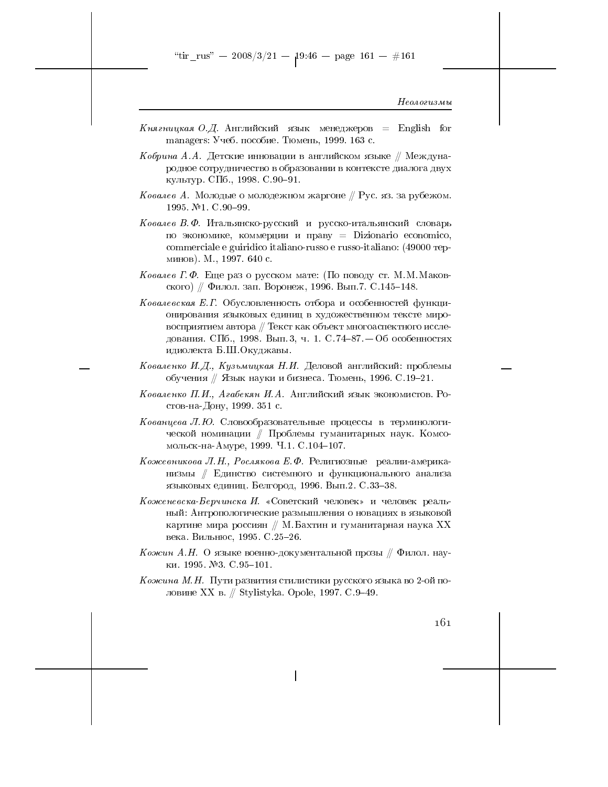Княгницкая О.Д. Английский язык менеджеров = English for managers: Учеб. пособие. Тюмень, 1999. 163 с.

 $\emph{Ko6puna}$  А.А. Детские инновации в английском языке // Международное сотрудничество в образовании в контексте диалога двух культур. СПб., 1998. С.90-91.

- Ковалев А. Молодые о молодежном жаргоне  $\#$  Рус. яз. за рубежом. 1995. №1. С.90-99.
- Ковалев В. Ф. Итальянско-русский и русско-итальянский словарь по экономике, коммерции и праву  $\equiv$  Dizionario economico, commerciale e guiridico italiano-russo e russo-italiano: (49000 repминов). М., 1997. 640 с.
- *Ковалев* Г.Ф. Еще раз о русском мате: (По поводу ст. М.М. Маковского) // Филол. зап. Воронеж, 1996. Вып. 7. С.145-148.
- Ковалевская Е.Г. Обусловленность отбора и особенностей функционирования языковых единиц в художественном тексте мировосприятием автора // Текст как объект многоаспектного исследования. СПб., 1998. Вып. 3, ч. 1. С. 74-87. - Об особенностях идиолекта Б.Ш. Окуджавы.
- Коваленко И.Д., Кузьмицкая Н.И. Деловой английский: проблемы обучения // Язык науки и бизнеса. Тюмень, 1996. С.19-21.
- Коваленко П.И., Агабекян И.А. Английский язык экономистов. Ростов-на-Дону, 1999. 351 с.
- Кованцева Л. Ю. Словообразовательные процессы в терминологической номинации // Проблемы гуманитарных наук. Комсомольск-на-Амуре, 1999. Ч.1. С.104-107.
- Кожевникова Л.Н., Рослякова Е.Ф. Религиозные реалии-американизмы // Единство системного и функционального анализа языковых единиц. Белгород, 1996. Вып.2. С.33-38.
- Коженевска-Берчинска И. «Советский человек» и человек реальный: Антропологические размышления о новациях в языковой картине мира россиян  $//$  М. Бахтин и гуманитарная наука XX века. Вильнюс, 1995. С. 25-26.
- Кожин А.Н. О языке военно-документальной прозы  $\#$  Филол. науки. 1995. №3. С. 95-101.
- Кожина М.Н. Пути развития стилистики русского языка во 2-ой половине XX в. // Stylistyka. Opole, 1997. С.9-49.

 $161$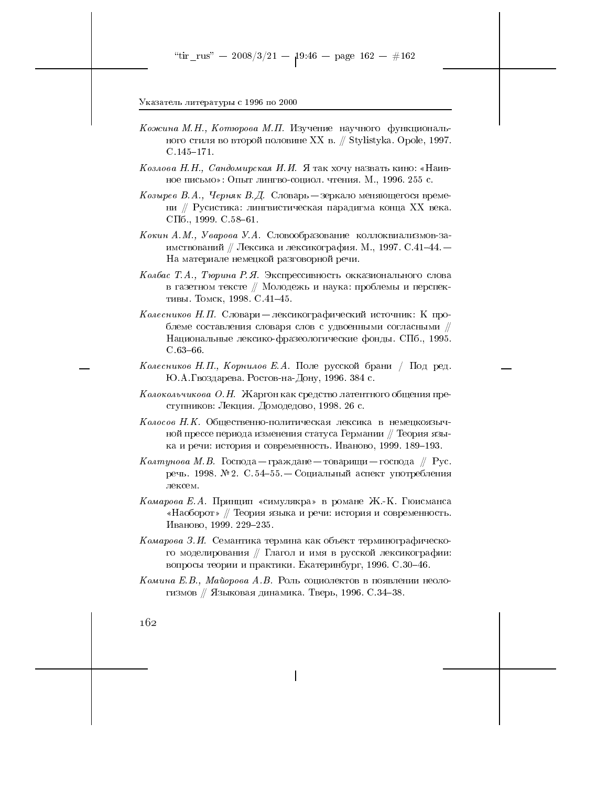- Кожина М.Н., Котюрова М.П. Изучение научного функционального стиля во второй половине XX в. // Stylistyka. Opole, 1997.  $C.145 - 171.$
- Козлова Н.Н., Сандомирская И.И. Я так хочу назвать кино: «Наивное письмо»: Опыт лингво-социол. чтения. М., 1996. 255 с.
- Козырев В.А., Черняк В.Д. Словарь зеркало меняющегося времени // Русистика: лингвистическая парадигма конца XX века. СПб., 1999. С.  $58-61$ .
- Кокин А.М., Уварова У.А. Словообразование коллоквиализмов-заимствований // Лексика и лексикография. М., 1997. С.41-44. -На материале немецкой разговорной речи.
- Колбас Т.А., Тюрина Р.Я. Экспрессивность окказионального слова в газетном тексте // Молодежь и наука: проблемы и перспективы. Томск, 1998. С.41-45.
- Колесников Н.П. Словари лексикографический источник: К проблеме составления словаря слов с удвоенными согласными // Национальные лексико-фразеологические фонды. СПб., 1995.  $C.63-66.$
- Колесников Н.П., Корнилов Е.А. Поле русской брани / Под ред. Ю.А.Гвоздарева. Ростов-на-Дону, 1996. 384 с.
- Колокольчикова О.Н. Жаргон как средство латентного общения преступников: Лекция. Домодедово, 1998. 26 с.
- Колосов Н.К. Общественно-политическая лексика в немецкоязычной прессе периода изменения статуса Германии // Теория языка и речи: история и современность. Иваново, 1999. 189-193.
- Колтунова М. В. Господа граждане товарищи господа // Рус. речь. 1998.  $\mathbb{N}^2$ 2. С. 54-55. — Социальный аспект употребления лексем.
- Комарова Е.А. Принцип «симулякра» в романе Ж.-К. Гюисманса «Наоборот» // Теория языка и речи: история и современность. Иваново, 1999. 229-235.
- Комарова З.И. Семантика термина как объект терминографического моделирования // Глагол и имя в русской лексикографии: вопросы теории и практики. Екатеринбург, 1996. С.30-46.
- Комина Е.В., Майорова А.В. Роль социолектов в появлении неологизмов // Языковая динамика. Тверь, 1996. С.34-38.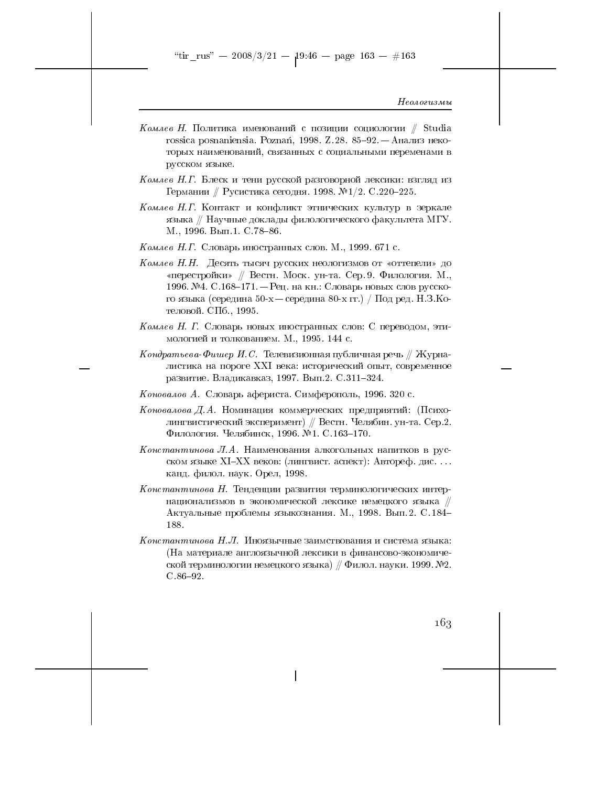"tir\_rus" -- 2008/3/21 --  $19.46$  -- page 163 -- #163

Неологизмы

- $K$ омлев H. Политика именований с позиции социологии // Studia rossica posnaniensia. Poznań, 1998. Z.28. 85-92. - Анализ некоторых наименований, связанных с социальными переменами в русском языке.
- Комлев Н.Г. Блеск и тени русской разговорной лексики: взгляд из Германии // Русистика сегодня. 1998. №1/2. С.220-225.
- Комлев Н.Г. Контакт и конфликт этнических культур в зеркале языка // Научные доклады филологического факультета МГУ. М., 1996. Вып.1. С. 78-86.
- Комлев Н.Г. Словарь иностранных слов. М., 1999. 671 с.
- Комлев Н.Н. Десять тысяч русских неологизмов от «оттепели» до «перестройки» // Вестн. Моск. ун-та. Сер. 9. Филология. М., 1996. №4. С.168-171. – Рец. на кн.: Словарь новых слов русского языка (середина 50-х — середина 80-х гг.) / Под ред. Н.З.Котеловой. СПб., 1995.
- Комлев Н. Г. Словарь новых иностранных слов: С переводом, этимологией и толкованием. М., 1995. 144 с.
- $K$ ондратьева-Фишер И. С. Телевизионная публичная речь  $\#$  Журналистика на пороге XXI века: исторический опыт, современное развитие. Владикавказ, 1997. Вып. 2. С. 311-324.
- Коновалов А. Словарь афериста. Симферополь, 1996. 320 с.
- Коновалова Д.А. Номинация коммерческих предприятий: (Психолингвистический эксперимент) // Вестн. Челябин. ун-та. Сер.2. Филология. Челябинск, 1996. №1. С.163-170.
- Константинова Л.А. Наименования алкогольных напитков в русском языке XI-XX веков: (лингвист. аспект): Автореф. дис.... канд. филол. наук. Орел, 1998.
- Константинова Н. Тенденции развития терминологических интернационализмов в экономической лексике немецкого языка // Актуальные проблемы языкознания. М., 1998. Вып. 2. С. 184-188.
- Константинова Н.Л. Иноязычные заимствования и система языка: (На материале англоязычной лексики в финансово-экономической терминологии немецкого языка)  $/ \phi$ илол. науки. 1999. №2.  $C.86 - 92.$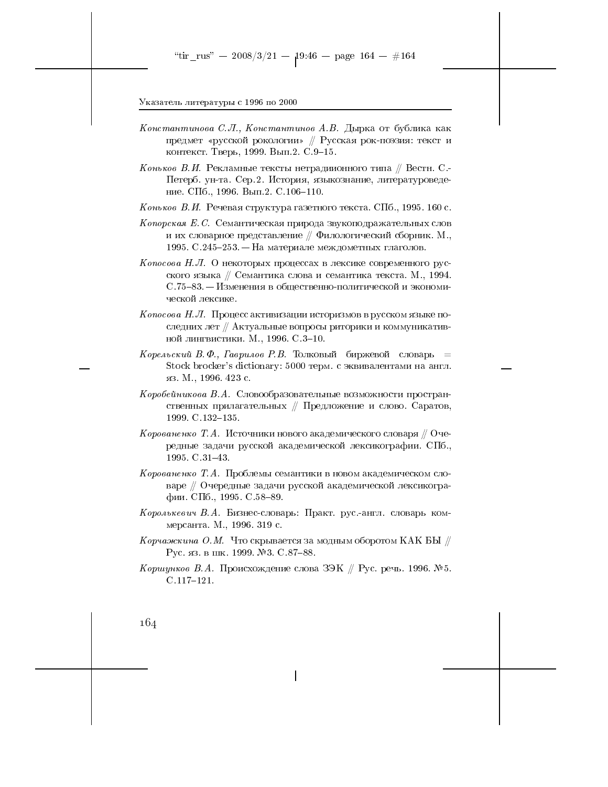- Константинова С.Л., Константинов А.В. Дырка от бублика как предмет «русской рокологии» // Русская рок-поэзия: текст и контекст. Тверь, 1999. Вып.2. С.9-15.
- $K$ оньков В.И. Рекламные тексты нетрадиионного типа // Вестн. С.-Петерб. ун-та. Сер. 2. История, языкознание, литературоведение. СПб., 1996. Вып. 2. С. 106-110.
- Коньков В.И. Речевая структура газетного текста. СПб., 1995. 160 с.
- Копорская Е.С. Семантическая природа звукоподражательных слов и их словарное представление  $//$  Филологический сборник. М., 1995. С.245-253. – На материале междометных глаголов.
- Копосова Н.Л. О некоторых процессах в лексике современного русского языка // Семантика слова и семантика текста. М., 1994. С. 75-83. – Изменения в общественно-политической и экономической лексике.
- $Konoco$ ва  $H$ . Л. Процесс активизации историзмов в русском языке последних лет // Актуальные вопросы риторики и коммуникативной лингвистики. М., 1996. С.3-10.
- Корельский В.Ф., Гаврилов Р.В. Толковый биржевой словарь = Stock brocker's dictionary: 5000 терм. с эквивалентами на англ. яз. М., 1996. 423 с.
- Коробейникова В.А. Словообразовательные возможности пространственных прилагательных // Предложение и слово. Саратов, 1999. C.132-135.
- Корованенко Т.А. Источники нового академического словаря  $\#$  Очередные задачи русской академической лексикографии. СПб., 1995. C.31-43.
- Корованенко Т.А. Проблемы семантики в новом академическом словаре // Очередные задачи русской академической лексикографии. СПб., 1995. С.58-89.
- Королькевич В.А. Бизнес-словарь: Практ. рус.-англ. словарь коммерсанта. М., 1996. 319 с.
- Корчажкина О.М. Что скрывается за модным оборотом КАК БЫ  $\#$ Рус. яз. в шк. 1999. №3. С. 87-88.
- Коршунков В.А. Происхождение слова ЗЭК // Рус. речь. 1996. №5.  $C.117 - 121.$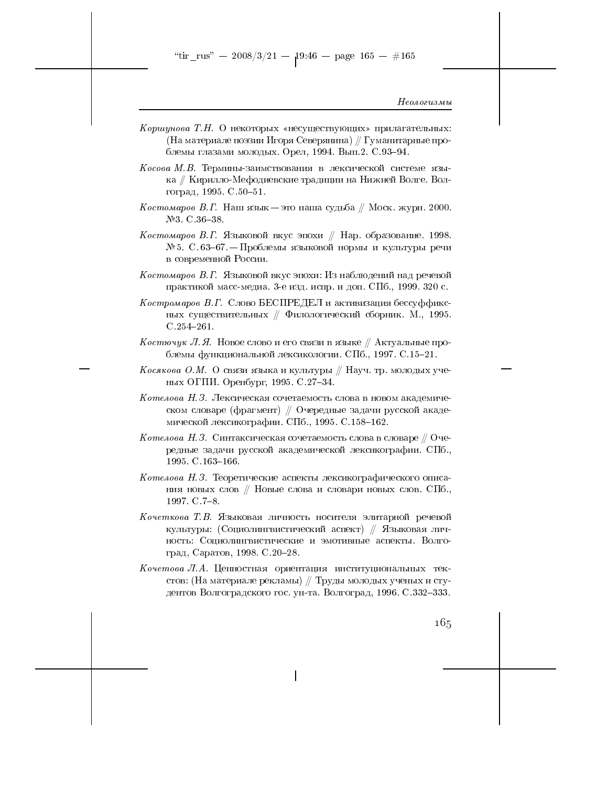- Коршунова Т.Н. О некоторых «несуществующих» прилагательных: (На материале поэзии Игоря Северянина) // Гуманитарные проблемы глазами молодых. Орел, 1994. Вып.2. С.93-94.
- $Kocoba$  М.В. Термины-заимствования в лексической системе языка // Кирилло-Мефодиевские традиции на Нижней Волге. Волгоград, 1995. С. 50-51.
- $Kocmowapoe$  В.Г. Наш язык $-$ это наша судьба // Моск. журн. 2000.  $N<sup>2</sup>3$ . C. 36-38.
- Костомаров В.Г. Языковой вкус эпохи  $//$  Нар. образование. 1998. № 5. С.63-67. — Проблемы языковой нормы и культуры речи в современной России.
- Костомаров В.Г. Языковой вкус эпохи: Из наблюдений над речевой практикой масс-медиа. 3-е изд. испр. и доп. СПб., 1999. 320 с.
- $Kocmpomapoe$  В. Г. Слово БЕСПРЕДЕЛ и активизация бессуффиксных существительных  $\#$  Филологический сборник. М., 1995.  $C.254 - 261.$
- *Костючук Л.Я.* Новое слово и его связи в языке // Актуальные проблемы функциональной лексикологии. СПб., 1997. С.15-21.
- Косякова О.М. О связи языка и культуры // Науч. тр. молодых ученых ОГПИ. Оренбург, 1995. С.27-34.
- Котелова Н. З. Лексическая сочетаемость слова в новом академическом словаре (фрагмент) // Очередные задачи русской академической лексикографии. СПб., 1995. С.158-162.
- $Komeno$ ва  $H$ . З. Синтаксическая сочетаемость слова в словаре // Очередные задачи русской академической лексикографии. СПб., 1995 C.163-166.
- $K$ отелова Н.З. Теоретические аспекты лексикографического описания новых слов // Новые слова и словари новых слов. СПб., 1997. C. 7-8.
- Кочеткова Т.В. Языковая личность носителя элитарной речевой культуры: (Социолингвистический аспект) // Языковая личность: Социолингвистические и эмотивные аспекты. Волгоград, Саратов, 1998. С.20-28.
- Кочетова Л.А. Ценностная ориентация институциональных текстов: (На материале рекламы) // Труды молодых ученых и студентов Волгоградского гос. ун-та. Волгоград, 1996. С.332–333.

 $16,5$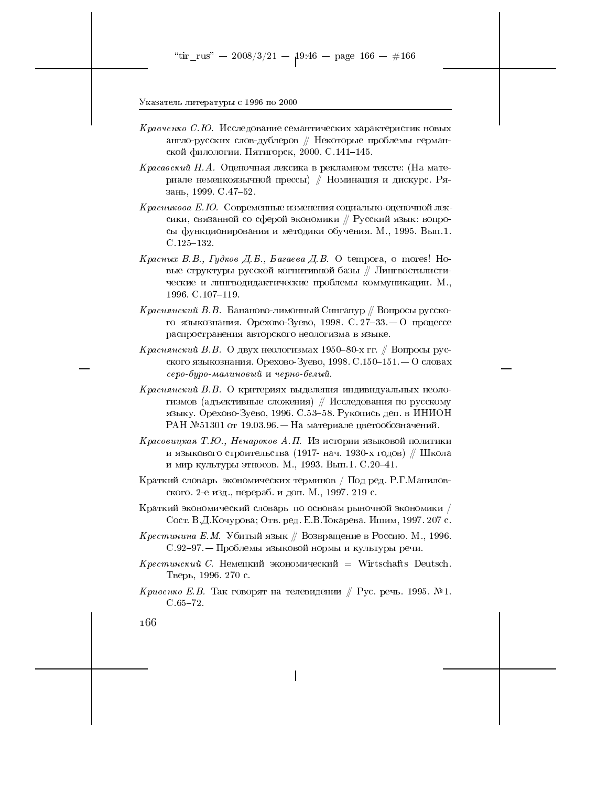- Кравченко С.Ю. Исследование семантических характеристик новых англо-русских слов-дублеров // Некоторые проблемы германской филологии. Пятигорск, 2000. С.141-145.
- *Красавский Н.А.* Оценочная лексика в рекламном тексте: (На материале немецкоязычной прессы) // Номинация и дискурс. Рязань, 1999. С.47-52.
- Красникова Е.Ю. Современные изменения социально-оценочной лексики, связанной со сферой экономики // Русский язык: вопросы функционирования и методики обучения. М., 1995. Вып.1.  $C.125 - 132.$
- Красных В.В., Гудков Д.Б., Багаева Д.В. О tempora, о mores! Новые структуры русской когнитивной базы // Лингвостилистические и лингводидактические проблемы коммуникации. М., 1996. C. 107-119.
- $Kpac$ нянский В. В. Бананово-лимонный Сингапур  $\#$  Вопросы русского языкознания. Орехово-Зуево, 1998. С. 27-33. - О процессе распространения авторского неологизма в языке.
- *Краснянский В.В.* О двух неологизмах 1950–80-х гг. // Вопросы русского языкознания. Орехово-Зуево, 1998. С.150-151. — О словах серо-буро-малиновый и черно-белый.
- Краснянский В.В. О критериях выделения индивидуальных неологизмов (адъективные сложения) // Исследования по русскому языку. Орехово-Зуево, 1996. С.53-58. Рукопись деп. в ИНИОН РАН №51301 от 19.03.96. – На материале цветообозначений.
- Красовицкая Т.Ю., Ненароков А.П. Из истории языковой политики и языкового строительства (1917- нач. 1930-х годов) // Школа и мир культуры этносов. М., 1993. Вып.1. С.20-41.
- Краткий словарь экономических терминов / Под ред. Р.Г.Маниловского. 2-е изд., перераб. и доп. М., 1997. 219 с.
- Краткий экономический словарь по основам рыночной экономики / Сост. В.Д.Кочурова; Отв. ред. Е.В.Токарева. Ишим, 1997. 207 с.
- Крестинина Е.М. Убитый язык // Возвращение в Россию. М., 1996. С.92-97. — Проблемы языковой нормы и культуры речи.
- $Kpecmu$ иский С. Немецкий экономический = Wirtschafts Deutsch. Тверь, 1996. 270 с.
- $Kpu$ венко Е.В. Так говорят на телевидении // Рус. речь. 1995. №1.  $C.65 - 72.$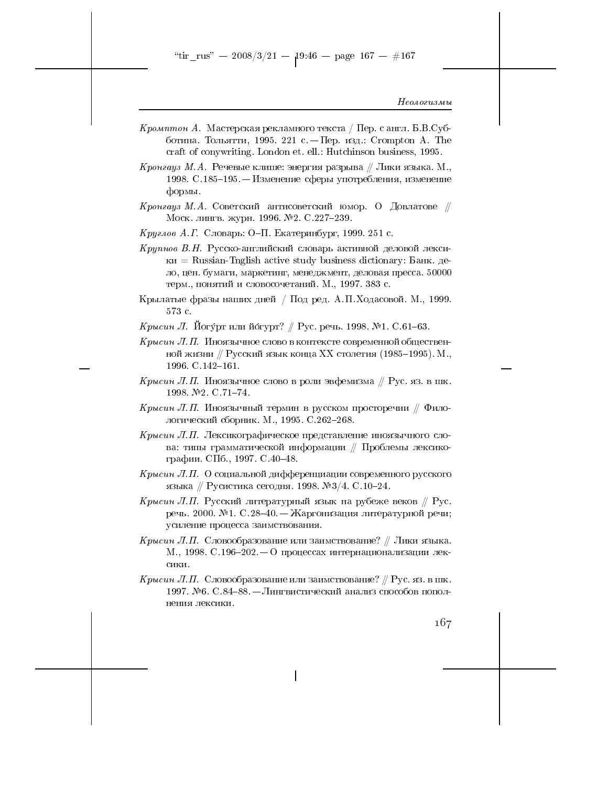- *Кромптон А.* Мастерская рекламного текста / Пер. с англ. Б.В.Субботина. Тольятти, 1995. 221 с. - Пер. изд.: Crompton A. The craft of conywriting. London et. ell.: Hutchinson business, 1995.
- *Кронгауз М.А.* Речевые клише: энергия разрыва // Лики языка. М., 1998. С.185-195. - Изменение сферы употребления, изменение формы.
- Кронгауз М.А. Советский антисоветский юмор. О Довлатове  $\#$ Моск. лингв. журн. 1996. №2. С.227-239.
- *Круглов А.Г.* Словарь: О-П. Екатеринбург, 1999. 251 с.
- $Kpynnoe$  В.Н. Русско-английский словарь активной деловой лекси- $\kappa$ и = Russian-Tnglish active study business dictionary: Банк. дело, цен. бумаги, маркетинг, менеджмент, деловая пресса. 50000 терм., понятий и словосочетаний. М., 1997. 383 с.
- Крылатые фразы наших дней / Под ред. А.П. Ходасовой. М., 1999. 573 с.
- *Крысин Л. Й*огу́рт или йо́гурт? // Рус. речь. 1998. №1. С.61–63.
- Крысин Л.П. Иноязычное слово в контексте современной общественной жизни // Русский язык конца XX столетия (1985–1995). М., 1996. C.142-161.
- Крысин Л.П. Иноязычное слово в роли эвфемизма // Рус. яз. в шк. 1998 №2 C.71-74.
- Крысин Л.П. Иноязычный термин в русском просторечии  $\#$  Филологический сборник. М., 1995. С.262-268.
- Крысин Л.П. Лексикографическое представление иноязычного слова: типы грамматической информации // Проблемы лексикографии. СПб., 1997. С. 40-48.
- $Kpucu$ н Л.П. О социальной дифференциации современного русского языка // Русистика сегодня. 1998. №3/4. С.10-24.
- Крысин Л.П. Русский литературный язык на рубеже веков // Рус. речь. 2000. №1. С.28-40. - Жаргонизация литературной речи; усиление процесса заимствования.
- Крысин Л.П. Словообразование или заимствование? // Лики языка. М., 1998. С.196-202. – О процессах интернационализации лексики.
- Крысин Л.П. Словообразование или заимствование? // Рус. яз. в шк. 1997. №6. С.84–88. — Лингвистический анализ способов пополнения лексики.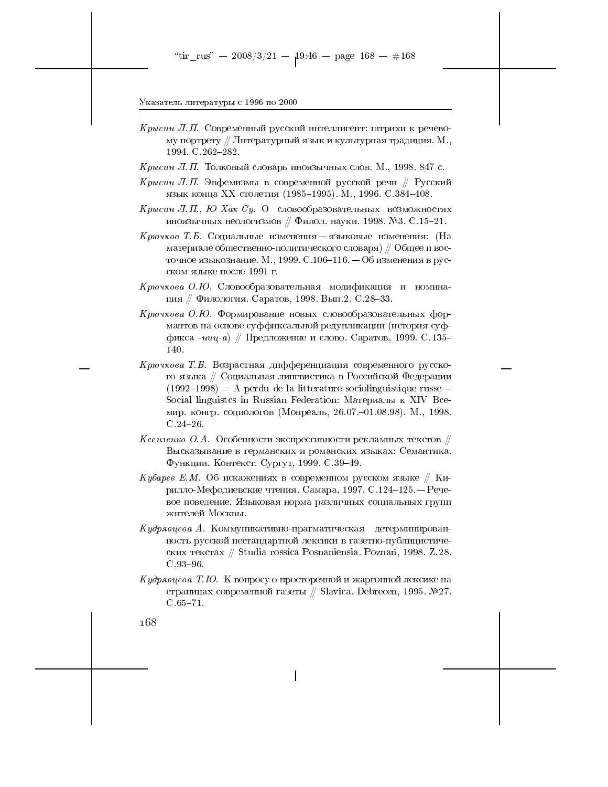- *Крысин Л.П.* Современный русский интеллигент: штрихи к речевому портрету // Литературный язык и культурная традиция. М., 1994. C.262-282.
- $K$ рысин Л.П. Толковый словарь иноязычных слов. М., 1998. 847 с.
- Крысин Л.П. Эвфемизмы в современной русской речи // Русский язык конца XX столетия (1985–1995). М., 1996. С.384–408.
- Крысин Л.П., Ю Хак Су. О словообразовательных возможностях иноязычных неологизмов // Филол. науки. 1998. №3. С.15-21.
- Крючков Т.Б. Социальные изменения языковые изменения: (На материале общественно-политического словаря) // Общее и восточное языкознание. М., 1999. С.106-116. — Об изменения в русском языке после 1991 г.
- Крючкова О.Ю. Словообразовательная модификация и номинация // Филология. Саратов, 1998. Вып.2. С.28-33.
- Крючкова О.Ю. Формирование новых словообразовательных формантов на основе суффиксальной редупликации (история суффикса - ниц-а) // Предложение и слово. Саратов, 1999. С.135-140.
- Крючкова Т.Б. Возрастная дифференциация современного русского языка // Социальная лингвистика в Российской Федерации  $(1992-1998)$  = A perdu de la litterature sociolinguistique russe – Social linguistes in Russian Federation: Материалы к XIV Bceмир. конгр. социологов (Монреаль, 26.07.-01.08.98). М., 1998.  $C.24 - 26.$
- *Ксензенко О.А.* Особенности экспрессивности рекламных текстов  $\#$ Высказывание в германских и романских языках: Семантика. Функции. Контекст. Сургут, 1999. С.39-49.
- *Кубарев Е.М.* Об искажениях в современном русском языке // Кирилло-Мефодиевские чтения. Самара, 1997. С.124-125. — Речевое поведение. Языковая норма различных социальных групп жителей Москвы.
- $Ky\partial p$ явцева А. Коммуникативно-прагматическая детерминированность русской нестандартной лексики в газетно-публицистических текстах // Studia rossica Posnaniensia. Poznań, 1998. Z.28.  $C.93 - 96.$
- Кудрявцева Т.Ю. К вопросу о просторечной и жаргонной лексике на страницах современной газеты // Slavica. Debrecen, 1995. №27.  $C.65 - 71.$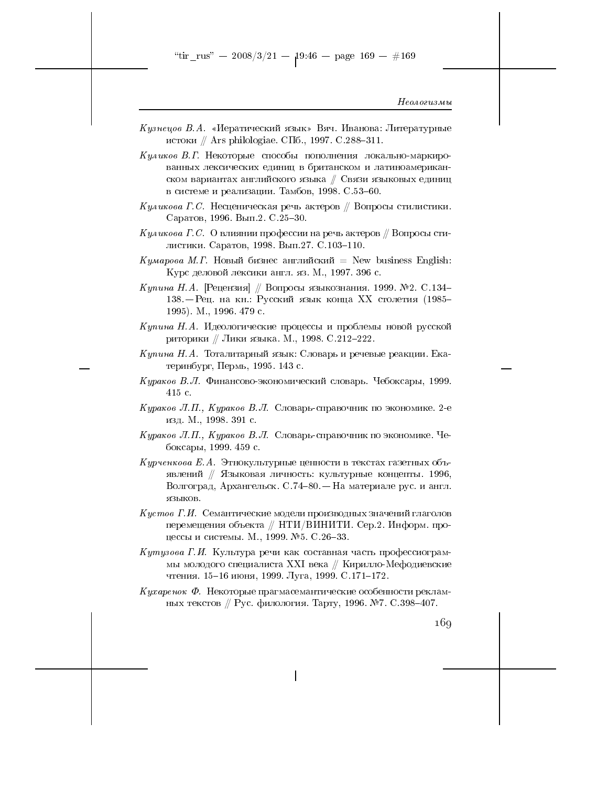"tir\_rus" -- 2008/3/21 --  $19.46$  -- page 169 -- #169

# Неологизмы

Кузнецов В.А. «Иератический язык» Вяч. Иванова: Литературные истоки // Ars philologiae. СПб., 1997. С.288-311.

 $Kyau\kappa o$ в В.Г. Некоторые способы пополнения локально-маркированных лексических единиц в британском и латиноамериканском вариантах английского языка // Связи языковых единиц в системе и реализации. Тамбов, 1998. С.53-60.

- Куликова Г.С. Несценическая речь актеров  $\#$  Вопросы стилистики. Саратов, 1996. Вып.2. С.25-30.
- $K$ уликова Г. С. О влиянии профессии на речь актеров // Вопросы стилистики. Саратов, 1998. Вып. 27. С. 103-110.
- Кумарова М.Г. Новый бизнес английский = New business English: Курс деловой лексики англ. яз. М., 1997. 396 с.

Купина Н.А. [Рецензия] // Вопросы языкознания. 1999. №2. С.134– 138. - Рец. на кн.: Русский язык конца XX столетия (1985-1995). М., 1996. 479 с.

- Купина Н.А. Идеологические процессы и проблемы новой русской риторики // Лики языка. М., 1998. С.212-222.
- Купина Н.А. Тоталитарный язык: Словарь и речевые реакции. Екатеринбург, Пермь, 1995. 143 с.

Кураков В.Л. Финансово-экономический словарь. Чебоксары, 1999.  $415c$ .

- Кураков Л.П., Кураков В.Л. Словарь-справочник по экономике. 2-е изд. М., 1998. 391 с.
- Кураков Л.П., Кураков В.Л. Словарь-справочник по экономике. Чебоксары, 1999. 459 с.
- Курченкова Е.А. Этнокультурные ценности в текстах газетных объявлений // Языковая личность: культурные концепты. 1996, Волгоград, Архангельск. С.74-80. - На материале рус. и англ. языков.
- Кустов Г.И. Семантические модели производных значений глаголов перемещения объекта // НТИ/ВИНИТИ. Сер.2. Информ. процессы и системы. М., 1999. №5. С. 26-33.
- Кутузова Г.И. Культура речи как составная часть профессиограммы молодого специалиста XXI века // Кирилло-Мефодиевские чтения. 15-16 июня, 1999. Луга, 1999. С.171-172.
- $\it{Kyxape{ \text{\textit{no}}\text{\textit{v}}}}$   $\it{\Phi}$ . Некоторые прагмасемантические особенности рекламных текстов // Рус. филология. Тарту, 1996. №7. С.398-407.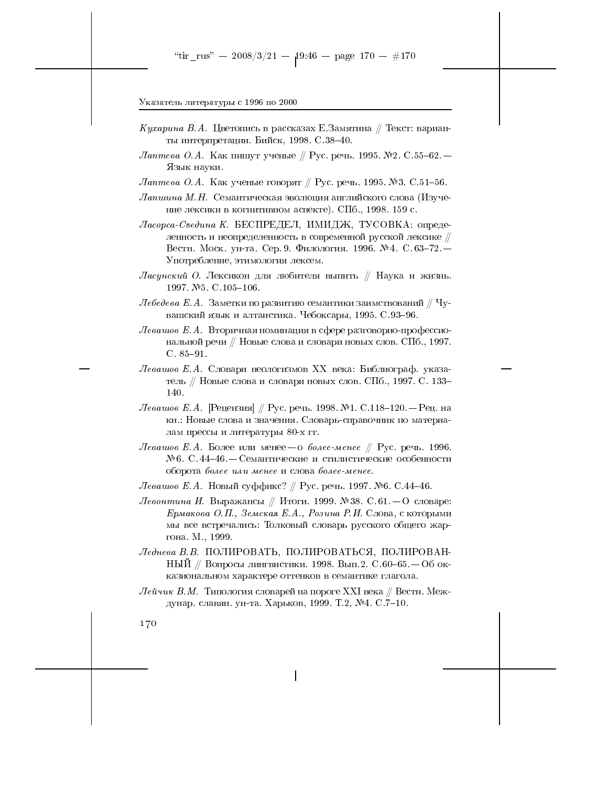- *Кухарина В.А.* Цветопись в рассказах Е.Замятина // Текст: варианты интерпретации. Бийск, 1998. С.38-40.
- $\emph{Jameso O.A.}$  Как пишут ученые // Рус. речь. 1995. №2. С.55–62. Язык науки.

Лаптева О.А. Как ученые говорят // Рус. речь. 1995. №3. С.51-56.

- Лапшина М.Н. Семантическая эволюция английского слова (Изучение лексики в когнитивном аспекте). СПб., 1998. 159 с.
- Ласорса-Съедина К. БЕСПРЕДЕЛ, ИМИДЖ, ТУСОВКА: определенность и неопределенность в современной русской лексике // Вестн. Моск. ун-та. Сер. 9. Филология. 1996. № 4. С. 63-72. -Употребление, этимология лексем.
- Ласинский О. Лексикон для любителя выпить // Наука и жизнь. 1997 №5 C.105-106
- $\emph{Jte6e}$ деза Е.А. Заметки по развитию семантики заимствований // Чувашский язык и алтаистика. Чебоксары, 1995. С.93-96.
- Левашов Е.А. Вторичная номинация в сфере разговорно-профессиональной речи // Новые слова и словари новых слов. СПб., 1997.  $C. 85 - 91.$
- Левашов Е.А. Словари неологизмов XX века: Библиограф. указатель // Новые слова и словари новых слов. СПб., 1997. С. 133-140.
- Левашов Е.А. [Рецензия] // Рус. речь. 1998. №1. С.118-120. Рец. на кн.: Новые слова и значения. Словарь-справочник по материалам прессы и литературы 80-х гг.
- Левашов Е.А. Более или менее $-$ о более-менее  $\#$  Рус. речь. 1996. №6. С.44-46. — Семантические и стилистические особенности оборота более или менее и слова более-менее.

*Левашов Е.А.* Новый суффикс? ∥ Рус. речь. 1997. №6. С.44–46.

- Левонтина И. Выражансы // Итоги. 1999. №38. С.61. О словаре: Ермакова О.П., Земская Е.А., Розина Р.И. Слова, с которыми мы все встречались: Толковый словарь русского общего жаргона М., 1999.
- Леднева В.В. ПОЛИРОВАТЬ, ПОЛИРОВАТЬСЯ, ПОЛИРОВАН-НЫЙ // Вопросы лингвистики. 1998. Вып. 2. С.60-65. — Об окказиональном характере оттенков в семантике глагола.
- $\emph{Neŭvuk B.M. T$ ипология словарей на пороге XXI века // Вестн. Междунар. славян. ун-та. Харьков, 1999. Т.2, №4. С.7-10.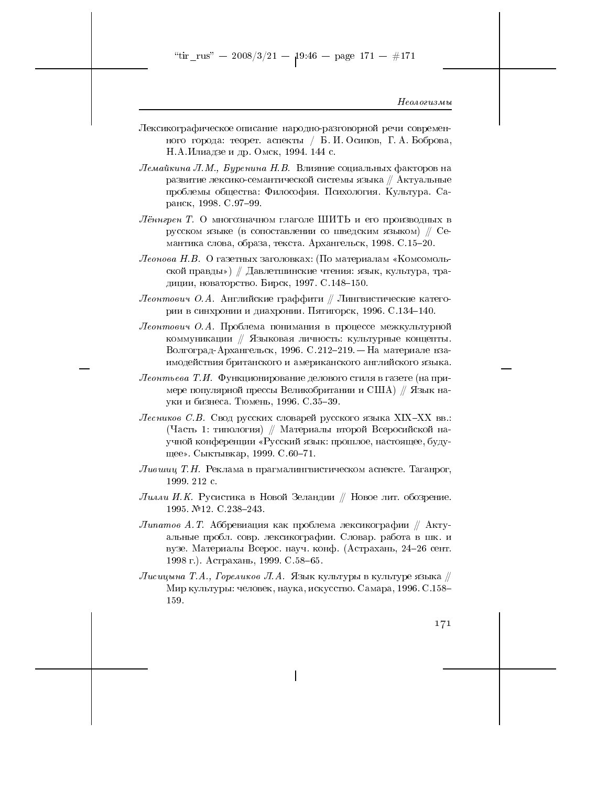"tir\_rus" -- 2008/3/21 --  $19.46$  -- page 171 -- #171

#### Неологизмы

- Лексикографическое описание народно-разговорной речи современного города: теорет. аспекты / Б.И. Осипов, Г.А. Боброва, Н.А.Илиадзе и др. Омск, 1994. 144 с.
- $\emph{J}\hspace{-0.4em}\rule{0.7pt}{0.8em}\hspace{-0.4em}\bar$  Лемайкина  $\emph{J}\hspace{-0.4em}\bar{\hspace{0.1em}}$ .  $\emph{J}\hspace{-0.4em}\bar{\hspace{0.1em}}$  Лемайкина  $\emph{J}\hspace{-0.4em}\bar{\hspace{0.1em}}$ .  $\emph{J}\hspace{-0.4em}\bar{\hspace{0.1em}}$ развитие лексико-семантической системы языка  $\#$  Актуальные проблемы общества: Философия. Психология. Культура. Саранск, 1998. С.97-99.
- Лённгрен Т. О многозначном глаголе ШИТЬ и его производных в русском языке (в сопоставлении со шведским языком) // Семантика слова, образа, текста. Архангельск, 1998. С.15–20.
- Леонова Н.В. О газетных заголовках: (По материалам «Комсомольской правды») // Давлетшинские чтения: язык, культура, традиции, новаторство. Бирск, 1997. С.148-150.
- $\emph{Jeomm}$ ович О.А. Английские граффити // Лингвистические категории в синхронии и диахронии. Пятигорск, 1996. С.134-140.
- Леонтович О.А. Проблема понимания в процессе межкультурной коммуникации // Языковая личность: культурные концепты. Волгоград-Архангельск, 1996. С.212-219. - На материале взаимодействия британского и американского английского языка.
- $\emph{Jeombe}$ ва Т.И. Функционирование делового стиля в газете (на примере популярной прессы Великобритании и США) // Язык науки и бизнеса. Тюмень, 1996. С.35-39.
- Лесников С.В. Свод русских словарей русского языка XIX-XX вв.: (Часть 1: типология) // Материалы второй Всеросийской научной конференции «Русский язык: прошлое, настоящее, будущее». Сыктывкар, 1999. С.60-71.
- Лившиц Т.Н. Реклама в прагмалингвистическом аспекте. Таганрог, 1999. 212 с.
- Лимли И.К. Русистика в Новой Зеландии // Новое лит. обозрение. 1995. №12. С.238-243.
- $\it{Junamos~A.\ T.}$  Аббревиация как проблема лексикографии // Актуальные пробл. совр. лексикографии. Словар. работа в шк. и вузе. Материалы Всерос. науч. конф. (Астрахань, 24-26 сент. 1998 г.). Астрахань, 1999. С.58-65.
- Лисицына Т.А., Гореликов Л.А. Язык культуры в культуре языка // Мир культуры: человек, наука, искусство. Самара, 1996. С.158-159.

171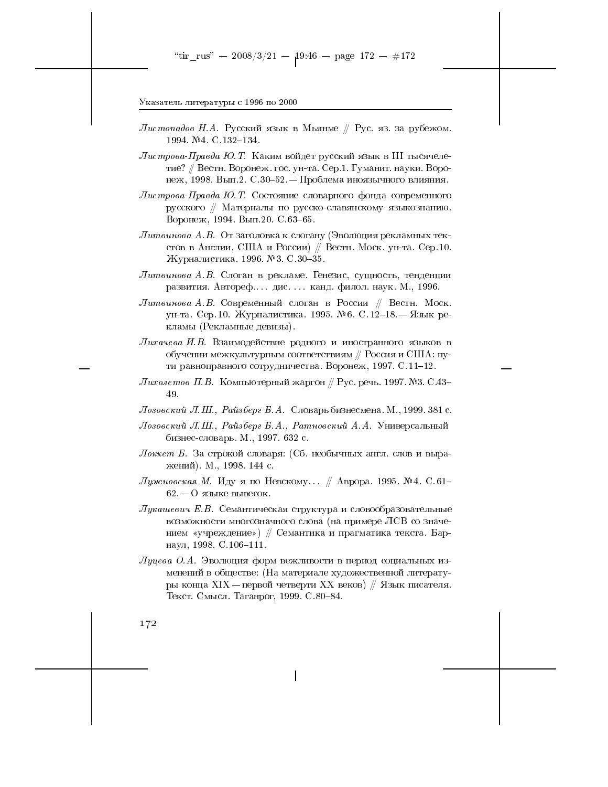- Листопадов Н.А. Русский язык в Мьянме // Рус. яз. за рубежом. 1994. №4. С 132-134.
- $\emph{Jucm}$ рова-Правда Ю. Т. Каким войдет русский язык в III тысячелетие? // Вестн. Воронеж. гос. ун-та. Сер.1. Гуманит. науки. Воронеж, 1998. Вып.2. С.30-52. – Проблема иноязычного влияния.
- Листрова-Правда Ю.Т. Состояние словарного фонда современного русского // Материалы по русско-славянскому языкознанию. Воронеж, 1994. Вып. 20. С. 63-65.
- $\it{Jlumau}$ нова А.В. От заголовка к слогану (Эволюция рекламных текстов в Англии, США и России) // Вестн. Моск. ун-та. Сер. 10. Журналистика 1996. №3. С.30-35.
- $\mathcal I$ итвинова А.В. Слоган в рекламе. Генезис, сущность, тенденции развития. Автореф.... дис.... канд. филол. наук. М., 1996.
- Литвинова А.В. Современный слоган в России // Вестн. Моск. ун-та. Сер. 10. Журналистика. 1995. № 6. С. 12-18. — Язык рекламы (Рекламные девизы).
- Лихачева И.В. Взаимодействие родного и иностранного языков в обучении межкультурным соответствиям // Россия и США: пути равноправного сотрудничества. Воронеж, 1997. С.11-12.
- $Juxo$ летов П.В. Компьютерный жаргон // Рус. речь. 1997. №3. С.43– 49.
- Лозовский Л.Ш., Райзберг Б.А. Словарь бизнесмена. М., 1999. 381 с.
- Лозовский Л.Ш., Райзберг Б.А., Ратновский А.А. Универсальный бизнес-словарь. М., 1997. 632 с.
- Локкет Б. За строкой словаря: (Сб. необычных англ. слов и выражений). М., 1998. 144 с.
- Лужновская М. Иду я по Невскому... // Аврора. 1995. № 4. С.61–  $62 - 0$  языке вывесок.
- $\varPi$ укашевич Е.В. Семантическая структура и словообразовательные возможности многозначного слова (на примере ЛСВ со значением «учреждение») // Семантика и прагматика текста. Барнаул, 1998. С. 106-111.
- $Jlyye$ ва О.А. Эволюция форм вежливости в период социальных изменений в обществе: (На материале художественной литературы конца XIX — первой четверти XX веков) // Язык писателя. Текст. Смысл. Таганрог, 1999. С. 80-84.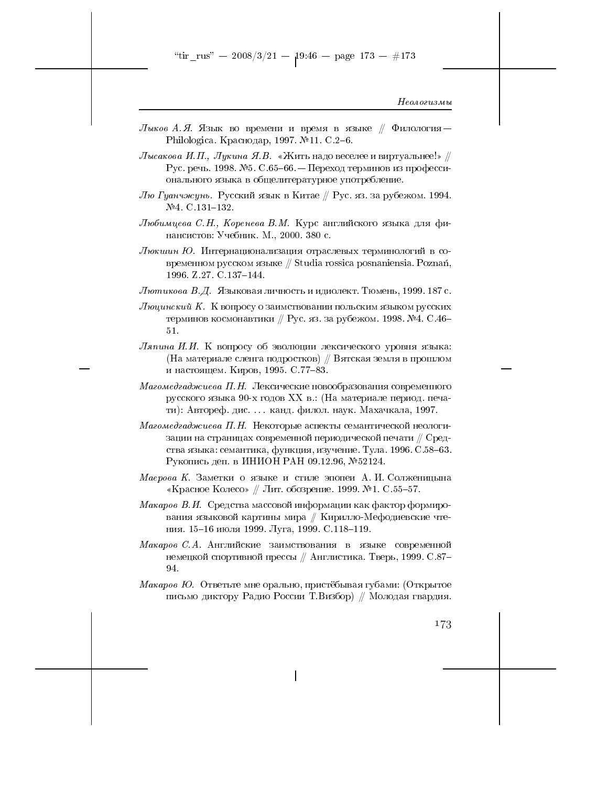- Лыков А.Я. Язык во времени и время в языке  $\#$  Филология Philologica. Краснодар, 1997. №11. С.2-6.
- $J$ ысакова И.П., Лукина Я.В. «Жить надо веселее и виртуальнее!» // Рус. речь. 1998. №5. С.65-66. - Переход терминов из профессионального языка в общелитературное употребление.
- *Лю Гуанчжунь.* Русский язык в Китае // Рус. яз. за рубежом. 1994.  $N<sup>2</sup>4$ . C.131-132.
- Любимцева С.Н., Коренева В.М. Курс английского языка для финансистов: Учебник. М., 2000. 380 с.
- Люкшин Ю. Интернационализация отраслевых терминологий в современном русском языке  $//$  Studia rossica posnaniensia. Poznań, 1996. Z.27. C.137-144.
- Лютикова В.Д. Языковая личность и идиолект. Тюмень, 1999. 187 с.
- Люцинский К. К вопросу о заимствовании польским языком русских терминов космонавтики // Рус. яз. за рубежом. 1998. №4. С.46- $51.$
- Ляпина И.И. К вопросу об эволюции лексического уровня языка: (На материале сленга подростков) // Вятская земля в прошлом и настоящем. Киров, 1995. С.77-83.
- Магомедгаджиева П.Н. Лексические новообразования современного русского языка 90-х годов XX в.: (На материале период. печати): Автореф. дис.... канд. филол. наук. Махачкала, 1997.
- Магомедгаджиева П.Н. Некоторые аспекты семантической неологизации на страницах современной периодической печати  $\#$  Средства языка: семантика, функция, изучение. Тула. 1996. С.58-63. Рукопись деп. в ИНИОН РАН 09.12.96, №52124.
- Маерова К. Заметки о языке и стиле эпопеи А. И. Солженицына «Красное Колесо» // Лит. обозрение. 1999. №1. С.55-57.
- Макаров В.И. Средства массовой информации как фактор формирования языковой картины мира // Кирилло-Мефодиевские чтения. 15-16 июля 1999. Луга, 1999. С.118-119.
- Макаров С.А. Английские заимствования в языке современной немецкой спортивной прессы // Англистика. Тверь, 1999. С.87-94.
- Макаров Ю. Ответьте мне орально, пристёбывая губами: (Открытое письмо диктору Радио России Т. Визбор) // Молодая гвардия.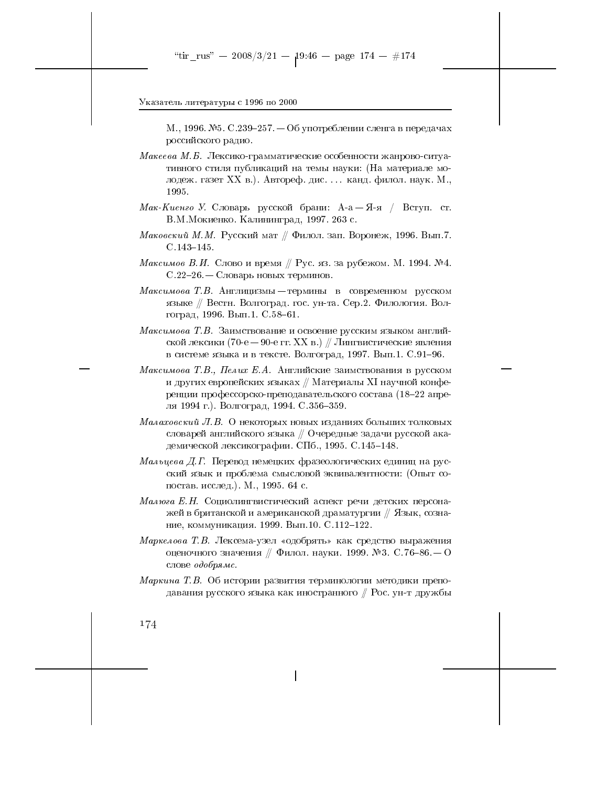М., 1996. №5. С.239–257. — Об употреблении сленга в передачах российского радио.

- Макеева М.Б. Лексико-грамматические особенности жанрово-ситуативного стиля публикаций на темы науки: (На материале молодеж. газет XX в.). Автореф. дис. . . . канд. филол. наук. М., 1995.
- Мак-Киенго У. Словарь русской брани: А-а-Я-я / Вступ. ст. В.М. Мокиенко. Калининград, 1997. 263 с.
- Маковский М.М. Русский мат // Филол. зап. Воронеж, 1996. Вып. 7.  $C.143 - 145.$
- Максимов В.И. Слово и время // Рус. яз. за рубежом. М. 1994. №4. С.22-26. — Словарь новых терминов.
- *Максимова Т.В.* Англицизмы термины в современном русском языке // Вестн. Волгоград. гос. ун-та. Сер. 2. Филология. Волгоград, 1996. Вып.1. С.58-61.
- Максимова Т.В. Заимствование и освоение русским языком английской лексики (70-е – 90-е гг. XX в.) // Лингвистические явления в системе языка и в тексте. Волгоград, 1997. Вып.1. С.91-96.
- Максимова Т.В., Пелих Е.А. Английские заимствования в русском и других европейских языках  $\#$  Материалы XI научной конференции профессорско-преподавательского состава (18-22 апреля 1994 г.). Волгоград, 1994. С.356-359.
- Малаховский Л.В. О некоторых новых изданиях больших толковых словарей английского языка  $\#$  Очередные задачи русской академической лексикографии. СПб., 1995. С. 145-148.
- *Мальцева Д.Г.* Перевод немецких фразеологических единиц на русский язык и проблема смысловой эквивалентности: (Опыт сопостав. исслед.). М., 1995. 64 с.
- Малюга Е.Н. Социолингвистический аспект речи детских персонажей в британской и американской драматургии // Язык, сознание, коммуникация. 1999. Вып.10. С.112-122.
- Маркелова Т.В. Лексема-узел «одобрять» как средство выражения оценочного значения // Филол. науки. 1999. №3. С. 76-86. — О слове одобрямс.
- Маркина Т.В. Об истории развития терминологии методики преподавания русского языка как иностранного // Рос. ун-т дружбы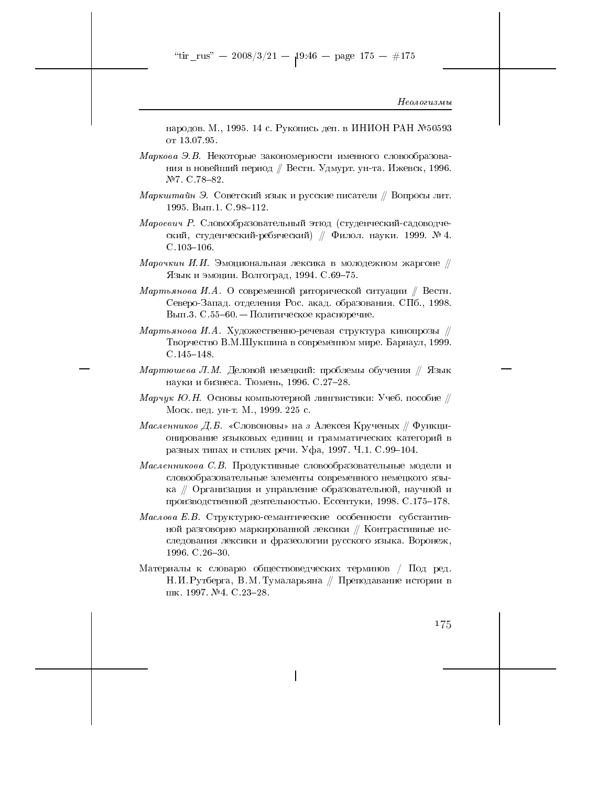народов. М., 1995. 14 с. Рукопись деп. в ИНИОН РАН №50593 от 13.07.95.

- Маркова Э.В. Некоторые закономерности именного словообразования в новейший период // Вестн. Удмурт. ун-та. Ижевск, 1996. №7. C.78-82.
- Маркштайн Э. Советский язык и русские писатели // Вопросы лит. 1995. Вып.1. С.98-112.
- Мароевич Р. Словообразовательный этюд (студенческий-садоводческий, студенческий-ребяческий) // Филол. науки. 1999. № 4.  $C.103 - 106.$
- Марочкин И.И. Эмоциональная лексика в молодежном жаргоне  $\#$ Язык и эмоции. Волгоград, 1994. С.69-75.
- Мартьянова И.А. О современной риторической ситуации // Вестн. Северо-Запад. отделения Рос. акад. образования. СПб., 1998. Вып.3. С.55-60. — Политическое красноречие.
- Мартьянова И.А. Художественно-речевая структура кинопрозы  $\#$ Творчество В.М.Шукшина в современном мире. Барнаул, 1999.  $C.145 - 148.$
- Мартюшева Л.М. Деловой немецкий: проблемы обучения // Язык науки и бизнеса. Тюмень, 1996. С.27-28.
- Марчук Ю.Н. Основы компьютерной лингвистики: Учеб. пособие  $\#$ Моск. пед. ун-т. М., 1999. 225 с.
- Масленников Д.Б. «Словоновы» на з Алексея Крученых  $\#$  Функционирование языковых единиц и грамматических категорий в разных типах и стилях речи. Уфа, 1997. Ч.1. С.99-104.
- Масленникова С.В. Продуктивные словообразовательные модели и словообразовательные элементы современного немецкого языка // Организация и управление образовательной, научной и производственной деятельностью. Ессентуки, 1998. С.175-178.
- Маслова Е.В. Структурно-семантические особенности субстантивной разговорно маркированной лексики // Контрастивные исследования лексики и фразеологии русского языка. Воронеж, 1996. C.26-30.
- Материалы к словарю обществоведческих терминов / Под ред. Н. И. Рутберга, В. М. Тумаларьяна // Преподавание истории в шк. 1997. №4. С. 23-28.

175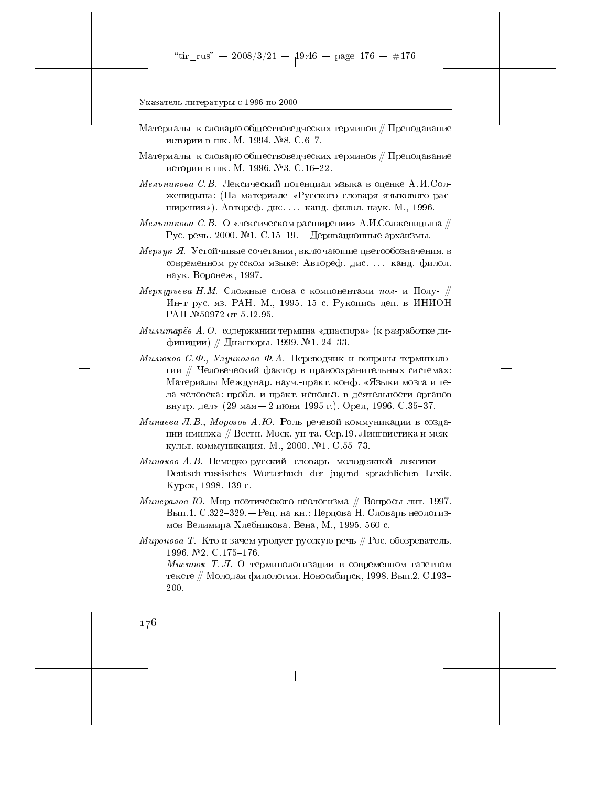- Материалы к словарю обществоведческих терминов // Преподавание истории в шк. М. 1994. №8. С.6-7.
- Материалы к словарю обществоведческих терминов // Преподавание истории в шк. М. 1996. №3. С.16-22.
- Мельникова С.В. Лексический потенциал языка в оценке А.И.Солженицына: (На материале «Русского словаря языкового расширения»). Автореф. дис. ... канд. филол. наук. М., 1996.
- Мельникова С.В. О «лексическом расширении» А.И.Солженицына  $\#$ Рус. речь. 2000. №1. С.15-19. - Деривационные архаизмы.
- Мерзук Я. Устойчивые сочетания, включающие цветообозначения, в современном русском языке: Автореф. дис. ... канд. филол. наук. Воронеж, 1997.
- Меркурьева Н.М. Сложные слова с компонентами пол- и Полу-  $\#$ Ин-т рус. яз. РАН. М., 1995. 15 с. Рукопись деп. в ИНИОН PAH № 50972 от 5.12.95.
- Милитарёв А.О. содержании термина «диаспора» (к разработке дифиниции) // Диаспоры. 1999. №1. 24-33.
- Милюков С.Ф., Узунколов Ф.А. Переводчик и вопросы терминологии // Человеческий фактор в правоохранительных системах: Материалы Междунар. науч.-практ. конф. «Языки мозга и тела человека: пробл. и практ. использ. в деятельности органов внутр. дел» (29 мая – 2 июня 1995 г.). Орел, 1996. С. 35-37.
- Минаева Л.В., Морозов А.Ю. Роль речевой коммуникации в создании имиджа // Вестн. Моск. ун-та. Сер.19. Лингвистика и межкульт. коммуникация. М., 2000. №1. С.55-73.
- Минаков А.В. Немецко-русский словарь молодежной лексики = Deutsch-russisches Worterbuch der jugend sprachlichen Lexik. Курск, 1998. 139 с.
- Минералов Ю. Мир поэтического неологизма // Вопросы лит. 1997. Вып.1. С.322-329. – Рец. на кн.: Перцова Н. Словарь неологизмов Велимира Хлебникова. Вена, М., 1995. 560 с.
- Миронова Т. Кто и зачем уродует русскую речь  $\#$  Рос. обозреватель. 1996. №2. С 175-176.

*Мистюк* Т. Л. О терминологизации в современном газетном тексте // Молодая филология. Новосибирск, 1998. Вып.2. С.193-200.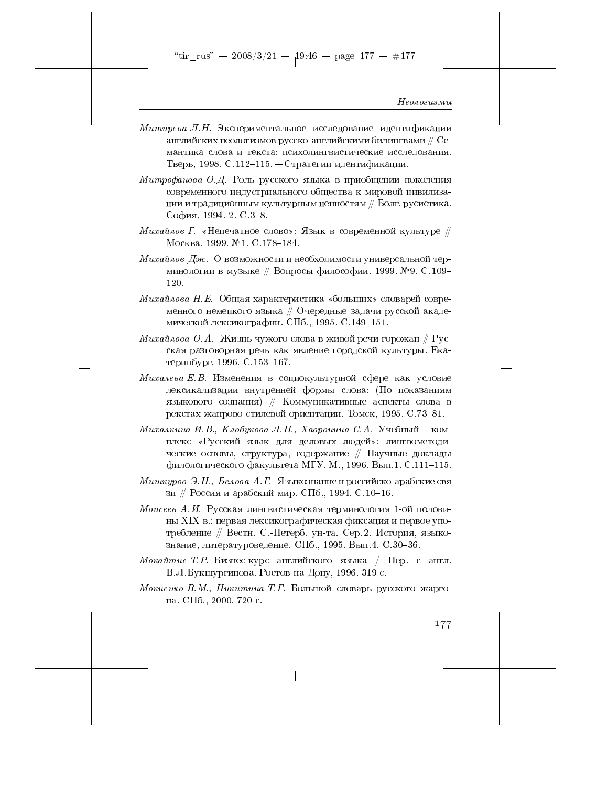"tir\_rus" — 2008/3/21 — 19:46 — page 177 — #177

Неологизмы

- $Mumupe$ ва Л.Н. Экспериментальное исследование идентификации английских неологизмов русско-английскими билингвами  $\mathbin{\#} C$ емантика слова и текста: психолингвистические исследования. Тверь, 1998. С.112-115. - Стратегии идентификации.
- Митрофанова О.Д. Роль русского языка в приобщении поколения современного индустриального общества к мировой цивилизации и традиционным культурным ценностям // Болг. русистика. София, 1994. 2. С. 3-8.
- Михайлов Г. «Непечатное слово»: Язык в современной культуре  $\#$ Москва. 1999. №1. С.178-184.
- Михайлов Дж. О возможности и необходимости универсальной терминологии в музыке // Вопросы философии. 1999. №9. С.109-120.
- $Muxa\tilde{u}ho\epsilon a$  H.E. Общая характеристика «больших» словарей современного немецкого языка  $\#$  Очередные задачи русской академической лексикографии. СПб., 1995. С.149-151.
- Михайлова О.А. Жизнь чужого слова в живой речи горожан // Русская разговорная речь как явление городской культуры. Екатеринбург, 1996. С.153-167.
- Михалева Е.В. Изменения в социокультурной сфере как условие лексикализации внутренней формы слова: (По показаниям языкового сознания) // Коммуникативные аспекты слова в рекстах жанрово-стилевой ориентации. Томск, 1995. С.73-81.
- Михалкина И.В., Клобукова Л.П., Хавронина С.А. Учебный комплекс «Русский язык для деловых людей»: лингвометодические основы, структура, содержание // Научные доклады филологического факультета МГУ. М., 1996. Вып.1. С.111-115.
- Мишкуров Э.Н., Белова А.Г. Языкознание и российско-арабские связи // Россия и арабский мир. СПб., 1994. С.10-16.
- Моисеев А.И. Русская лингвистическая терминология 1-ой половины XIX в.: первая лексикографическая фиксация и первое употребление // Вестн. С.-Петерб. ун-та. Сер. 2. История, языкознание, литературоведение. СПб., 1995. Вып. 4. С.30-36.
- Мокайтис Т. Р. Бизнес-курс английского языка / Пер. с англ. В.Л.Букшургинова. Ростов-на-Дону, 1996. 319 с.
- Мокиенко В.М., Никитина Т.Г. Большой словарь русского жаргона. СПб., 2000. 720 с.

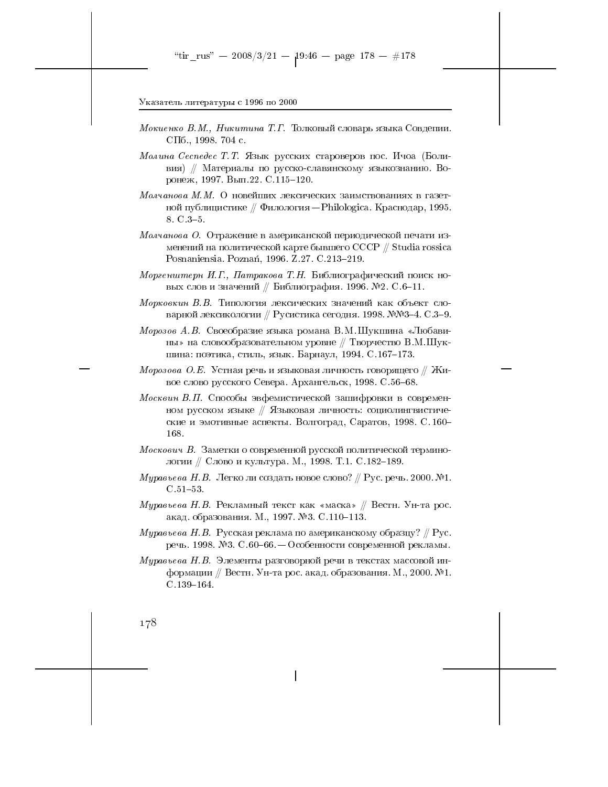- *Мокиенко В.М., Никитина Т.Г.* Толковый словарь языка Совдепии. СПб., 1998. 704 с.
- Молина Сеспедес Т.Т. Язык русских староверов пос. Ичоа (Боливия) // Материалы по русско-славянскому языкознанию. Воронеж, 1997. Вып.22. С.115-120.
- Молчанова М. М. О новейших лексических заимствованиях в газетной публицистике  $\#$  Филология – Philologica. Краснодар, 1995.  $8. C. 3-5.$
- Молчанова О. Отражение в американской периодической печати изменений на политической карте бывшего СССР  $\#$  Studia rossica Posnaniensia. Poznań, 1996. Z.27. C.213-219.
- Моргенштерн И.Г., Патракова Т.Н. Библиографический поиск новых слов и значений // Библиография. 1996. №2. С.6-11.
- Морковкин В.В. Типология лексических значений как объект словарной лексикологии // Русистика сегодня. 1998. №№3-4. С.3-9.
- Морозов А.В. Своеобразие языка романа В.М.Шукшина «Любавины» на словообразовательном уровне // Творчество В.М.Шукшина: поэтика, стиль, язык. Барнаул, 1994. С.167-173.
- Морозова О.Е. Устная речь и языковая личность говорящего  $\#$  Живое слово русского Севера. Архангельск, 1998. С.56-68.
- Москвин В.П. Способы эвфемистической зашифровки в современном русском языке // Языковая личность: социолингвистические и эмотивные аспекты. Волгоград, Саратов, 1998. С.160-168.
- Москович В. Заметки о современной русской политической терминологии // Слово и культура. М., 1998. Т.1. С.182-189.
- Муравьева Н. В. Легко ли создать новое слово? // Рус. речь. 2000. №1.  $C.51 - 53.$
- Муравьева Н.В. Рекламный текст как «маска» // Вестн. Ун-та рос. акад. образования. М., 1997. №3. С.110-113.
- *Муравьева Н.В.* Русская реклама по американскому образцу? // Рус. речь. 1998. №3. С.60-66. — Особенности современной рекламы.
- *Муравьева Н.В.* Элементы разговорной речи в текстах массовой информации // Вестн. Ун-та рос. акад. образования. М., 2000. №1.  $C.139-164$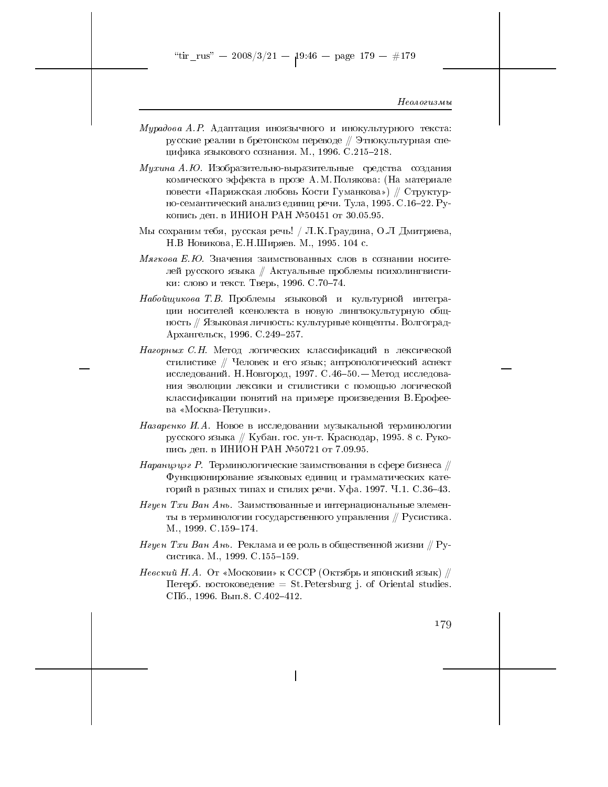"tir\_rus" -- 2008/3/21 --  $19:46$  -- page 179 -- #179

#### Неологизмы

- $Mypadosa$  A.P. Адаптация иноязычного и инокультурного текста: русские реалии в бретонском переводе // Этнокультурная специфика языкового сознания. М., 1996. С.215-218.
- Мухина А.Ю. Изобразительно-выразительные средства создания комического эффекта в прозе А.М.Полякова: (На материале повести «Парижская любовь Кости Гуманкова») // Структурно-семантический анализ единиц речи. Тула, 1995. С.16-22. Рукопись деп. в ИНИОН РАН №50451 от 30.05.95.
- Мы сохраним тебя, русская речь! / Л.К. Граудина, О.Л Дмитриева, Н.В Новикова, Е.Н.Ширяев. М., 1995. 104 с.
- Мягкова Е.Ю. Значения заимствованных слов в сознании носителей русского языка // Актуальные проблемы психолингвистики: слово и текст. Тверь, 1996. С. 70-74.
- Набойщикова Т.В. Проблемы языковой и культурной интеграции носителей ксенолекта в новую лингвокультурную общность // Языковая личность: культурные концепты. Волгоград-Архангельск, 1996. С. 249-257.
- Нагорных С.Н. Метод логических классификаций в лексической стилистике // Человек и его язык; антропологический аспект исследований. Н. Новгород, 1997. С. 46-50. - Метод исследования эволюции лексики и стилистики с помощью логической классификации понятий на примере произведения В. Ерофеева «Москва-Петушки».
- Назаренко И.А. Новое в исследовании музыкальной терминологии русского языка // Кубан. гос. ун-т. Краснодар, 1995. 8 с. Рукопись деп. в ИНИОН РАН №50721 от 7.09.95.
- Наранцэцэг Р. Терминологические заимствования в сфере бизнеса  $\#$ Функционирование языковых единиц и грамматических категорий в разных типах и стилях речи. Уфа. 1997. Ч.1. С.36-43.
- Нгуен Тхи Ван Ань. Заимствованные и интернациональные элементы в терминологии государственного управления // Русистика. M., 1999. C. 159-174.
- *Нгуен Тхи Ван Ань.* Реклама и ее роль в общественной жизни // Русистика. М., 1999. С.155-159.
- $\emph{Heecxuŭ H.A. Oт «Московии» к СССР (Октябрь и японский язык) //$ Петерб. востоковедение = St. Petersburg j. of Oriental studies. СПб., 1996. Вып.8. С.402-412.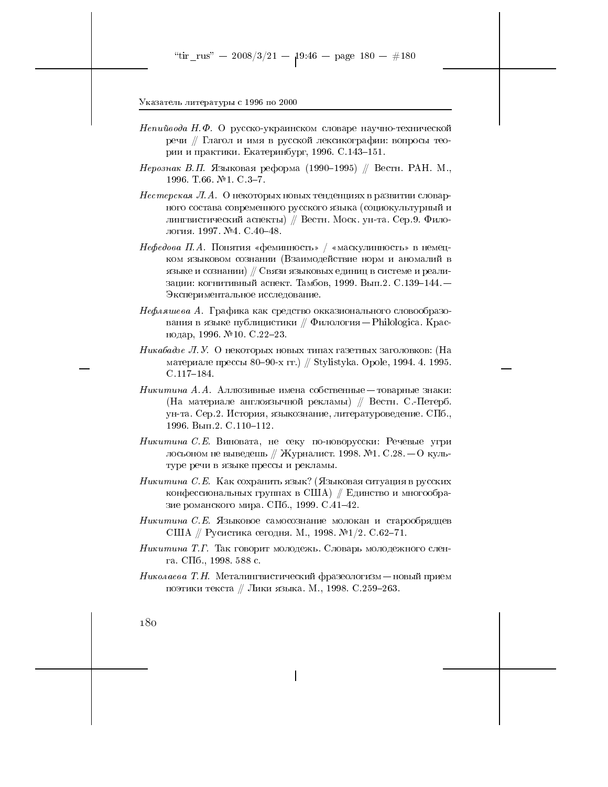- Непийвода Н.Ф. О русско-украинском словаре научно-технической речи // Глагол и имя в русской лексикографии: вопросы теории и практики. Екатеринбург, 1996. С.143-151.
- *Нерознак В.П.* Языковая реформа (1990–1995) // Вестн. РАН. М., 1996. T.66. №1. C.3-7.
- Нестерская Л.А. О некоторых новых тенденциях в развитии словарного состава современного русского языка (социокультурный и лингвистический аспекты) // Вестн. Моск. ун-та. Сер. 9. Филология. 1997. №4. С.40-48.
- Нефедова П.А. Понятия «феминность» / «маскулинность» в немецком языковом сознании (Взаимодействие норм и аномалий в языке и сознании) // Связи языковых единиц в системе и реализации: когнитивный аспект. Тамбов, 1999. Вып.2. С.139-144. -Экспериментальное исследование.
- Нефляшева А. Графика как средство окказионального словообразования в языке публицистики  $//$  Филология - Philologica. Краснодар, 1996. №10. С.22-23.
- Никабадзе Л.У. О некоторых новых типах газетных заголовков: (На материале прессы 80–90-х гг.) // Stylistyka. Opole, 1994. 4. 1995.  $C.117-184.$
- Никитина А.А. Аллюзивные имена собственные товарные знаки: (На материале англоязычной рекламы) // Вестн. С.-Петерб. ун-та. Сер.2. История, языкознание, литературоведение. СПб., 1996. Вып.2. С.110-112.
- Никитина С.Е. Виновата, не секу по-новорусски: Речевые угри лосьоном не выведешь // Журналист. 1998. №1. С.28. — О культуре речи в языке прессы и рекламы.
- *Никитина С.Е.* Как сохранить язык? (Языковая ситуация в русских конфессиональных группах в США) // Единство и многообразие романского мира. СПб., 1999. С.41-42.
- *Никитина С.Е.* Языковое самосознание молокан и старообрядцев США // Русистика сегодня. М., 1998. №1/2. С.62-71.
- Никитина Т.Г. Так говорит молодежь. Словарь молодежного сленra. C $\Pi$ 6., 1998. 588 c.
- $Huxo.ae$ ва Т. И. Металингвистический фразеологизм новый прием поэтики текста // Лики языка. М., 1998. С.259-263.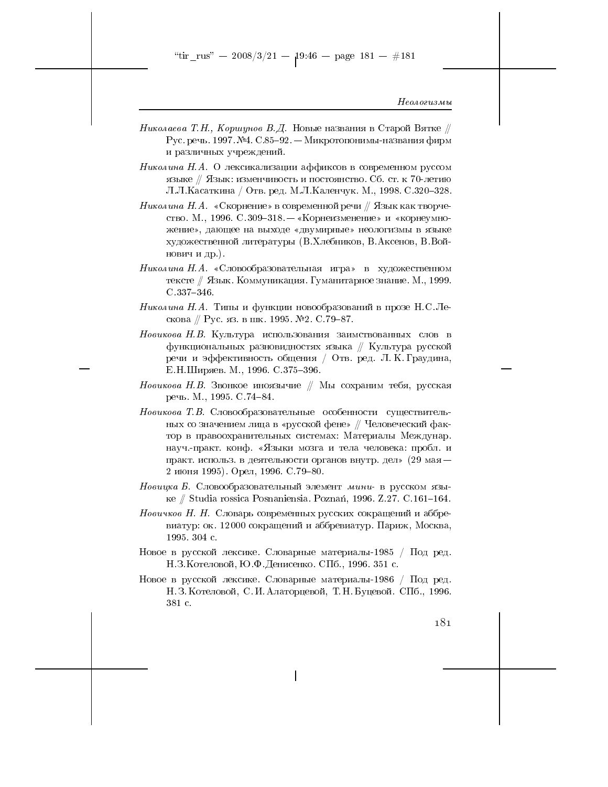- Николаева Т.Н., Коршунов В.Д. Новые названия в Старой Вятке // Рус. речь. 1997. №4. С.85-92. - Микротопонимы-названия фирм и различных учреждений.
- Николина Н.А. О лексикализации аффиксов в современном руссом языке // Язык: изменчивость и постоянство. Сб. ст. к 70-летию Л.Л.Касаткина / Отв. ред. М.Л.Каленчук. М., 1998. С.320-328.
- Николина Н. А. «Скорнение» в современной речи  $\#$  Язык как творчество. М., 1996. С.309-318. - «Корнеизменение» и «корнеумножение», дающее на выходе «двумирные» неологизмы в языке художественной литературы (В.Хлебников, В.Аксенов, В.Войнович и др.).
- Николина Н.А. «Словообразовательная игра» в художественном тексте // Язык. Коммуникация. Гуманитарное знание. М., 1999.  $C.337 - 346.$
- Николина Н.А. Типы и функции новообразований в прозе Н.С.Лескова // Рус. яз. в шк. 1995. №2. С. 79-87.
- Новикова Н.В. Культура использования заимствованных слов в функциональных разновидностях языка  $\#$  Культура русской речи и эффективность общения / Отв. ред. Л. К. Граудина, Е.Н.Ширяев. М., 1996. С.375-396.
- Новикова Н.В. Звонкое иноязычие // Мы сохраним тебя, русская речь. М., 1995. С. 74-84.
- Новикова Т.В. Словообразовательные особенности существительных со значением лица в «русской фене» // Человеческий фактор в правоохранительных системах: Материалы Междунар. науч.-практ. конф. «Языки мозга и тела человека: пробл. и практ. использ. в деятельности органов внутр. дел» (29 мая -2 июня 1995). Орел, 1996. С. 79-80.
- Новицка Б. Словообразовательный элемент мини- в русском языке // Studia rossica Posnaniensia. Poznań, 1996. Z.27. C.161-164.
- Новичков Н. Н. Словарь современных русских сокращений и аббревиатур: ок. 12000 сокращений и аббревиатур. Париж, Москва, 1995 304 с.
- Новое в русской лексике. Словарные материалы-1985 / Под ред. Н.З. Котеловой, Ю.Ф. Денисенко. СПб., 1996. 351 с.
- Новое в русской лексике. Словарные материалы-1986 / Под ред. Н. З. Котеловой, С. И. Алаторцевой, Т. Н. Буцевой. СПб., 1996. 381 c.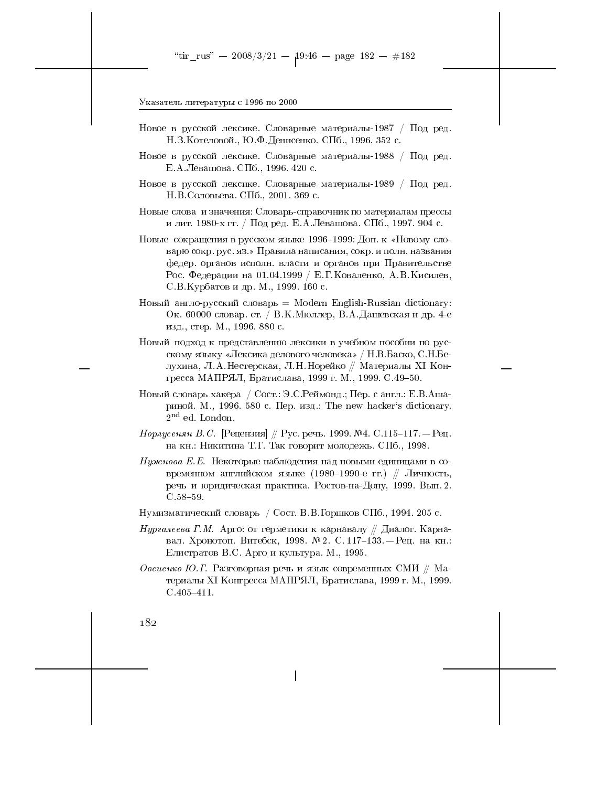- Новое в русской лексике. Словарные материалы-1987 / Под ред. Н.З. Котеловой., Ю.Ф. Денисенко. СПб., 1996. 352 с.
- Новое в русской лексике. Словарные материалы-1988 / Под ред. Е.А.Левашова. СПб., 1996. 420 с.
- Новое в русской лексике. Словарные материалы-1989 / Под ред. Н.В. Соловьева. СПб., 2001. 369 с.
- Новые слова и значения: Словарь-справочник по материалам прессы и лит. 1980-х гг. / Под ред. Е.А. Левашова. СПб., 1997. 904 с.
- Новые сокращения в русском языке 1996-1999: Доп. к «Новому словарю сокр. рус. яз.» Правила написания, сокр. и полн. названия федер. органов исполн. власти и органов при Правительстве Рос. Федерации на 01.04.1999 / Е.Г. Коваленко, А.В. Кисилев, С.В. Курбатов и др. М., 1999. 160 с.
- Новый англо-русский словарь = Modern English-Russian dictionary: Ок. 60000 словар. ст. / В.К.Мюллер, В.А.Дашевская и др. 4-е изд., стер. М., 1996. 880 с.
- Новый подход к представлению лексики в учебном пособии по русскому языку «Лексика делового человека» / Н.В.Баско, С.Н.Белухина, Л.А.Нестерская, Л.Н.Норейко // Материалы XI Конгресса МАПРЯЛ, Братислава, 1999 г. М., 1999. С. 49-50.
- Новый словарь хакера / Сост.: Э.С. Реймонд.; Пер. с англ.: Е.В.Ашариной. М., 1996. 580 с. Пер. изд.: The new hacker's dictionary.  $2<sup>nd</sup>$  ed. London.
- *Норлусенян В.С.* [Рецензия] // Рус. речь. 1999. №4. С.115-117. Рец. на кн.: Никитина Т.Г. Так говорит молодежь. СПб., 1998.
- Нужнова Е.Е. Некоторые наблюдения над новыми единицами в современном английском языке (1980-1990-е гг.) // Личность, речь и юридическая практика. Ростов-на-Дону, 1999. Вып. 2.  $C.58 - 59.$
- Нумизматический словарь / Сост. В.В. Горшков СПб., 1994. 205 с.
- *Нургалеева Г.М.* Арго: от герметики к карнавалу // Диалог. Карнавал. Хронотоп. Витебск, 1998. № 2. С. 117-133. - Рец. на кн.: Елистратов В.С. Арго и культура. М., 1995.
- Овсиенко Ю.Г. Разговорная речь и язык современных СМИ  $\#$  Материалы XI Конгресса МАПРЯЛ, Братислава, 1999 г. М., 1999.  $C.405 - 411.$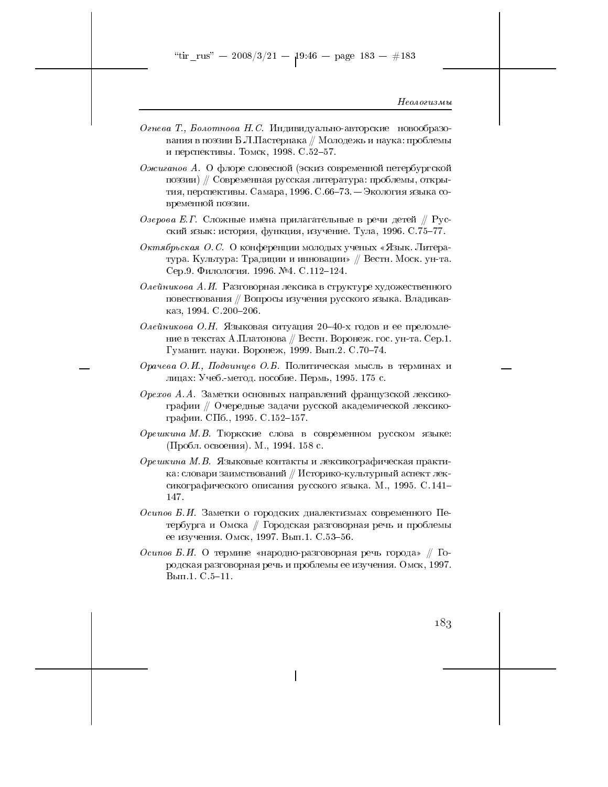"tir\_rus" -- 2008/3/21 --  $19.46$  -- page 183 -- #183

#### Неологизмы

- Огнева Т., Болотнова Н. С. Индивидуально-авторские новообразования в поэзии Б.Л.Пастернака // Молодежь и наука: проблемы и перспективы. Томск, 1998. С. 52-57.
- Ожиганов А. О флоре словесной (эскиз современной петербургской поэзии) // Современная русская литература: проблемы, открытия, перспективы. Самара, 1996. С.66-73. - Экология языка современной поэзии.
- Озерова Е.Г. Сложные имена прилагательные в речи детей // Русский язык: история, функция, изучение. Тула, 1996. С.75-77.
- Октябрьская О.С. О конференции молодых ученых «Язык. Литература. Культура: Традиции и инновации» // Вестн. Моск. ун-та. Сер.9. Филология. 1996. №4. С.112-124.
- Олейникова А.И. Разговорная лексика в структуре художественного повествования // Вопросы изучения русского языка. Владикавказ, 1994. С.200-206.
- Олейникова О.Н. Языковая ситуация 20-40-х годов и ее преломление в текстах А.Платонова // Вестн. Воронеж. гос. ун-та. Сер.1. Гуманит. науки. Воронеж, 1999. Вып.2. С.70-74.
- Орачева О.И., Подвинцев О.Б. Политическая мысль в терминах и лицах: Учеб.-метод. пособие. Пермь, 1995. 175 с.
- Орехов А.А. Заметки основных направлений французской лексикографии // Очередные задачи русской академической лексикографии. СПб., 1995. С.152-157.
- Орешкина М.В. Тюркские слова в современном русском языке:  $(\Pi$ робл. освоения). М., 1994. 158 с.
- Орешкина М.В. Языковые контакты и лексикографическая практика: словари заимствований // Историко-культурный аспект лексикографического описания русского языка. М., 1995. С. 141-147.
- Осипов Б.И. Заметки о городских диалектизмах современного Петербурга и Омска // Городская разговорная речь и проблемы ее изучения. Омск, 1997. Вып.1. С.53-56.
- Осипов Б.И. О термине «народно-разговорная речь города» // Городская разговорная речь и проблемы ее изучения. Омск, 1997.  $B<sub>MI</sub>$ . С. 5-11.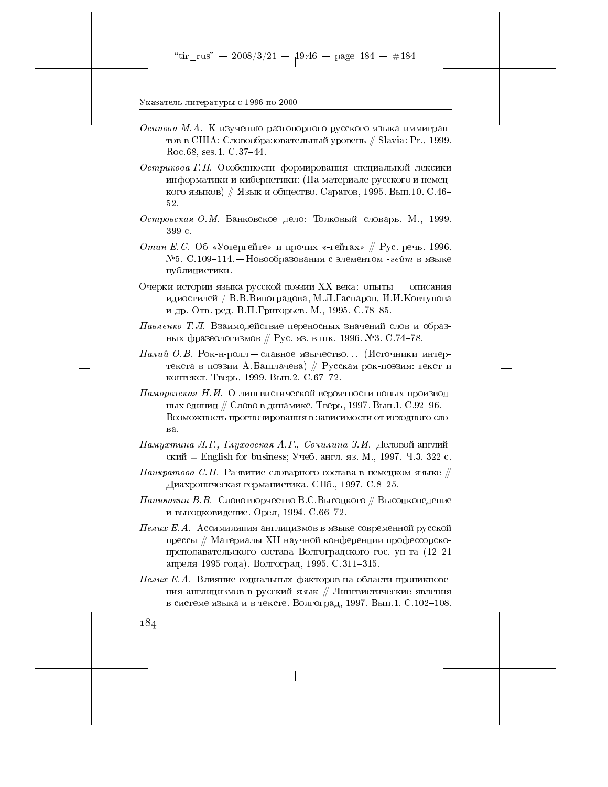- Осипова М.А. К изучению разговорного русского языка иммигрантов в США: Словообразовательный уровень // Slavia: Pr., 1999. Roc. 68, ses. 1. C. 37-44.
- Острикова Г.Н. Особенности формирования специальной лексики информатики и кибернетики: (На материале русского и немецкого языков) // Язык и общество. Саратов, 1995. Вып.10. С.46- $52.$
- Островская О.М. Банковское дело: Толковый словарь. М., 1999. 399 с.
- Отин Е.С. Об «Уотергейте» и прочих «-гейтах» // Рус. речь. 1996. №5. С.109-114. – Новообразования с элементом - гейт в языке публицистики.
- Очерки истории языка русской поэзии XX века: опыты описания идиостилей / В.В. Виноградова, М.Л. Гаспаров, И.И. Ковтунова и др. Отв. ред. В.П. Григорьев. М., 1995. С. 78-85.
- Павленко Т.Л. Взаимодействие переносных значений слов и образных фразеологизмов // Рус. яз. в шк. 1996. №3. С.74-78.
- *Палий О.В.* Рок-н-ролл славное язычество... (Источники интертекста в поэзии А. Башлачева) // Русская рок-поэзия: текст и контекст. Тверь, 1999. Вып.2. С.67-72.
- $\Pi$ аморозская Н.И. О лингвистической вероятности новых производных единиц // Слово в динамике. Тверь, 1997. Вып.1. С.92-96. — Возможность прогнозирования в зависимости от исходного сло-B<sub>a</sub>
- Памухтина Л.Г., Глуховская А.Г., Сочилина З.И. Деловой английский = English for business; Учеб. англ. яз. М., 1997. Ч.3. 322 с.
- $\varPi$ анкратова С.Н. Развитие словарного состава в немецком языке  $\#$ Диахроническая германистика. СПб., 1997. С.8–25.
- $\varPi$ анюшкин В. В. Словотворчество В.С.Высоцкого // Высоцковедение и высоцковидение. Орел, 1994. С.66-72.
- ${\it Heaux}$   ${\it E.A.}$  Ассимиляция англицизмов в языке современной русской прессы // Материалы XII научной конференции профессорскопреподавательского состава Волгоградского гос. ун-та (12-21 апреля 1995 года). Волгоград, 1995. С.311-315.
- Пелих Е.А. Влияние социальных факторов на области проникновения англицизмов в русский язык // Лингвистические явления в системе языка и в тексте. Волгоград, 1997. Вып.1. С.102-108.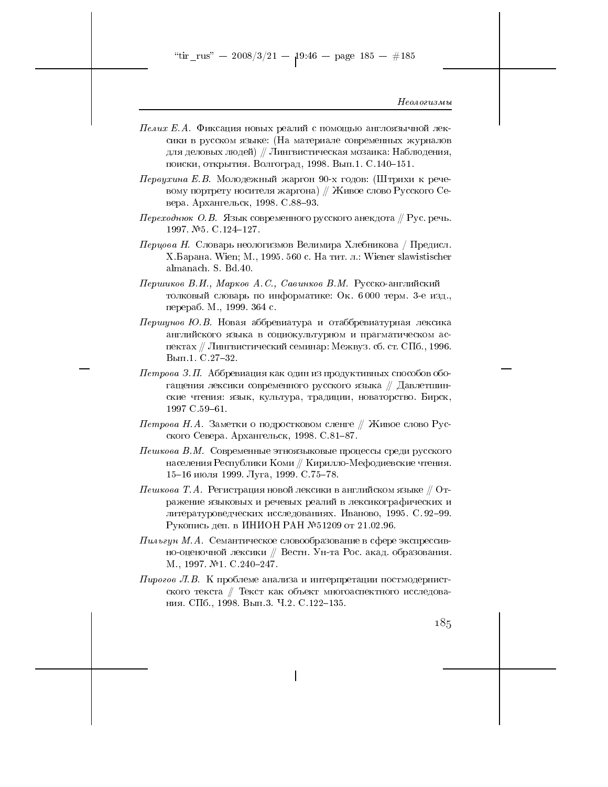"tir\_rus" -- 2008/3/21 --  $19.46$  -- page 185 -- #185

#### Неологизмы

- *Пелих Е.А.* Фиксация новых реалий с помощью англоязычной лексики в русском языке: (На материале современных журналов для деловых людей) // Лингвистическая мозаика: Наблюдения, поиски, открытия. Волгоград, 1998. Вып.1. С.140-151.
- Первухина Е.В. Молодежный жаргон 90-х годов: (Штрихи к речевому портрету носителя жаргона) // Живое слово Русского Севера. Архангельск, 1998. С.88-93.
- Переходнюк О.В. Язык современного русского анекдота  $\#$  Рус. речь. 1997. №5. С.124-127.
- $\Pi$ ерцова Н. Словарь неологизмов Велимира Хлебникова / Предисл. X.Барана. Wien; М., 1995. 560 с. На тит. л.: Wiener slawistischer almanach. S. Bd.40.
- Першиков В.И., Марков А.С., Савинков В.М. Русско-английский толковый словарь по информатике: Ок. 6000 терм. 3-е изд., перераб. М., 1999. 364 с.
- $I\!\!I\!e$ ршунов Ю.В. Новая аббревиатура и отаббревиатурная лексика английского языка в социокультурном и прагматическом аспектах // Лингвистический семинар: Межвуз. сб. ст. СПб., 1996. Вып.1. С.27-32.
- $I\!I\!empo$ ва З.П. Аббревиация как один из продуктивных способов обогащения лексики современного русского языка // Давлетшинские чтения: язык, культура, традиции, новаторство. Бирск, 1997 C.59-61.
- $\emph{Tempo}$ ва Н. А. Заметки о подростковом сленге // Живое слово Русского Севера. Архангельск, 1998. С.81-87.
- $\varPi$ ешкова В.М. Современные этноязыковые процессы среди русского населения Республики Коми // Кирилло-Мефодиевские чтения. 15-16 июля 1999. Луга, 1999. С.75-78.
- $\emph{Heuwosa}$  Т.А. Регистрация новой лексики в английском языке  $\mathbin{\#}$  Отражение языковых и речевых реалий в лексикографических и литературоведческих исследованиях. Иваново, 1995. С. 92-99. Рукопись деп. в ИНИОН РАН №51209 от 21.02.96.
- $\varPi u$ льгун М.А. Семантическое словообразование в сфере экспрессивно-оценочной лексики // Вестн. Ун-та Рос. акад. образования. M., 1997. №1. C.240-247.
- $\eta$ ирогов Л.В. К проблеме анализа и интерпретации постмодернистского текста // Текст как объект многоаспектного исследования. СПб., 1998. Вып.3. Ч.2. С.122-135.

 $18,5$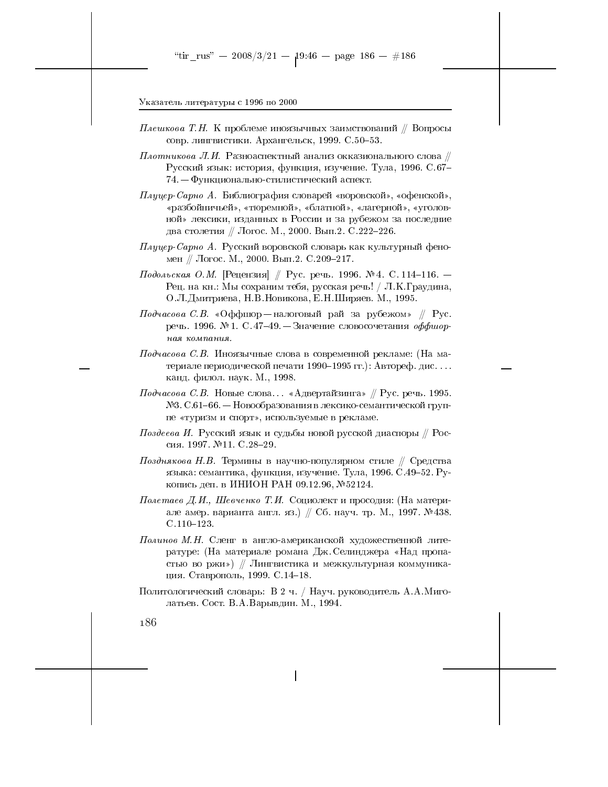- *Плешкова Т.Н.* К проблеме иноязычных заимствований // Вопросы совр. лингвистики. Архангельск, 1999. С. 50-53.
- $\Pi$ лотникова  $\emph{JI}.$  Разноаспектный анализ окказионального слова  $\mathbin{\mathbb Z}$ Русский язык: история, функция, изучение. Тула, 1996. С.67-74. – Функционально-стилистический аспект.
- Плуцер-Сарно А. Библиография словарей «воровской», «офенской», «разбойничьей», «тюремной», «блатной», «лагерной», «уголовной» лексики, изданных в России и за рубежом за последние два столетия // Логос. М., 2000. Вып.2. С.222-226.
- $\varPi_A$ уцер-Сарно А. Русский воровской словарь как культурный феномен // Логос. М., 2000. Вып.2. С.209-217.
- Подольская О.М. [Рецензия] ∥ Рус. речь. 1996. № 4. С. 114–116. Рец. на кн.: Мы сохраним тебя, русская речь! / Л.К.Граудина, О.Л.Дмитриева, Н.В.Новикова, Е.Н.Ширяев. М., 1995.
- $\mathit{II}\mathit{od}\textrm{v}a\mathit{co}\textrm{ea}\,\,\mathit{C}.\,\mathit{B}.\,\,$  «Оффшор налоговый рай за рубежом»  $\mathbin{\#}$  Рус. речь. 1996. № 1. С. 47-49. - Значение словосочетания оффшорная компания.
- Подчасова С.В. Иноязычные слова в современной рекламе: (На материале периодической печати 1990-1995 гг.): Автореф. дис.... канд. филол. наук. М., 1998.
- $\mathit{II}\mathit{od}\textrm{vac}$ ова С.В. Новые слова... «Адвертайзинга» // Рус. речь. 1995. №3. С.61-66. – Новообразования в лексико-семантической группе «туризм и спорт», используемые в рекламе.
- $\varPi$ оздеева И. Русский язык и судьбы новой русской диаспоры // Россия. 1997. №11. С.28-29.
- Позднякова Н.В. Термины в научно-популярном стиле // Средства языка: семантика, функция, изучение. Тула, 1996. С.49-52. Рукопись деп. в ИНИОН РАН 09.12.96, №52124.
- Полетаев Д.И., Шевченко Т.И. Социолект и просодия: (На материале амер. варианта англ. яз.) // Сб. науч. тр. М., 1997. № 438.  $C.110 - 123.$
- Полинов М.Н. Сленг в англо-американской художественной литературе: (На материале романа Дж. Селинджера «Над пропастью во ржи») // Лингвистика и межкультурная коммуникация. Ставрополь, 1999. С.14-18.
- Политологический словарь: В 2 ч. / Науч. руководитель А.А.Миголатьев. Сост. В.А. Варывдин. М., 1994.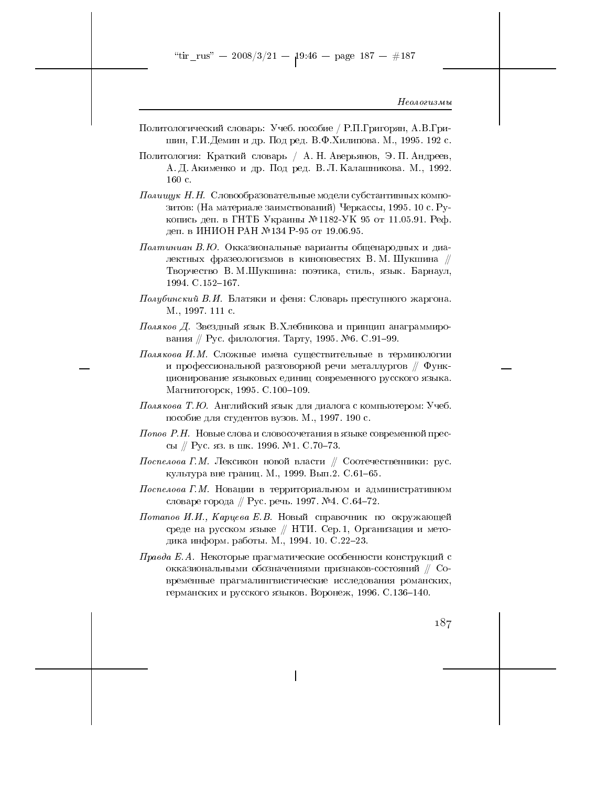- Политологический словарь: Учеб. пособие / Р.П.Григорян, А.В.Гришин, Г.И.Демин и др. Под ред. В.Ф.Хилипова. М., 1995. 192 с.
- Политология: Краткий словарь / А. Н. Аверьянов, Э. П. Андреев, А. Д. Акименко и др. Под ред. В. Л. Калашникова. М., 1992.  $160c$ .
- Полищук Н.Н. Словообразовательные модели субстантивных композитов: (На материале заимствований) Черкассы, 1995. 10 с. Рукопись деп. в ГНТБ Украины №1182-УК 95 от 11.05.91. Реф. деп. в ИНИОН РАН №134 Р-95 от 19.06.95.
- Полтиниан В.Ю. Окказиональные варианты общенародных и диалектных фразеологизмов в киноповестях В.М.Шукшина // Творчество В. М.Шукшина: поэтика, стиль, язык. Барнаул, 1994. C.152-167.
- Полубинский В.И. Блатяки и феня: Словарь преступного жаргона. M., 1997. 111 c.
- Поляков Д. Звездный язык В. Хлебникова и принцип анаграммирования // Рус. филология. Тарту, 1995. №6. С.91-99.
- Полякова И.М. Сложные имена существительные в терминологии и профессиональной разговорной речи металлургов  $\#$  Функционирование языковых единиц современного русского языка. Магнитогорск, 1995. С.100-109.
- $\varPi$ олякова Т. Ю. Английский язык для диалога с компьютером: Учеб. пособие для студентов вузов. М., 1997. 190 с.
- Попов Р.Н. Новые слова и словосочетания в языке современной прессы // Рус. яз. в шк. 1996. №1. С.70-73.
- Поспелова Г.М. Лексикон новой власти // Соотечественники: рус. культура вне границ. М., 1999. Вып.2. С.61-65.
- $\emph{Hocne}$ лова Г.М. Новации в территориальном и административном словаре города // Рус. речь. 1997. №4. С.64-72.
- Потапов И.И., Карцева Е.В. Новый справочник по окружающей среде на русском языке // НТИ. Сер. 1, Организация и методика информ. работы. М., 1994. 10. С.22-23.
- Правда Е.А. Некоторые прагматические особенности конструкций с окказиональными обозначениями признаков-состояний  $//$  Современные прагмалингвистические исследования романских, германских и русского языков. Воронеж, 1996. С.136-140.

 $187$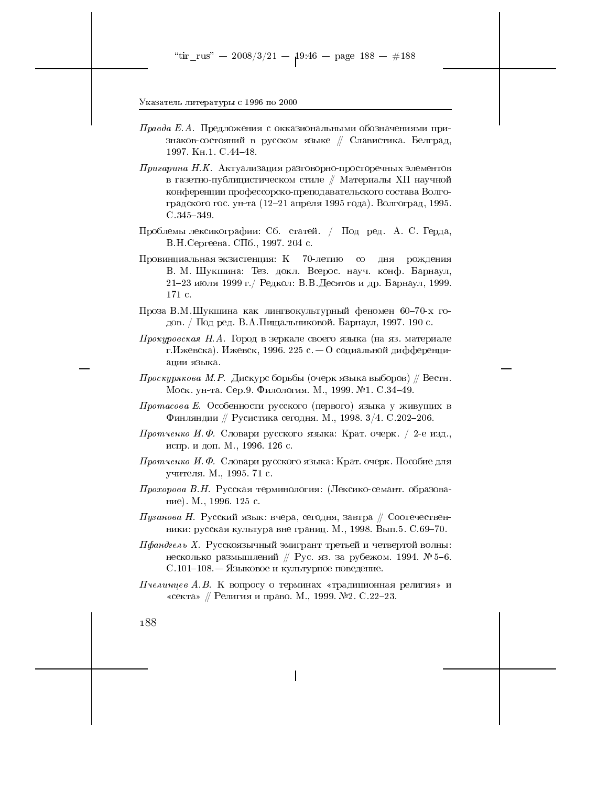- $\Pi$ равда Е.А. Предложения с окказиональными обозначениями признаков-состояний в русском языке // Славистика. Белград, 1997. KH.1. C.44-48.
- Пригарина Н.К. Актуализация разговорно-просторечных элементов в газетно-публицистическом стиле // Материалы XII научной конференции профессорско-преподавательского состава Волгоградского гос. ун-та (12-21 апреля 1995 года). Волгоград, 1995.  $C.345 - 349.$
- Проблемы лексикографии: Сб. статей. / Под ред. А. С. Герда, В.Н. Сергеева. СПб., 1997. 204 с.
- Провинциальная экзистенция: К 70-летию со дня рождения В. М. Шукшина: Тез. докл. Всерос. науч. конф. Барнаул, 21-23 июля 1999 г. / Редкол: В.В. Десятов и др. Барнаул, 1999. 171 c.
- Проза В.М.Шукшина как лингвокультурный феномен 60-70-х годов. / Под ред. В.А.Пищальниковой. Барнаул, 1997. 190 с.
- Прокуровская Н.А. Город в зеркале своего языка (на яз. материале г. Ижевска). Ижевск, 1996. 225 с. – О социальной дифференциации языка.
- $\emph{I}\emph{p}o}em{c}$ кова М.Р. Дискурс борьбы (очерк языка выборов) // Вестн. Моск. ун-та. Сер.9. Филология. М., 1999. №1. С.34-49.
- Протасова Е. Особенности русского (первого) языка у живущих в Финляндии // Русистика сегодня. М., 1998.  $3/4$ . С.202-206.
- *Протченко И.Ф.* Словари русского языка: Крат. очерк. / 2-е изд., испр. и доп. М., 1996. 126 с.
- *Протченко И.Ф.* Словари русского языка: Крат. очерк. Пособие для учителя. М., 1995. 71 с.
- *Прохорова В.Н.* Русская терминология: (Лексико-семант. образование). М., 1996. 125 с.
- $\varPi$ узанова Н. Русский язык: вчера, сегодня, завтра // Соотечественники: русская культура вне границ. М., 1998. Вып. 5. С.69-70.
- Пфандгель X. Русскоязычный эмигрант третьей и четвертой волны: несколько размышлений // Рус. яз. за рубежом. 1994. № 5-6. С.101-108. – Языковое и культурное поведение.
- Пчелинцев А.В. К вопросу о терминах «традиционная религия» и «секта» // Религия и право. М., 1999. №2. С.22-23.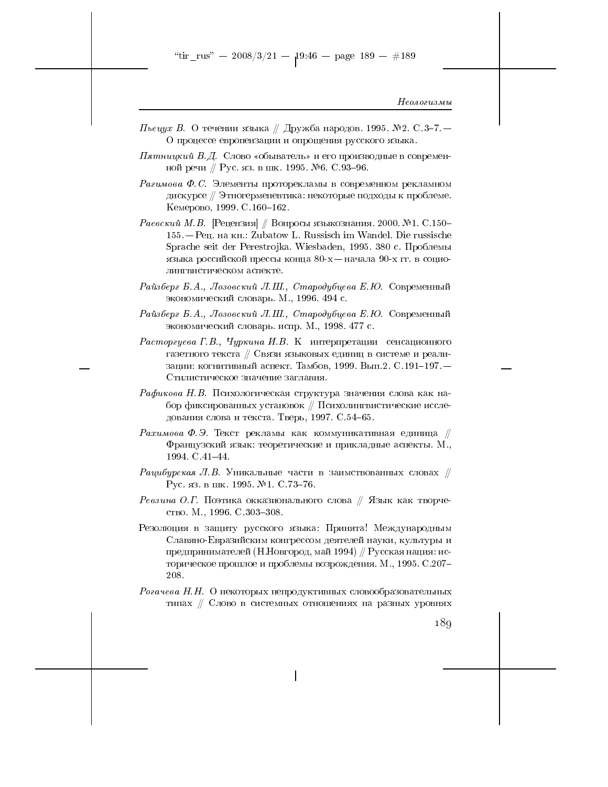- $\emph{Theeyx B. O}$  течении языка // Дружба народов. 1995. №2. С.3–7. О процессе европеизации и опрощения русского языка.
- $\Pi$ ятницкий  $B$ . $\Box$ . Слово «обыватель» и его производные в современной речи // Рус. яз. в шк. 1995. №6. С.93-96.
- Рагимова Ф.С. Элементы проторекламы в современном рекламном дискурсе // Этногерменевтика: некоторые подходы к проблеме. Кемерово, 1999. С.160-162.
- Раевский М.В. [Рецензия] // Вопросы языкознания. 2000. №1. С.150-155. – Рец. на кн.: Zubatow L. Russisch im Wandel. Die russische Sprache seit der Perestrojka. Wiesbaden, 1995. 380 с. Проблемы языка российской прессы конца  $80-x$  — начала 90-х гг. в социолингвистическом аспекте.
- Райзберг Б.А., Лозовский Л.Ш., Стародубцева Е.Ю. Современный экономический словарь. М., 1996. 494 с.
- Райзберг Б.А., Лозовский Л.Ш., Стародубцева Е.Ю. Современный экономический словарь. испр. М., 1998. 477 с.
- Расторгуева Г.В., Чуркина И.В. К интерпретации сенсационного газетного текста // Связи языковых единиц в системе и реализации: когнитивный аспект. Тамбов, 1999. Вып.2. С.191-197. -Стилистическое значение заглавия.
- Рафикова Н.В. Психологическая структура значения слова как набор фиксированных установок // Психолингвистические исследования слова и текста. Тверь, 1997. С.54-65.
- $\textit{Paxumoea}$  Ф.Э. Текст рекламы как коммуникативная единица // Французский язык: теоретические и прикладные аспекты. М., 1994. C. 41-44.
- Рацибурская Л.В. Уникальные части в заимствованных словах  $\#$ Рус. яз. в шк. 1995. №1. С. 73-76.
- *Ревзина О.Г.* Поэтика окказионального слова // Язык как творчество. М., 1996. С. 303-308.
- Резолюция в защиту русского языка. Принята! Международным Славяно-Евразийским конгрессом деятелей науки, культуры и предпринимателей (Н.Новгород, май 1994) // Русская нация: историческое прошлое и проблемы возрождения. М., 1995. С.207-208.
- Рогачева Н.Н. О некоторых непродуктивных словообразовательных типах // Слово в системных отношениях на разных уровнях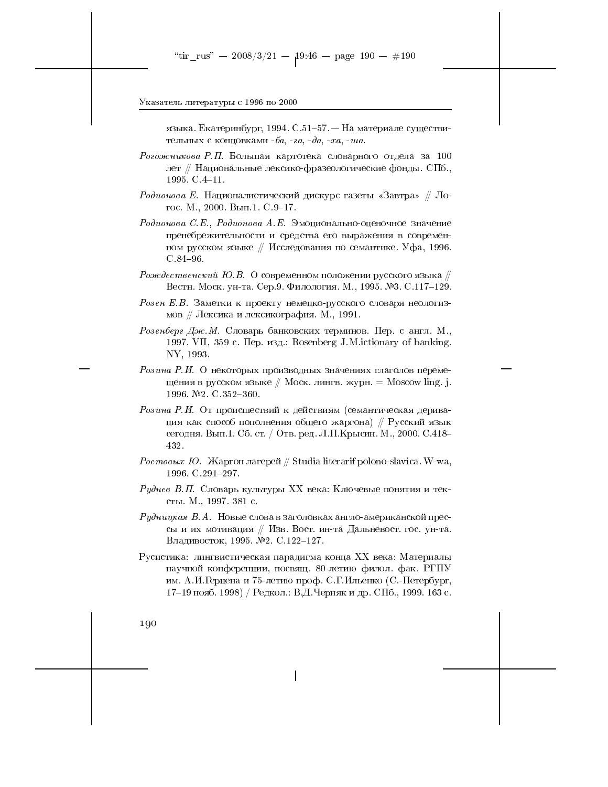языка. Екатеринбург, 1994. С.51-57. — На материале существительных с концовками  $-6a$ ,  $-a$ ,  $-a$ ,  $-a$ ,  $-xa$ ,  $-ua$ .

Рогожникова Р.П. Большая картотека словарного отдела за 100 лет // Национальные лексико-фразеологические фонды. СПб., 1995.  $C.4-11$ .

Родионова Е. Националистический дискурс газеты «Завтра» // Логос. М., 2000. Вып.1. С.9-17.

Родионова С.Е., Родионова А.Е. Эмоционально-оценочное значение пренебрежительности и средства его выражения в современном русском языке // Исследования по семантике. Уфа, 1996.  $C.84 - 96.$ 

- *Рождественский Ю.В.* О современном положении русского языка // Вестн. Моск. ун-та. Сер.9. Филология. М., 1995. №3. С.117-129.
- Розен Е.В. Заметки к проекту немецко-русского словаря неологизмов // Лексика и лексикография. М., 1991.
- Розенберг Дж. М. Словарь банковских терминов. Пер. с англ. М., 1997. VII, 359 с. Пер. изд.: Rosenberg J.M.ictionary of banking. NY, 1993.
- Розина Р.И. О некоторых производных значениях глаголов перемещения в русском языке  $\#$  Моск. лингв. журн. = Moscow ling. j. 1996. №2. C.352-360.
- Розина Р.И. От происшествий к действиям (семантическая деривация как способ пополнения общего жаргона) // Русский язык сегодня. Вып.1. Сб. ст. / Отв. ред. Л.П.Крысин. М., 2000. С.418-432.
- Ростовых Ю. Жаргон лагерей // Studia literarif polono-slavica. W-wa, 1996. C.291-297.
- Руднев В.П. Словарь культуры XX века. Ключевые понятия и тексты. М., 1997. 381 с.
- $Pydnuukaa\ B.A.$  Новые слова в заголовках англо-американской прессы и их мотивация // Изв. Вост. ин-та Дальневост. гос. ун-та. Владивосток, 1995. №2. С.122-127.
- Русистика: лингвистическая парадигма конца XX века: Материалы научной конференции, посвящ. 80-летию филол. фак. РГПУ им. А.И. Герцена и 75-летию проф. С.Г. Ильенко (С.-Петербург, 17-19 нояб. 1998) / Редкол.: В.Д.Черняк и др. СПб., 1999. 163 с.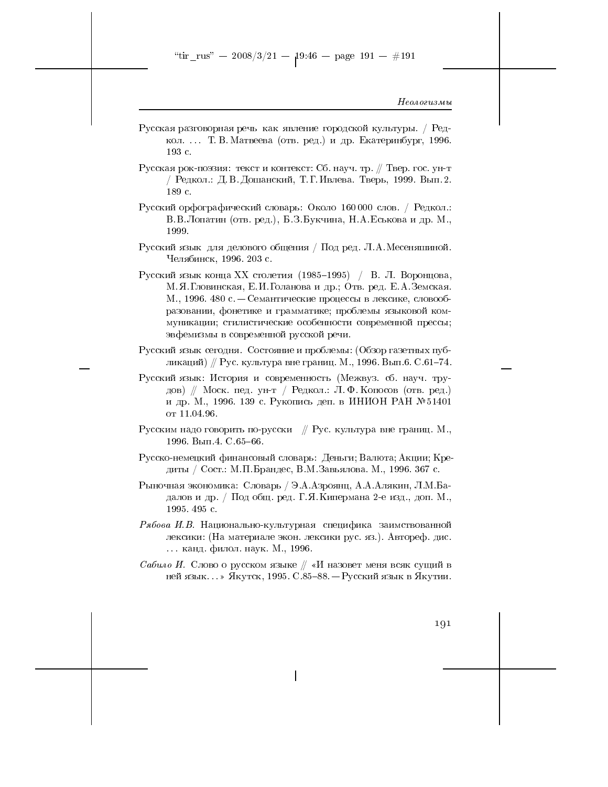- Русская разговорная речь как явление городской культуры. / Редкол. . . Т. В. Матвеева (отв. ред.) и др. Екатеринбург, 1996. 193 с.
- Русская рок-поэзия: текст и контекст: Сб. науч. тр. // Твер. гос. ун-т / Редкол.: Д. В. Дошанский, Т. Г. Ивлева. Тверь, 1999. Вып. 2. 189 с.
- Русский орфографический словарь: Около 160000 слов. / Редкол.: В.В.Лопатин (отв. ред.), Б.З.Букчина, Н.А.Еськова и др. М., 1999.
- Русский язык для делового общения / Под ред. Л.А. Месеняшиной. Челябинск, 1996. 203 с.
- Русский язык конца XX столетия (1985-1995) / В. Л. Воронцова, М. Я. Гловинская, Е. И. Голанова и др.; Отв. ред. Е. А. Земская. М., 1996. 480 с. – Семантические процессы в лексике, словообразовании, фонетике и грамматике; проблемы языковой коммуникации; стилистические особенности современной прессы; эвфемизмы в современной русской речи.
- Русский язык сегодня. Состояние и проблемы: (Обзор газетных публикаций) // Рус. культура вне границ. М., 1996. Вып.6. С.61-74.
- Русский язык: История и современность (Межвуз. сб. науч. трудов) // Моск. пед. ун-т / Редкол.: Л.Ф. Копосов (отв. ред.) и др. М., 1996. 139 с. Рукопись деп. в ИНИОН РАН № 51401 от 11.04.96.
- Русским надо говорить по-русски  $\#$  Рус. культура вне границ. М., 1996. Вып. 4. С. 65-66.
- Русско-немецкий финансовый словарь: Деньги; Валюта; Акции; Кредиты / Сост.: М.П.Брандес, В.М.Завьялова. М., 1996. 367 с.
- Рыночная экономика: Словарь / Э.А.Азроянц, А.А.Алякин, Л.М.Бадалов и др. / Под общ. ред. Г. Я. Кипермана 2-е изд., доп. М., 1995.495 с.
- Рябова И.В. Национально-культурная специфика заимствованной лексики: (На материале экон. лексики рус. яз.). Автореф. дис. ... канд. филол. наук. М., 1996.
- Сабило И. Слово о русском языке  $\#$  «И назовет меня всяк сущий в ней язык...» Якутск, 1995. С.85-88. — Русский язык в Якутии.

191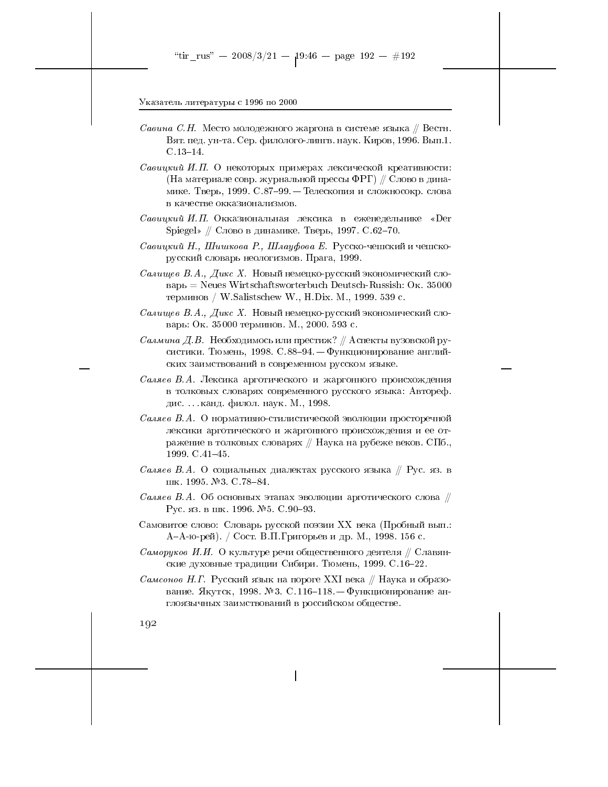- Савина С.Н. Место молодежного жаргона в системе языка // Вестн. Вят. пед. ун-та. Сер. филолого-лингв. наук. Киров, 1996. Вып.1.  $C.13-14.$
- Савицкий И.П. О некоторых примерах лексической креативности: (На материале совр. журнальной прессы ФРГ) // Слово в динамике. Тверь, 1999. С.87-99. - Телескопия и сложносокр. слова в качестве окказионализмов.
- Савицкий И.П. Окказиональная лексика в еженедельнике «Der Spiegel» // Слово в динамике. Тверь, 1997. С.62-70.
- Савицкий Н., Шишкова Р., Шлауфова Е. Русско-чешский и чешскорусский словарь неологизмов. Прага, 1999.
- Салищев В.А., Дикс Х. Новый немецко-русский экономический сло $p_{\rm B} =$  Neues Wirtschaftsworterbuch Deutsch-Russish: Ok. 35000 терминов / W.Salistschew W., H.Dix. M., 1999. 539 с.
- Салищев В.А., Дикс Х. Новый немецко-русский экономический словарь: Ок. 35000 терминов. М., 2000. 593 с.
- Салмина Д.В. Необходимось или престиж? // Аспекты вузовской русистики. Тюмень, 1998. С.88-94. - Функционирование английских заимствований в современном русском языке.
- Саляев В.А. Лексика арготического и жаргонного происхождения в толковых словарях современного русского языка: Автореф. дис... канд. филол. наук. М., 1998.
- Саляев В.А. О нормативно-стилистической эволюции просторечной лексики арготического и жаргонного происхождения и ее отражение в толковых словарях // Наука на рубеже веков. СПб., 1999. C.41-45.
- Саляев В.А. О социальных диалектах русского языка  $\#$  Рус. яз. в шк. 1995. №3. С. 78–84.
- Саляев В.А. Об основных этапах эволюции арготического слова  $\#$ Рус. яз. в шк. 1996. №5. С.90-93.
- Самовитое слово: Словарь русской поэзии XX века (Пробный вып.: А-А-ю-рей). / Сост. В.П. Григорьев и др. М., 1998. 156 с.
- Саморуков И.И. О культуре речи общественного деятеля  $\#$  Славянские духовные традиции Сибири. Тюмень, 1999. С.16-22.
- Самсонов Н.Г. Русский язык на пороге XXI века // Наука и образование. Якутск, 1998. №3. С.116-118. - Функционирование англоязычных заимствований в российском обществе.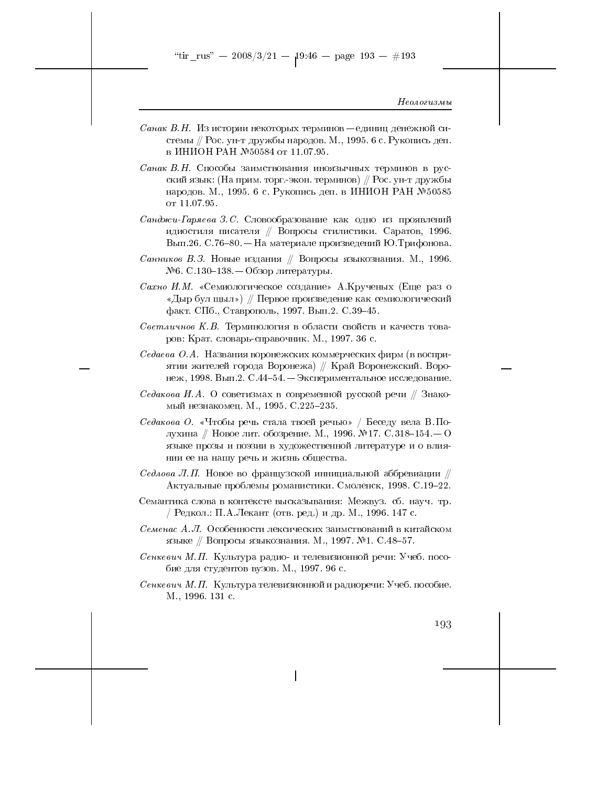"tir\_rus" -- 2008/3/21 --  $19:46$  -- page 193 -- #193

#### Неологизмы

- *Санак В.Н.* Из истории некоторых терминов единиц денежной системы // Рос. ун-т дружбы народов. М., 1995. 6 с. Рукопись деп. в ИНИОН РАН №50584 от 11.07.95.
- Санак В.Н. Способы заимствования иноязычных терминов в русский язык: (На прим. торг.-экон. терминов) // Рос. ун-т дружбы народов. М., 1995. 6 с. Рукопись деп. в ИНИОН РАН № 50585 от 11.07.95.
- $Ca$ нджи-Гаряева З.С. Словообразование как одно из проявлений идиостиля писателя // Вопросы стилистики. Саратов, 1996. Вып.26. С.76–80. — На материале произведений Ю.Трифонова.
- *Санников В.З.* Новые издания // Вопросы языкознания. М., 1996.  $N$ <sup>26</sup>. С.130-138. — Обзор литературы.
- Сахно И.М. «Семиологическое создание» А.Крученых (Еще раз о «Дыр бул щыл») // Первое произведение как семиологический факт. СПб., Ставрополь, 1997. Вып. 2. С. 39-45.
- Светличнов К.В. Терминология в области свойств и качеств товаров: Крат. словарь-справочник. М., 1997. 36 с.
- Седаева О.А. Названия воронежских коммерческих фирм (в восприятии жителей города Воронежа) // Край Воронежский. Воронеж, 1998. Вып.2. С.44-54. – Экспериментальное исследование.
- Седакова И.А. О советизмах в современной русской речи  $\#$  Знакомый незнакомец. М., 1995. С.225-235.
- Седакова О. «Чтобы речь стала твоей речью» / Беседу вела В. Полухина // Новое лит. обозрение. М., 1996. №17. С.318-154. — О языке прозы и поэзии в художественной литературе и о влиянии ее на нашу речь и жизнь общества.
- Седлова Л.П. Новое во французской иннициальной аббревиации  $\#$ Актуальные проблемы романистики. Смоленск, 1998. С.19-22.
- Семантика слова в контексте высказывания: Межвуз. сб. науч. тр. / Редкол.: П.А.Лекант (отв. ред.) и др. М., 1996. 147 с.
- Семенас А.Л. Особенности лексических заимствований в китайском языке // Вопросы языкознания. М., 1997. №1. С.48-57.
- Сенкевич М.П. Культура радио- и телевизионной речи: Учеб. пособие для студентов вузов. М., 1997. 96 с.
- Сенкевич М.П. Культура телевизионной и радиоречи: Учеб. пособие. M., 1996. 131 c.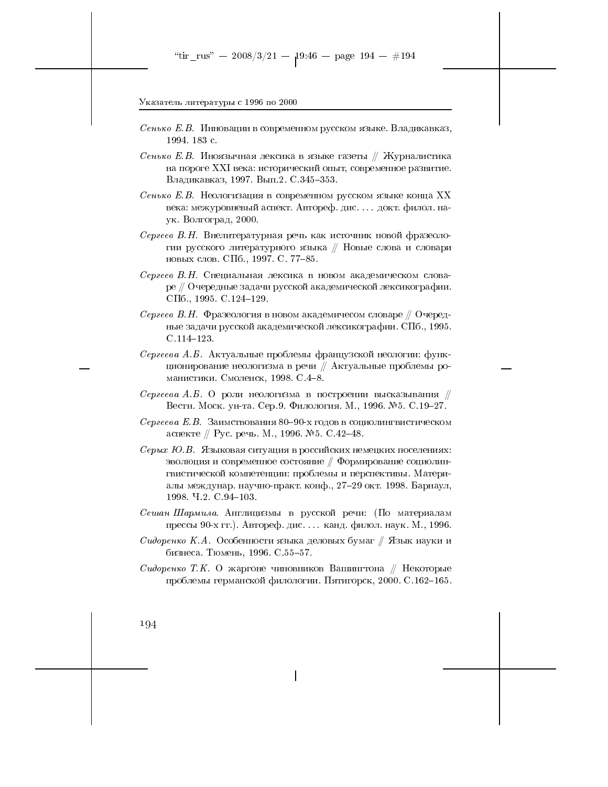- Сенько Е.В. Инновации в современном русском языке. Владикавказ, 1994. 183 с.
- Сенько Е.В. Иноязычная лексика в языке газеты // Журналистика на пороге XXI века: исторический опыт, современное развитие. Владикавказ, 1997. Вып.2. С.345-353.
- Сенько Е.В. Неологизация в современном русском языке конца XX века: межуровневый аспект. Автореф. дис. ... докт. филол. наук. Волгоград, 2000.
- Сергеев В.Н. Внелитературная речь как источник новой фразеологии русского литературного языка // Новые слова и словари новых слов. СПб., 1997. С. 77-85.
- Сергеев В.Н. Специальная лексика в новом академическом словаре // Очередные задачи русской академической лексикографии. СПб., 1995. С. 124-129.
- Сергеев В.Н. Фразеология в новом академичесом словаре // Очередные задачи русской академической лексикографии. СПб., 1995.  $C.114-123.$
- Сергеева А.Б. Актуальные проблемы французской неологии: функционирование неологизма в речи // Актуальные проблемы романистики. Смоленск, 1998. С.4-8.
- Сергеева А.Б. О роли неологизма в построении высказывания  $\#$ Вестн. Моск. ун-та. Сер.9. Филология. М., 1996. №5. С. 19-27.
- Сергеева Е.В. Заимствования 80-90-х годов в социолингвистическом аспекте // Рус. речь. М., 1996. №5. С.42-48.
- $Cepbx$  Ю.В. Языковая ситуация в российских немецких поселениях: эволюция и современное состояние  $\#$  Формирование социолингвистической компетенции: проблемы и перспективы. Материалы междунар. научно-практ. конф., 27-29 окт. 1998. Барнаул, 1998 Ч.2. С.94-103.
- Сешан Шармила. Англицизмы в русской речи: (По материалам прессы 90-х гг.). Автореф. дис. ... канд. филол. наук. М., 1996.
- Сидоренко К.А. Особенности языка деловых бумаг // Язык науки и бизнеса. Тюмень, 1996. С.55-57.
- Сидоренко Т.К. О жаргоне чиновников Вашингтона // Некоторые проблемы германской филологии. Пятигорск, 2000. С.162-165.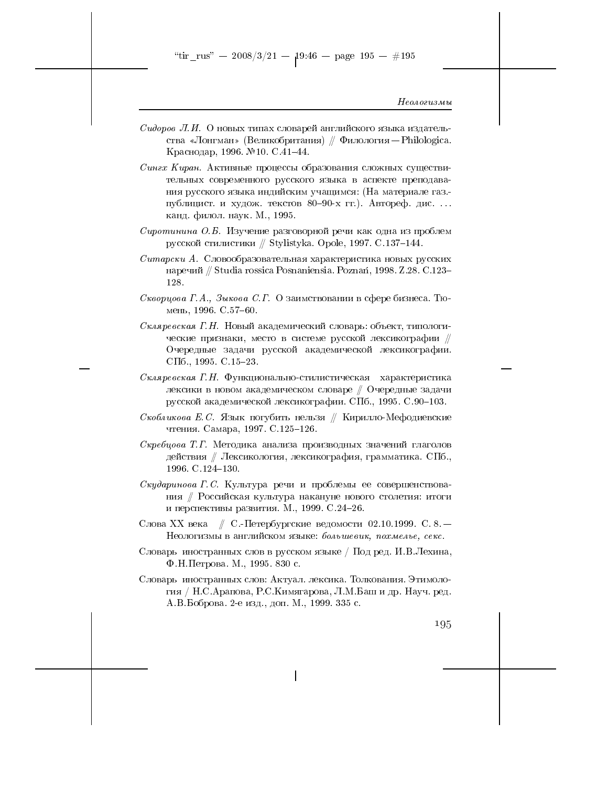"tir\_rus" — 2008/3/21 —  $19:46$  — page 195 — #195

#### Неологизмы

- Сидоров Л.И. О новых типах словарей английского языка издательства «Лонгман» (Великобритания) // Филология - Philologica. Краснодар, 1996. №10. С.41-44.
- Сингх Киран. Активные процессы образования сложных существительных современного русского языка в аспекте преподавания русского языка индийским учащимся: (На материале газ.публицист и худож. текстов 80-90-х гг.). Автореф. дис.... канд. филол. наук. М., 1995.
- Сиротинина О.Б. Изучение разговорной речи как одна из проблем русской стилистики // Stylistyka. Opole, 1997. С.137-144.
- Ситарски А. Словообразовательная характеристика новых русских наречий // Studia rossica Posnaniensia. Poznań, 1998. Z.28. С.123-128.
- Скворцова Г.А., Зыкова С.Г. О заимствовании в сфере бизнеса. Тюмень, 1996. С. 57-60.
- Скляревская Г.Н. Новый академический словарь: объект, типологические признаки, место в системе русской лексикографии // Очередные задачи русской академической лексикографии. СПб., 1995. С.15-23.
- Скляревская Г.Н. Функционально-стилистическая характеристика лексики в новом академическом словаре  $\#$  Очередные задачи русской академической лексикографии. СПб., 1995. С.90-103.
- Скобликова Е.С. Язык погубить нельзя // Кирилло-Мефодиевские чтения. Самара, 1997. С.125-126.
- Скребцова Т.Г. Методика анализа производных значений глаголов действия // Лексикология, лексикография, грамматика. СПб., 1996. C.124-130.
- $C_{\kappa y}$ даринова Г.С. Культура речи и проблемы ее совершенствования // Российская культура накануне нового столетия: итоги и перспективы развития. М., 1999. С.24-26.
- Слова XX века // С.-Петербургские ведомости 02.10.1999. С. 8. -Неологизмы в английском языке: большевик, похмелье, секс.
- Словарь иностранных слов в русском языке / Под ред. И.В.Лехина, Ф.Н. Петрова. М., 1995. 830 с.
- Словарь иностранных слов: Актуал. лексика. Толкования. Этимология / Н.С.Арапова, Р.С.Кимягарова, Л.М.Баш и др. Науч. ред. А.В.Боброва. 2-е изд., доп. М., 1999. 335 с.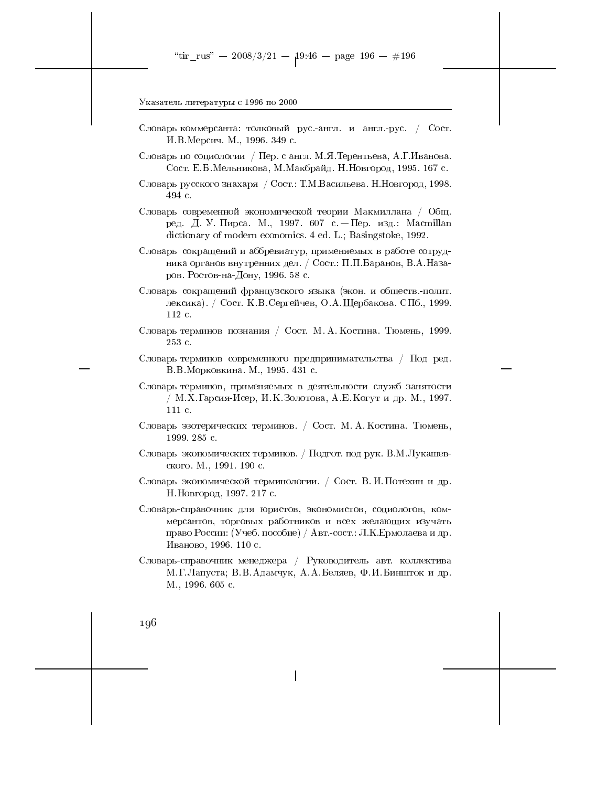- Словарь коммерсанта: толковый рус.-англ. и англ.-рус. / Сост. И.В.Мерсич. М., 1996. 349 с.
- Словарь по социологии / Пер. с англ. М.Я. Терентьева, А.Г. Иванова. Сост. Е.Б.Мельникова, М.Макбрайд. Н.Новгород, 1995. 167 с.
- Словарь русского знахаря / Сост.: Т.М.Васильева. Н.Новгород, 1998. 494 с.
- Словарь современной экономической теории Макмиллана / Общ. ред. Д. У. Пирса. М., 1997. 607 с. - Пер. изд.: Macmillan dictionary of modern economics. 4 ed. L.; Basingstoke, 1992.
- Словарь сокращений и аббревиатур, применяемых в работе сотрудника органов внутренних дел. / Сост.: П.П.Баранов, В.А.Назаров. Ростов-на-Дону, 1996. 58 с.
- Словарь сокращений французского языка (экон. и обществ.-полит. лексика). / Сост. К.В.Сергейчев, О.А.Щербакова. СПб., 1999.  $112c$ .
- Словарь терминов познания / Сост. М. А. Костина. Тюмень, 1999.  $253c$ .
- Словарь терминов современного предпринимательства / Под ред. В.В. Морковкина. М., 1995. 431 с.
- Словарь терминов, применяемых в деятельности служб занятости / М.Х. Гарсия-Исер, И.К.Золотова, А.Е. Когут и др. М., 1997. 111 c.
- Словарь эзотерических терминов. / Сост. М. А. Костина. Тюмень, 1999. 285 с.
- Словарь экономических терминов. / Подгот. под рук. В.М.Лукашевского М., 1991. 190 с.
- Словарь экономической терминологии. / Сост. В. И. Потехин и др. Н. Новгород, 1997. 217 с.
- Словарь-справочник для юристов, экономистов, социологов, коммерсантов, торговых работников и всех желающих изучать право России: (Учеб. пособие) / Авт.-сост.: Л.К.Ермолаева и др. Иваново, 1996. 110 с.
- Словарь-справочник менеджера / Руководитель авт. коллектива М. Г. Лапуста; В. В. Адамчук, А. А. Беляев, Ф. И. Биншток и др. M., 1996. 605 c.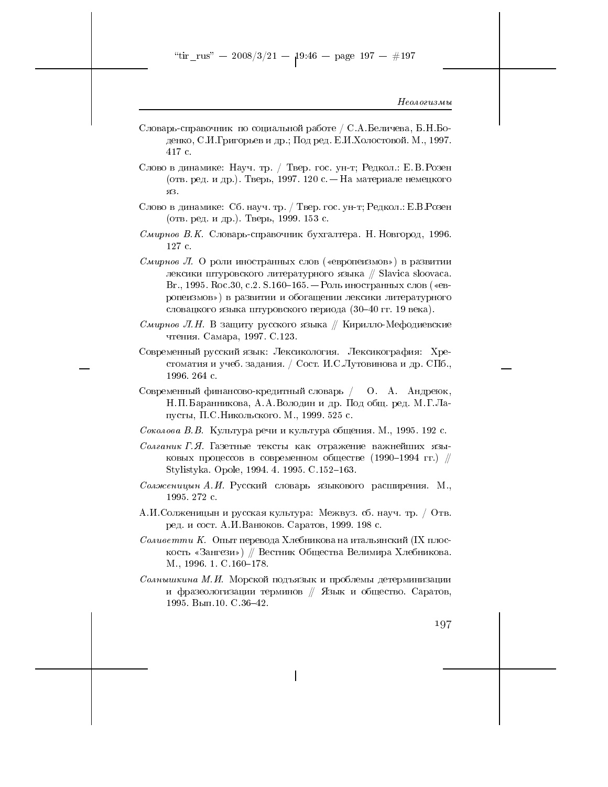- Словарь-справочник по социальной работе / С.А.Беличева, Б.Н.Боденко, С.И.Григорьев и др.; Под ред. Е.И.Холостовой. М., 1997. 417 c.
- Слово в динамике: Науч. тр. / Твер. гос. ун-т; Редкол.: Е.В. Розен (отв. ред. и др.). Тверь, 1997. 120 с. - На материале немецкого яз.
- Слово в динамике: Сб. науч. тр. / Твер. гос. ун-т; Редкол.: Е.В.Розен (отв. ред. и др.). Тверь, 1999. 153 с.
- Смирнов В.К. Словарь-справочник бухгалтера. Н. Новгород, 1996. 127 c.
- Смирнов Л. О роли иностранных слов («европеизмов») в развитии лексики штуровского литературного языка // Slavica sloovaca. Вг., 1995. Roc.30, с.2. S.160-165. – Роль иностранных слов («европеизмов») в развитии и обогащении лексики литературного словацкого языка штуровского периода (30-40 гг. 19 века).
- Смирнов Л.Н. В защиту русского языка // Кирилло-Мефодиевские чтения. Самара, 1997. С.123.
- Современный русский язык: Лексикология. Лексикография: Хрестоматия и учеб. задания. / Сост. И.С.Лутовинова и др. СПб., 1996 264 с.
- Современный финансово-кредитный словарь / О. А. Андреюк, Н.П. Баранникова, А.А. Володин и др. Под общ. ред. М.Г. Лапусты, П.С.Никольского. М., 1999. 525 с.
- Соколова В. В. Культура речи и культура общения. М., 1995. 192 с.
- Солганик Г.Я. Газетные тексты как отражение важнейших языковых процессов в современном обществе (1990-1994 гг.) // Stylistyka. Opole, 1994. 4. 1995. C.152-163.
- Солженицын А.И. Русский словарь языкового расширения. М., 1995.272 с.
- А.И.Солженицын и русская культура: Межвуз. сб. науч. тр. / Отв. ред. и сост. А.И. Ванюков. Саратов, 1999. 198 с.
- Соливетти К. Опыт перевода Хлебникова на итальянский (IX плоскость «Зангези») // Вестник Общества Велимира Хлебникова. M., 1996. 1. C.160-178.
- Солнышкина М.И. Морской подъязык и проблемы детерминизации и фразеологизации терминов // Язык и общество. Саратов, 1995. Вып. 10. С. 36-42.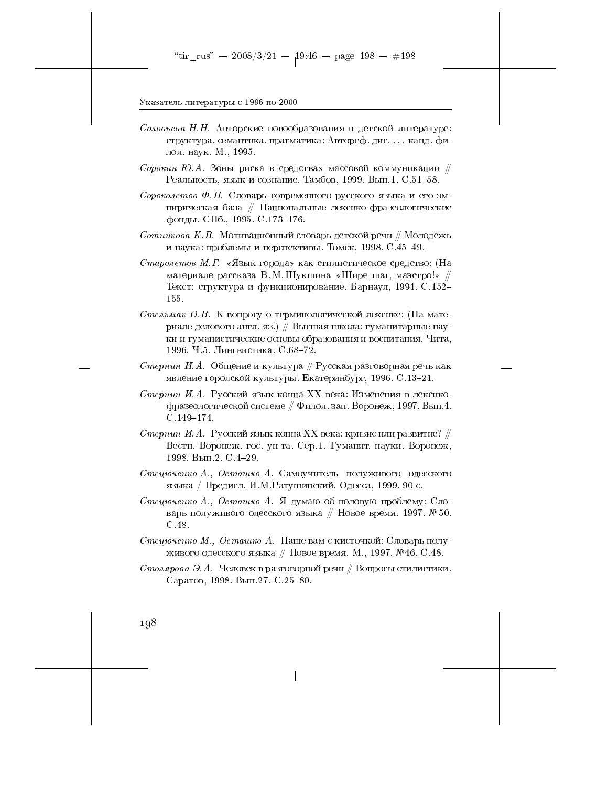- *Соловьева Н.Н.* Авторские новообразования в детской литературе: структура, семантика, прагматика: Автореф. дис.... канд. филол. наук. М., 1995.
- Сорокин Ю.А. Зоны риска в средствах массовой коммуникации  $\#$ Реальность, язык и сознание. Тамбов, 1999. Вып.1. С.51-58.
- Сороколетов Ф.П. Словарь современного русского языка и его эмпирическая база // Национальные лексико-фразеологические фонды. СПб., 1995. С.173-176.
- Сотникова К.В. Мотивационный словарь детской речи  $\#$ Молодежь и наука: проблемы и перспективы. Томск, 1998. С.45-49.
- Старолетов М.Г. «Язык города» как стилистическое средство: (На материале рассказа В. М. Шукшина «Шире шаг, маэстро!» // Текст: структура и функционирование. Барнаул, 1994. С.152-155.
- Стельмак О.В. К вопросу о терминологической лексике: (На материале делового англ. яз.) // Высшая школа: гуманитарные науки и гуманистические основы образования и воспитания. Чита, 1996. Ч.5. Лингвистика. С.68-72.
- Стернин И.А. Общение и культура  $\#$  Русская разговорная речь как явление городской культуры. Екатеринбург, 1996. С.13-21.
- Стернин И.А. Русский язык конца XX века: Изменения в лексикофразеологической системе // Филол. зап. Воронеж, 1997. Вып.4.  $C.149 - 174.$
- Стернин И.А. Русский язык конца XX века: кризис или развитие?  $\#$ Вестн. Воронеж. гос. ун-та. Сер. 1. Гуманит. науки. Воронеж, 1998. Вып.2. С.4-29.
- Стецюченко А., Осташко А. Самоучитель полуживого одесского языка / Предисл. И.М. Ратушинский. Одесса, 1999. 90 с.
- Стецюченко А., Осташко А. Я думаю об половую проблему: Словарь полуживого одесского языка // Новое время. 1997. №50.  $C.48.$
- Стецюченко М., Осташко А. Наше вам с кисточкой: Словарь полуживого одесского языка // Новое время. М., 1997. №46. С.48.
- Столярова Э.А. Человек в разговорной речи / Вопросы стилистики. Саратов, 1998. Вып. 27. С. 25-80.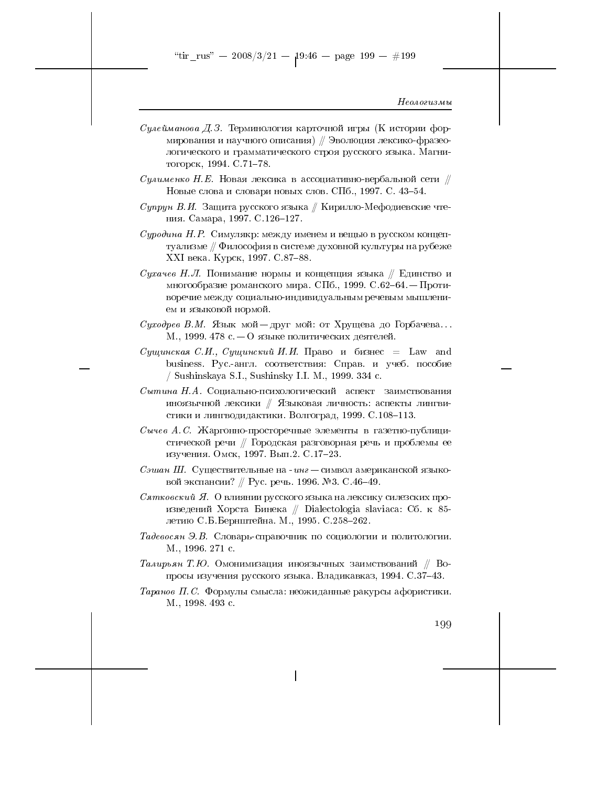"tir\_rus" -- 2008/3/21 --  $19:46$  -- page 199 -- #199

#### Неологизмы

- *Сулейманова Д.З.* Терминология карточной игры (К истории формирования и научного описания) // Эволюция лексико-фразеологического и грамматического строя русского языка. Магнитогорск, 1994. С.71-78.
- Сулименко Н.Е. Новая лексика в ассоциативно-вербальной сети  $\#$ Новые слова и словари новых слов. СПб., 1997. С. 43-54.
- Супрун В.И. Защита русского языка // Кирилло-Мефодиевские чтения. Самара, 1997. С.126-127.
- Суродина Н. Р. Симулякр: между именем и вещью в русском концептуализме // Философия в системе духовной культуры на рубеже XXI века. Курск, 1997. С.87-88.
- Сухачев Н.Л. Понимание нормы и концепция языка  $//$  Единство и многообразие романского мира. СПб., 1999. С.62-64. — Противоречие между социально-индивидуальным речевым мышлением и языковой нормой.
- *Суходрев В.М.* Язык мой-друг мой: от Хрущева до Горбачева... М., 1999. 478 с. - О языке политических деятелей.
- Cущинская С.И., Cущинский И.И. Право и бизнес = Law and business. Рус.-англ. соответствия: Справ. и учеб. пособие / Sushinskaya S.I., Sushinsky I.I. M., 1999. 334 c.
- Сытина Н.А. Социально-психологический аспект заимствования иноязычной лексики // Языковая личность: аспекты лингвистики и лингводидактики. Волгоград, 1999. С.108-113.
- Сычев А.С. Жаргонно-просторечные элементы в газетно-публицистической речи // Городская разговорная речь и проблемы ее изучения. Омск, 1997. Вып.2. С.17-23.
- Сэшан Ш. Существительные на инг символ американской языковой экспансии? // Рус. речь. 1996. №3. С.46-49.
- Сятковский Я. О влиянии русского языка на лексику силезских произведений Хорста Бинека // Dialectologia slaviaca: Сб. к 85летию С.Б.Бернштейна М., 1995. С.258-262.
- Тадевосян Э.В. Словарь-справочник по социологии и политологии. М., 1996. 271 с.
- Талирьян Т.Ю. Омонимизация иноязычных заимствований  $\#$  Вопросы изучения русского языка. Владикавказ, 1994. С.37-43.
- Таранов П.С. Формулы смысла: неожиданные ракурсы афористики. M., 1998. 493 c.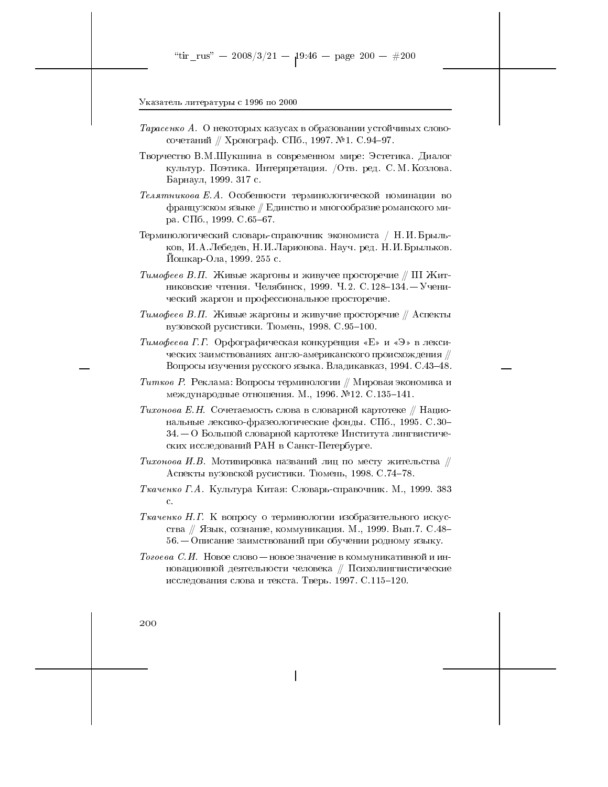- Тарасенко А. О некоторых казусах в образовании устойчивых словосочетаний // Хронограф. СПб., 1997. №1. С.94-97.
- Творчество В.М.Шукшина в современном мире: Эстетика. Диалог культур. Поэтика. Интерпретация. / Отв. ред. С. М. Козлова. Барнаул, 1999. 317 с.
- Телятникова Е.А. Особенности терминологической номинации во французском языке // Единство и многообразие романского мира. СПб., 1999. С.65-67.
- Терминологический словарь-справочник экономиста / Н.И. Брыльков, И.А.Лебедев, Н.И.Ларионова. Науч. ред. Н.И.Брыльков. Иошкар-Ола, 1999. 255 с.
- Тимофеев В.П. Живые жаргоны и живучее просторечие // III Житниковские чтения. Челябинск, 1999. Ч.2. С. 128-134. - Ученический жаргон и профессиональное просторечие.
- *Тимофеев В.П.* Живые жаргоны и живучие просторечие // Аспекты вузовской русистики. Тюмень, 1998. С.95-100.
- Тимофеева Г.Г. Орфографическая конкуренция «Е» и «Э» в лексических заимствованиях англо-американского происхождения // Вопросы изучения русского языка. Владикавказ, 1994. С.43-48.
- Титков Р. Реклама: Вопросы терминологии  $\#$  Мировая экономика и международные отношения. М., 1996. №12. С.135-141.
- Тихонова Е.Н. Сочетаемость слова в словарной картотеке // Национальные лексико-фразеологические фонды. СПб., 1995. С.30- $34-0$  Большой словарной картотеке Института лингвистических исследований РАН в Санкт-Петербурге.
- Тихонова И.В. Мотивировка названий лиц по месту жительства  $\#$ Аспекты вузовской русистики. Тюмень, 1998. С.74-78.
- Ткаченко Г.А. Культура Китая: Словарь-справочник. М., 1999. 383  $\mathbf{c}$  .
- Ткаченко Н.Г. К вопросу о терминологии изобразительного искусства // Язык, сознание, коммуникация. М., 1999. Вып. 7. С.48- $56-$ Описание заимствований при обучении родному языку.
- Тогоева С.И. Новое слово новое значение в коммуникативной и инновационной деятельности человека // Психолингвистические исследования слова и текста. Тверь. 1997. С.115-120.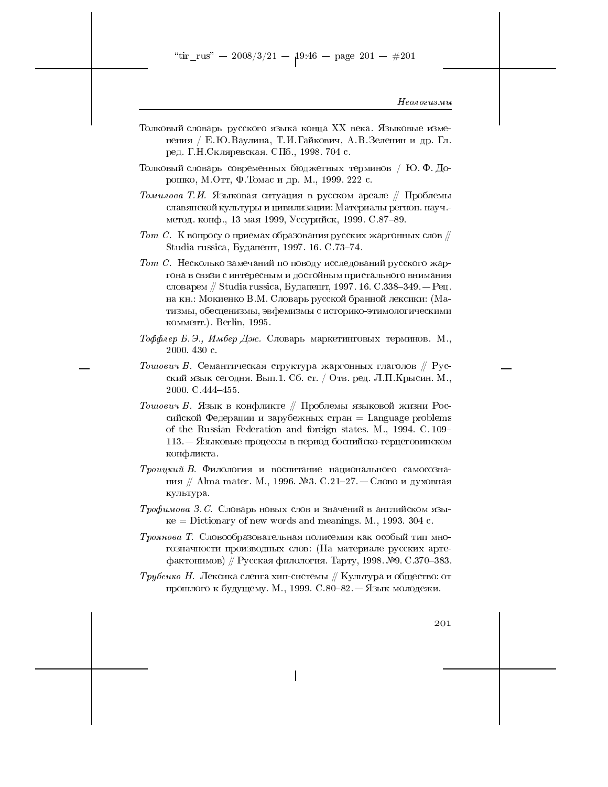"tir\_rus" -- 2008/3/21 --  $19.46$  -- page 201 -- #201

## Неологизмы

- Толковый словарь русского языка конца XX века. Языковые изменения / Е.Ю.Ваулина, Т.И.Гайкович, А.В.Зеленин и др. Гл. ред. Г.Н. Скляревская. СПб., 1998. 704 с.
- Толковый словарь современных бюджетных терминов / Ю.Ф.Дорошко, М.Отт, Ф.Томас и др. М., 1999. 222 с.
- Томилова Т.И. Языковая ситуация в русском ареале // Проблемы славянской культуры и цивилизации: Материалы регион. науч.метод. конф., 13 мая 1999, Уссурийск, 1999. С.87-89.
- Тот С. К вопросу о приемах образования русских жаргонных слов  $\#$ Studia russica, Будапешт, 1997. 16. С.73-74.
- Тот С. Несколько замечаний по поводу исследований русского жаргона в связи с интересным и достойным пристального внимания словарем // Studia russica, Будапешт, 1997. 16. С.338-349. — Рец. на кн.: Мокиенко В.М. Словарь русской бранной лексики: (Матизмы, обесценизмы, эвфемизмы с историко-этимологическими коммент.). Berlin, 1995.
- Тоффлер Б.Э., Имбер Дж. Словарь маркетинговых терминов. М., 2000. 430 с.
- Тошович Б. Семантическая структура жаргонных глаголов  $\#$  Русский язык сегодня. Вып.1. Сб. ст. / Отв. ред. Л.П. Крысин. М., 2000 C.444-455
- Тошович Б. Язык в конфликте // Проблемы языковой жизни Российской Федерации и зарубежных стран = Language problems of the Russian Federation and foreign states. M., 1994. C. 109– 113. – Языковые процессы в период боснийско-герцеговинском конфликта.
- Троицкий В. Филология и воспитание национального самосознания // Alma mater. М., 1996. №3. С.21-27. – Слово и духовная культура.
- Трофимова З.С. Словарь новых слов и значений в английском язы- $\kappa e =$ Dictionary of new words and meanings. M., 1993. 304 c.
- Троянова Т. Словообразовательная полисемия как особый тип многозначности производных слов: (На материале русских артефактонимов) // Русская филология. Тарту, 1998. №9. С.370-383.
- *Трубенко Н.* Лексика сленга хип-системы // Культура и общество: от прошлого к будущему. М., 1999. С.80-82. - Язык молодежи.

 $201\,$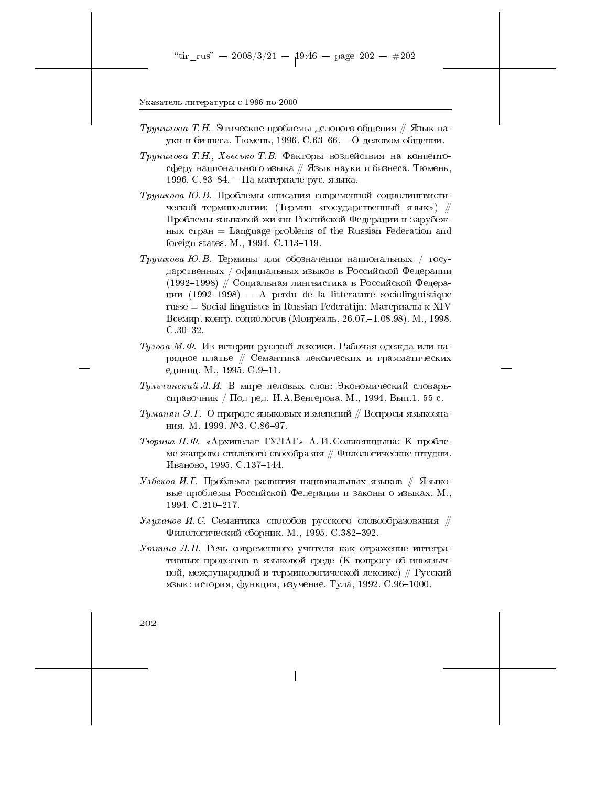- *Трунилова Т.Н.* Этические проблемы делового общения // Язык науки и бизнеса. Тюмень, 1996. С.63-66. — О деловом общении.
- Трунилова Т.Н., Хвесько Т.В. Факторы воздействия на концептосферу национального языка // Язык науки и бизнеса. Тюмень, 1996. С.83-84. – На материале рус. языка.
- Трушкова Ю.В. Проблемы описания современной социолингвистической терминологии: (Термин «государственный язык») // Проблемы языковой жизни Российской Федерации и зарубеж- $H_{\text{HIX}}$  crpah = Language problems of the Russian Federation and foreign states. M., 1994. C.113-119.
- *Трушкова Ю.В.* Термины для обозначения национальных / государственных / официальных языков в Российской Федерации (1992–1998) // Социальная лингвистика в Российской Федерации  $(1992-1998)$  = A perdu de la litterature sociolinguistique russe = Social linguistcs in Russian Federatijn: Материалы к XIV Всемир. конгр. социологов (Монреаль, 26.07.-1.08.98). М., 1998.  $C.30-32.$
- Тузова М.Ф. Из истории русской лексики. Рабочая одежда или нарядное платье // Семантика лексических и грамматических единиц. М., 1995. С.9-11.
- Тульчинский Л.И. В мире деловых слов: Экономический словарьсправочник / Под ред. И.А. Венгерова. М., 1994. Вып.1. 55 с.
- Туманян Э.Г. О природе языковых изменений // Вопросы языкознания. М. 1999. №3. С.86-97.
- Тюрина Н. Ф. «Архипелаг ГУЛАГ» А. И. Солженицына: К проблеме жанрово-стилевого своеобразия // Филологические штудии. Иваново, 1995. С. 137-144.
- Узбеков И.Г. Проблемы развития национальных языков // Языковые проблемы Российской Федерации и законы о языках. М., 1994. C.210-217.
- $\mathcal{Y}_{\mathcal{A}}$ уханов И.С. Семантика способов русского словообразования  $\mathcal{V}$ Филологический сборник. М., 1995. С.382-392.
- Уткина Л.Н. Речь современного учителя как отражение интегративных процессов в языковой среде (К вопросу об иноязычной, международной и терминологической лексике)  $\#$  Русский язык: история, функция, изучение. Тула, 1992. С.96-1000.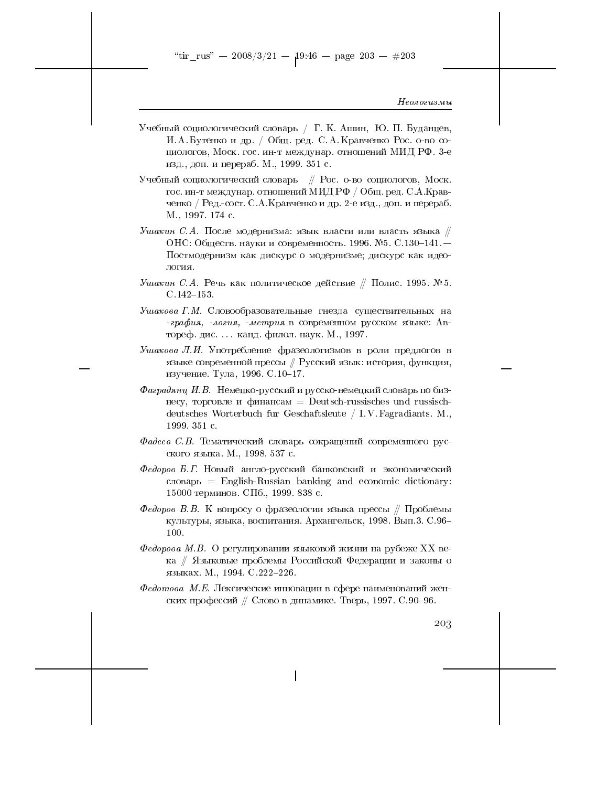Неологизмы

- Учебный социологический словарь / Г. К. Ашин, Ю. П. Буданцев, И. А. Бутенко и др. / Общ. ред. С. А. Кравченко Рос. о-во социологов, Моск. гос. ин-т междунар. отношений МИД РФ. 3-е изд., доп. и перераб. М., 1999. 351 с.
- Учебный социологический словарь // Рос. о-во социологов, Моск. гос. ин-т междунар. отношений МИД РФ / Общ. ред. С.А. Кравченко / Ред.-сост. С.А. Кравченко и др. 2-е изд., доп. и перераб. M., 1997. 174 c.
- Ушакин С.А. После модернизма: язык власти или власть языка  $\#$ ОНС: Обществ. науки и современность. 1996. №5. С.130-141. — Постмодернизм как дискурс о модернизме; дискурс как идеология.
- Ушакин С.А. Речь как политическое действие // Полис. 1995. № 5.  $C.142 - 153.$
- Ушакова Г.М. Словообразовательные гнезда существительных на графия, -логия, -метрия в современном русском языке: Автореф. дис.... канд. филол. наук. М., 1997.
- Ушакова Л.И. Употребление фразеологизмов в роли предлогов в языке современной прессы // Русский язык: история, функция, изучение. Тула, 1996. С.10-17.
- Фаградянц И.В. Немецко-русский и русско-немецкий словарь по бизнесу, торговле и финансам = Deutsch-russisches und russischdeutsches Worterbuch fur Geschaftsleute / I.V. Fagradiants. M., 1999 351 с.
- Фадеев С.В. Тематический словарь сокращений современного русского языка. М., 1998. 537 с.
- Федоров Б.Г. Новый англо-русский банковский и экономический  $\text{c}$   $\text{c}$   $\text{d}$   $\text{c}$   $\text{d}$   $\text{d}$   $\text{d}$   $\text{d}$   $\text{d}$   $\text{e}$   $\text{d}$   $\text{d}$   $\text{d}$   $\text{d}$   $\text{d}$   $\text{d}$   $\text{d}$   $\text{d}$   $\text{d}$   $\text{d}$   $\text{d}$   $\text{d}$   $\text{d}$   $\text{d}$   $\text{d}$   $\text{d}$   $\text{d}$   $\text{d$ 15000 терминов. СПб., 1999. 838 с.
- Федоров В.В. К вопросу о фразеологии языка прессы // Проблемы культуры, языка, воспитания. Архангельск, 1998. Вып.3. С.96-100.
- Федорова М.В. О регулировании языковой жизни на рубеже XX века // Языковые проблемы Российской Федерации и законы о языках. М., 1994. С.222-226.
- $\Phi$ едотова М.Е. Лексические инновации в сфере наименований женских профессий // Слово в динамике. Тверь, 1997. С.90-96.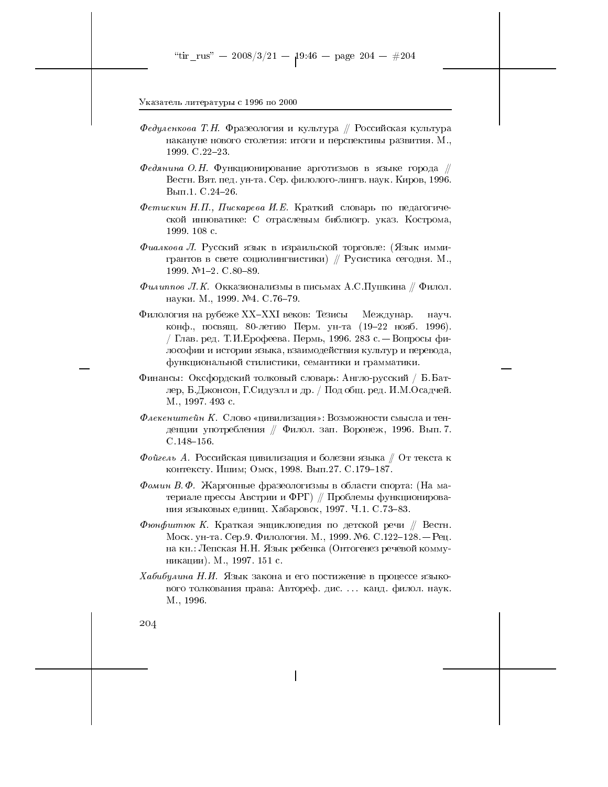- Федуленкова Т.Н. Фразеология и культура // Российская культура накануне нового столетия: итоги и перспективы развития. М., 1999. C.22-23.
- Федянина О.Н. Функционирование арготизмов в языке города  $\#$ Вестн. Вят. пед. ун-та. Сер. филолого-лингв. наук. Киров, 1996. Вып.1. С.24-26.
- Фетискин Н.П., Пискарева И.Е. Краткий словарь по педагогической инноватике: С отраслевым библиогр. указ. Кострома, 1999. 108 с.
- Фиалкова Л. Русский язык в израильской торговле: (Язык иммигрантов в свете социолингвистики)  $\#$  Русистика сегодня. М., 1999. №1-2. С.80-89.
- $\Phi$ илиппов Л.К. Окказионализмы в письмах А.С.Пушкина  $\#$  Филол. науки. М., 1999. №4. С. 76-79.
- Филология на рубеже XX-XXI веков: Тезисы Междунар. **HAVY** конф., посвящ. 80-летию Перм. ун-та (19-22 нояб. 1996). / Глав. ред. Т.И. Ерофеева. Пермь, 1996. 283 с. — Вопросы философии и истории языка, взаимодействия культур и перевода, функциональной стилистики, семантики и грамматики.
- Финансы: Оксфордский толковый словарь: Англо-русский / Б.Батлер, Б.Джонсон, Г.Сидуэлл и др. / Под общ. ред. И.М.Осадчей. М., 1997. 493 с.
- Флекенштейн К. Слово «цивилизация»: Возможности смысла и тенденции употребления // Филол. зап. Воронеж, 1996. Вып. 7.  $C.148 - 156$ .
- Фойгель А. Российская цивилизация и болезни языка  $\#$  От текста к контексту. Ишим; Омск, 1998. Вып. 27. С. 179-187.
- Фомин В. Ф. Жаргонные фразеологизмы в области спорта: (На материале прессы Австрии и ФРГ) // Проблемы функционирования языковых единиц. Хабаровск, 1997. Ч.1. С.73-83.
- Фюнфитюк К. Краткая энциклопедия по детской речи  $\#$  Вестн. Моск. ун-та. Сер.9. Филология. М., 1999. №6. С.122-128. — Рец. на кн.: Лепская Н.Н. Язык ребенка (Онтогенез речевой коммуникации). М., 1997. 151 с.
- Хабибулина Н.И. Язык закона и его постижение в процессе языкового толкования права: Автореф. дис.... канд. филол. наук. M., 1996.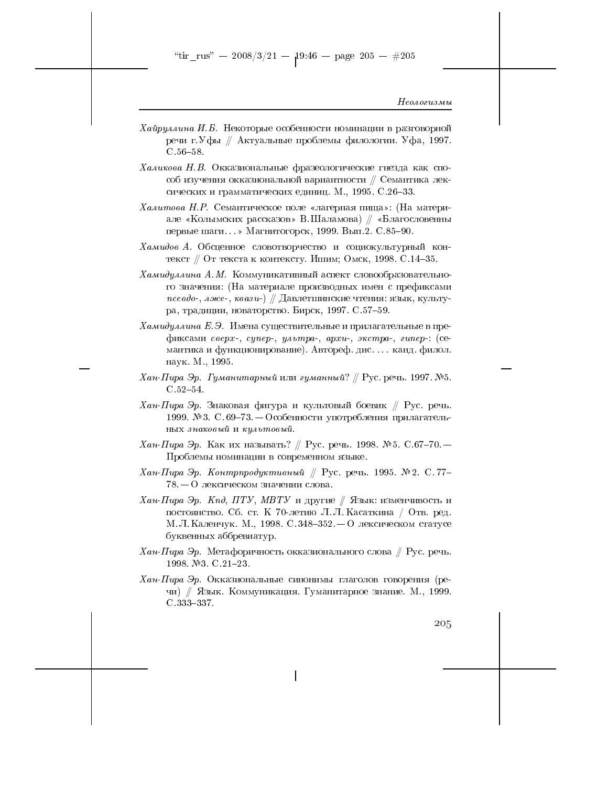"tir\_rus" -- 2008/3/21 --  $19:46$  -- page 205 --  $\#205$ 

### Неологизмы

- Хайруллина И.Б. Некоторые особенности номинации в разговорной речи г. Уфы // Актуальные проблемы филологии. Уфа, 1997.  $C.56 - 58.$
- $Xa\mu\nu\kappa$ ова Н.В. Окказиональные фразеологические гнезда как способ изучения окказиональной вариантности // Семантика лексических и грамматических единиц. М., 1995. С.26-33.
- Халитова Н.Р. Семантическое поле «лагерная пища»: (На материале «Колымских рассказов» В. Шаламова) // «Благословенны первые шаги...» Магнитогорск, 1999. Вып.2. С.85-90.
- Хамидов А. Обсценное словотворчество и социокультурный контекст // От текста к контексту. Ишим; Омск, 1998. С.14-35.
- Хамидуллина А.М. Коммуникативный аспект словообразовательного значения: (На материале производных имен с префиксами  $\mathit{nceedo}$ -, лже-, квази-) // Давлетшинские чтения: язык, культура, традиции, новаторство. Бирск, 1997. С.57-59.
- Хамидуллина Е.Э. Имена существительные и прилагательные в префиксами сверх-, супер-, ультра-, архи-, экстра-, гипер-: (семантика и функционирование). Автореф. дис.... канд. филол. наук. М., 1995.
- Хан-Пира Эр. Гуманитарный или гуманный? // Рус. речь. 1997. №5.  $C.52 - 54.$
- Хан-Пира Эр. Знаковая фигура и культовый боевик // Рус. речь. 1999. №3. С.69-73. — Особенности употребления прилагательных знаковый и культовый.
- *Хан-Пира Эр.* Как их называть? // Рус. речь. 1998. № 5. С.67–70. Проблемы номинации в современном языке.
- Хан-Пира Эр. Контрпродуктивный // Рус. речь. 1995. № 2. С. 77- $78-$ О лексическом значении слова.
- Xан-Пира Эр. Кпд, ПТУ, МВТУ и другие // Язык: изменчивость и постоянство. Сб. ст. К 70-летию Л. Л. Касаткина / Отв. ред. М. Л. Каленчук. М., 1998. С. 348-352. - О лексическом статусе буквенных аббревиатур.
- Хан-Пира Эр. Метафоричность окказионального слова  $\#$  Рус. речь. 1998 №3 C.21-23
- Хан-Пира Эр. Окказиональные синонимы глаголов говорения (речи) // Язык. Коммуникация. Гуманитарное знание. М., 1999.  $C.333 - 337.$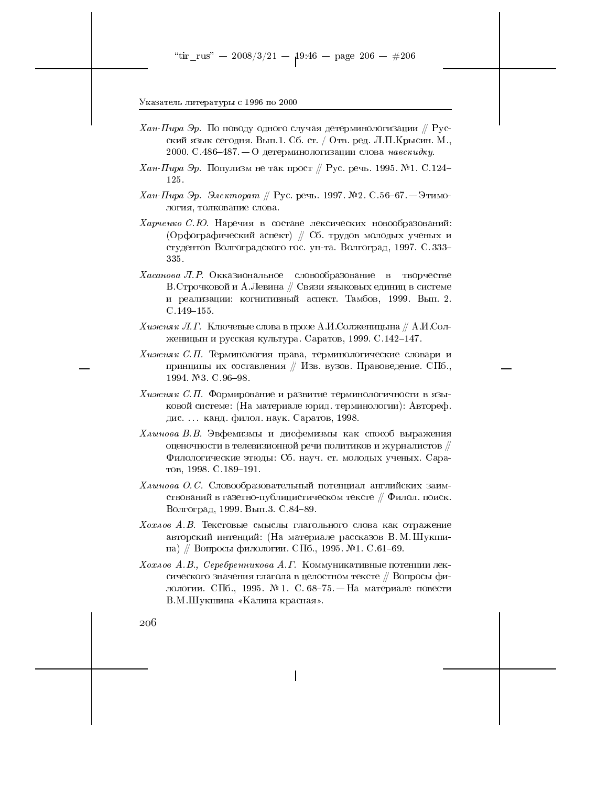- $X$ ан-Пира Эр. По поводу одного случая детерминологизации // Русский язык сегодня. Вып.1. Сб. ст. / Отв. ред. Л.П. Крысин. М., 2000. С.486-487. – О детерминологизации слова навскидку.
- $X$ ан-Пира Эр. Популизм не так прост // Рус. речь. 1995. №1. С.124– 125.
- Хан-Пира Эр. Электорат // Рус. речь. 1997. №2. С.56-67. Этимология, толкование слова.
- Харченко С.Ю. Наречия в составе лексических новообразований: (Орфографический аспект) // Сб. трудов молодых ученых и студентов Волгоградского гос. ун-та. Волгоград, 1997. С.333-335.
- *Хасанова Л.Р.* Окказиональное словообразование в творчестве В. Строчковой и А. Левина // Связи языковых единиц в системе и реализации: когнитивный аспект. Тамбов, 1999. Вып. 2.  $C.149 - 155.$
- $Xu$ жиж Л. Г. Ключевые слова в прозе А.И.Солженицына // А.И.Солженицын и русская культура. Саратов, 1999. С.142-147.
- Хижняк С.П. Терминология права, терминологические словари и принципы их составления // Изв. вузов. Правоведение. СПб., 1994 №3 C 96-98
- Хижняк С.П. Формирование и развитие терминологичности в языковой системе: (На материале юрид. терминологии): Автореф. дис.... канд. филол. наук. Саратов, 1998.
- Хлынова В.В. Эвфемизмы и дисфемизмы как способ выражения оценочности в телевизионной речи политиков и журналистов // Филологические этюды: Сб. науч. ст. молодых ученых. Саратов, 1998. С.189-191.
- $X$ лынова О.С. Словообразовательный потенциал английских заимствований в газетно-публицистическом тексте // Филол. поиск. Волгоград, 1999. Вып.3. С.84-89.
- Хохлов А.В. Текстовые смыслы глагольного слова как отражение авторский интенций: (На материале рассказов В.М.Шукшина) // Вопросы филологии. СПб., 1995. №1. С.61-69.
- Хохлов А.В., Серебренникова А.Г. Коммуникативные потенции лексического значения глагола в целостном тексте // Вопросы филологии. СПб., 1995. № 1. С. 68-75. — На материале повести В.М.Шукшина «Калина красная».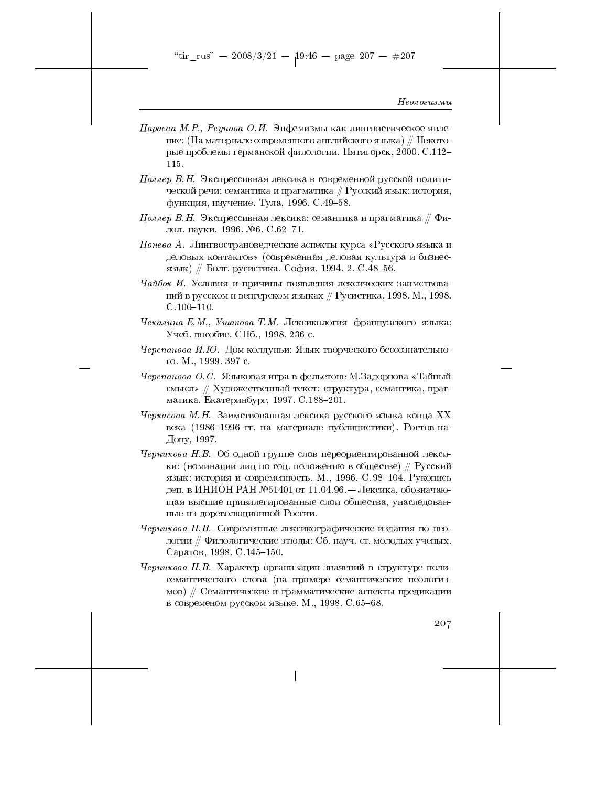"tir\_rus" -- 2008/3/21 --  $19.46$  -- page 207 -- #207

### Неологизмы

- Цараева М.Р., Реунова О.И. Эвфемизмы как лингвистическое явление: (На материале современного английского языка) // Некоторые проблемы германской филологии. Пятигорск, 2000. С.112-115.
- Цоллер В.Н. Экспрессивная лексика в современной русской политической речи: семантика и прагматика // Русский язык: история, функция, изучение. Тула, 1996. С.49-58.
- $I\!\!J$ оллер В.Н. Экспрессивная лексика: семантика и прагматика // Филол. науки. 1996. №6. С.62-71.
- $\mu$ онева А. Лингвострановедческие аспекты курса «Русского языка и деловых контактов» (современная деловая культура и бизнесязык) // Болг. русистика. София, 1994. 2. С.48-56.
- Чайбок И. Условия и причины появления лексических заимствований в русском и венгерском языках // Русистика, 1998. М., 1998.  $C.100 - 110.$
- Чекалина Е.М., Ушакова Т.М. Лексикология французского языка: Учеб. пособие. СПб., 1998. 236 с.
- Черепанова И.Ю. Дом колдуньи: Язык творческого бессознательного. М., 1999. 397 с.
- Черепанова О. С. Языковая игра в фельетоне М.Задорнова «Тайный смысл» // Художественный текст: структура, семантика, прагматика. Екатеринбург, 1997. С.188-201.
- Черкасова М.Н. Заимствованная лексика русского языка конца XX века (1986-1996 гг. на материале публицистики). Ростов-на-Дону, 1997.
- Черникова Н.В. Об одной группе слов переориентированной лексики: (номинации лиц по соц. положению в обществе) // Русский язык: история и современность. М., 1996. С.98-104. Рукопись деп. в ИНИОН РАН №51401 от 11.04.96. — Лексика, обозначающая высшие привилегированные слои общества, унаследованные из дореволюционной России.
- Черникова Н.В. Современные лексикографические издания по неологии // Филологические этюды: Сб. науч. ст. молодых ученых. Саратов, 1998. С.145-150.
- Черникова Н.В. Характер организации значений в структуре полисемантического слова (на примере семантических неологизмов) // Семантические и грамматические аспекты предикации в современом русском языке. М., 1998. С.65-68.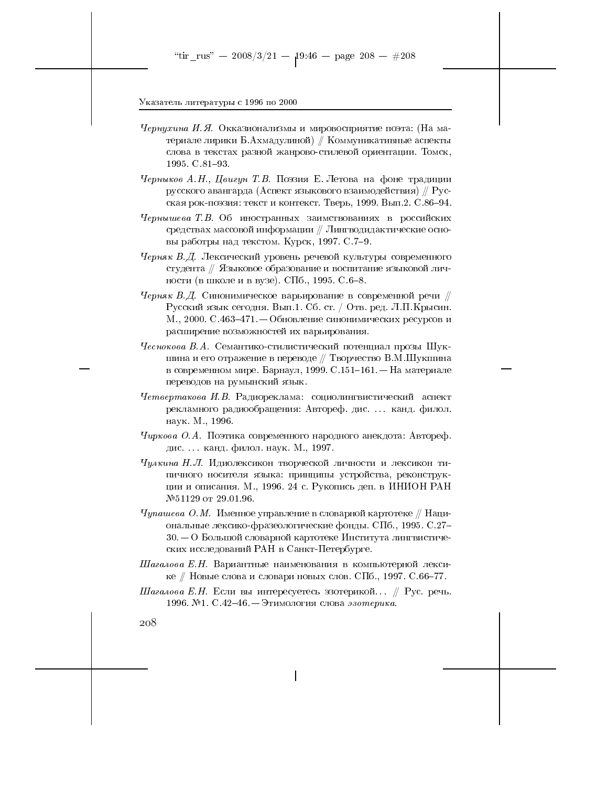- Чернухина И.Я. Окказионализмы и мировосприятие поэта: (На материале лирики Б.Ахмадулиной) // Коммуникативные аспекты слова в текстах разной жанрово-стилевой ориентации. Томск, 1995 C.81-93.
- Черныков А.Н., Цвигун Т.В. Поэзия Е. Летова на фоне традиции русского авангарда (Аспект языкового взаимодействия)  $\#$  Русская рок-поэзия: текст и контекст. Тверь, 1999. Вып.2. С.86-94.
- Чернышева Т.В. Об иностранных заимствованиях в российских средствах массовой информации // Лингводидактические основы работры над текстом. Курск, 1997. С. 7-9.
- Черняк В.Д. Лексический уровень речевой культуры современного студента // Языковое образование и воспитание языковой личности (в школе и в вузе). СПб., 1995. С.6-8.
- Черняк В.Д. Синонимическое варьирование в современной речи  $\#$ Русский язык сегодня. Вып.1. Сб. ст. / Отв. ред. Л.П.Крысин. М., 2000. С.463–471. – Обновление синонимических ресурсов и расширение возможностей их варьирования.
- Чеснокова В.А. Семантико-стилистический потенциал прозы Шукшина и его отражение в переводе // Творчество В.М.Шукшина в современном мире. Барнаул, 1999. С.151-161. - На материале переводов на румынский язык.
- Четвертакова И.В. Радиореклама: социолингвистический аспект рекламного радиообращения: Автореф. дис.... канд. филол. наук. М., 1996.
- Чиркова О.А. Поэтика современного народного анекдота: Автореф. дис... канд. филол. наук. М., 1997.
- Чулкина Н.Л. Идиолексикон творческой личности и лексикон типичного носителя языка: принципы устройства, реконструкции и описания. М., 1996. 24 с. Рукопись деп. в ИНИОН РАН №51129 от 29.01.96.
- $Yynaweba$  О.М. Именное управление в словарной картотеке  $\#$  Национальные лексико-фразеологические фонды. СПб., 1995. С.27- $30.-0$  Большой словарной картотеке Института лингвистических исследований РАН в Санкт-Петербурге.
- Шагалова Е.Н. Вариантные наименования в компьютерной лексике // Новые слова и словари новых слов. СПб., 1997. С.66-77.
- Шагалова Е.Н. Если вы интересуетесь эзотерикой... // Рус. речь. 1996. №1. С.42-46. – Этимология слова эзотерика.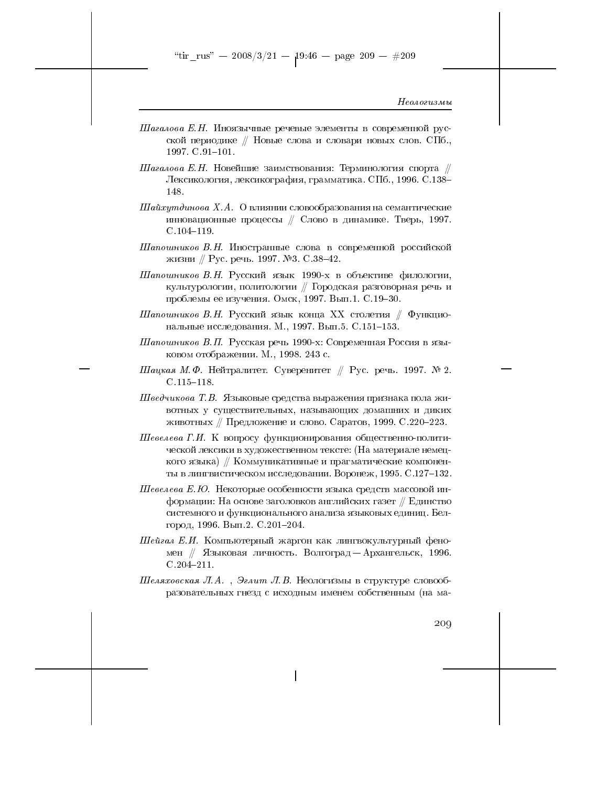"tir\_rus" -- 2008/3/21 --  $19:46$  -- page 209 -- #209

### Неологизмы

- Шагалова Е.Н. Иноязычные речевые элементы в современной русской периодике // Новые слова и словари новых слов. СПб., 1997. C. 91-101.
- $\emph{II}$ агалова Е.Н. Новейшие заимствования: Терминология спорта  $\#$ Лексикология, лексикография, грамматика. СПб., 1996. С.138-148.
- Шайхутдинова Х.А. О влиянии словообразования на семантические инновационные процессы // Слово в динамике. Тверь, 1997.  $C.104 - 119.$
- Шапошников В.Н. Иностранные слова в современной российской жизни // Рус. речь. 1997. №3. С. 38-42.
- Шапошников В.Н. Русский язык 1990-х в объективе филологии, культурологии, политологии // Городская разговорная речь и проблемы ее изучения. Омск, 1997. Вып.1. С.19-30.
- Шапошников В.Н. Русский язык конца XX столетия  $\#$  Функциональные исследования. М., 1997. Вып. 5. С.151-153.
- Шапошников В.П. Русская речь 1990-х: Современная Россия в языковом отображении. М., 1998. 243 с.
- Шацкая М.Ф. Нейтралитет. Суверенитет ∥ Рус. речь. 1997. № 2.  $C.115 - 118.$
- Шведчикова Т.В. Языковые средства выражения признака пола животных у существительных, называющих домашних и диких животных // Предложение и слово. Саратов, 1999. С.220-223.
- Шевелева Г.И. К вопросу функционирования общественно-политической лексики в художественном тексте: (На материале немецкого языка) // Коммуникативные и прагматические компоненты в лингвистическом исследовании. Воронеж, 1995. С.127-132.
- Шевелева Е.Ю. Некоторые особенности языка средств массовой информации: На основе заголовков английских газет // Единство системного и функционального анализа языковых единиц. Белгород, 1996. Вып.2. С.201-204.
- Шейгал Е.И. Компьютерный жаргон как лингвокультурный феномен // Языковая личность. Волгоград - Архангельск, 1996.  $C.204 - 211.$
- Шеляховская Л.А., Эглит Л.В. Неологизмы в структуре словообразовательных гнезд с исходным именем собственным (на ма-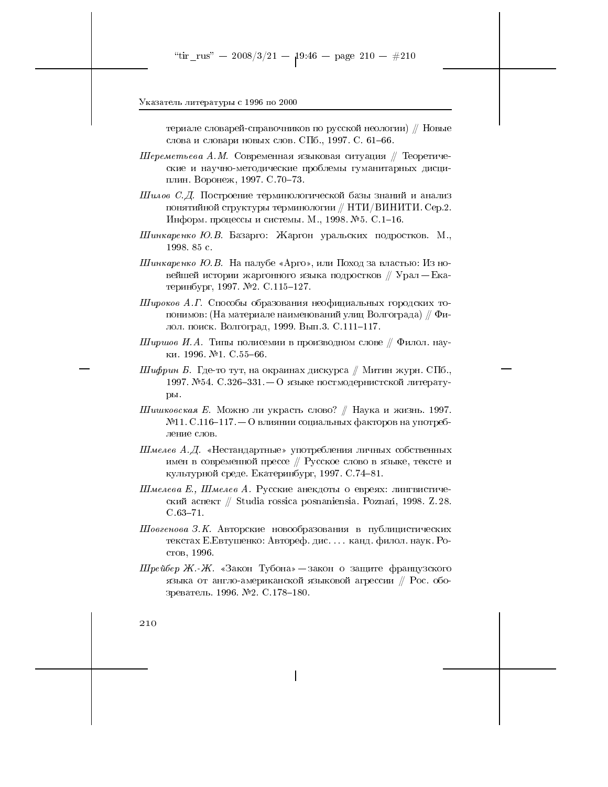териале словарей-справочников по русской неологии) / Новые слова и словари новых слов. СПб., 1997. С. 61-66.

- $\emph{II}$ ереметьева А.М. Современная языковая ситуация // Теоретические и научно-методические проблемы гуманитарных дисциплин. Воронеж, 1997. С. 70-73.
- Шилов С.Д. Построение терминологической базы знаний и анализ понятийной структуры терминологии // НТИ/ВИНИТИ. Сер.2. Информ. процессы и системы. М., 1998. №5. С.1-16.
- Шинкаренко Ю.В. Базарго: Жаргон уральских подростков. М., 1998.85 с.
- Шинкаренко Ю.В. На палубе «Арго», или Поход за властью: Из новейшей истории жаргонного языка подростков // Урал – Екатеринбург, 1997. №2. С.115-127.
- Широков А.Г. Способы образования неофициальных городских топонимов: (На материале наименований улиц Волгограда) // Филол. поиск. Волгоград, 1999. Вып. 3. С. 111-117.
- Ширшов И.А. Типы полисемии в производном слове  $\#$  Филол. науки. 1996. №1. С.55-66.
- Шифрин Б. Где-то тут, на окраинах дискурса // Митин журн. СПб., 1997. №54. С.326-331. – О языке постмодернистской литературы.
- Шишковская Е. Можно ли украсть слово? // Наука и жизнь. 1997.  $N<sub>11</sub>$ . С.116-117. – О влиянии социальных факторов на употребление слов.
- Шмелев А.Д. «Нестандартные» употребления личных собственных имен в современной прессе // Русское слово в языке, тексте и культурной среде. Екатеринбург, 1997. С.74-81.
- Шмелева Е., Шмелев А. Русские анекдоты о евреях: лингвистический аспект // Studia rossica posnaniensia. Poznań, 1998. Z. 28.  $C.63 - 71.$
- Шовгенова З.К. Авторские новообразования в публицистических текстах Е. Евтушенко: Автореф. дис.... канд. филол. наук. Ростов, 1996.
- Шрейбер Ж.-Ж. «Закон Тубона» закон о защите французского языка от англо-американской языковой агрессии // Рос. обозреватель. 1996. №2. С.178-180.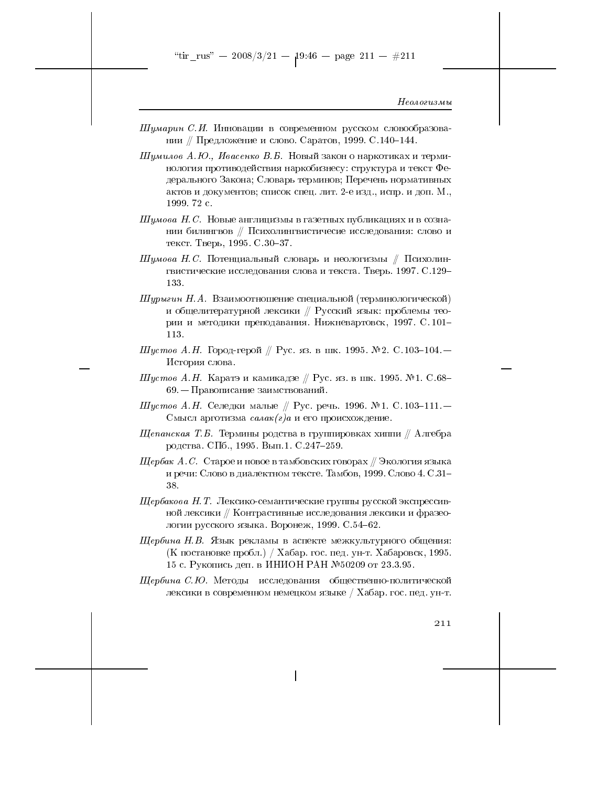"tir\_rus" -- 2008/3/21 --  $19.46$  -- page 211 -- #211

## Неологизмы

Шумарин С.И. Инновации в современном русском словообразовании // Предложение и слово. Саратов, 1999. С.140-144.

*Шумилов А.Ю., Ивасенко В.Б.* Новый закон о наркотиках и терминология противодействия наркобизнесу: структура и текст Федерального Закона; Словарь терминов; Перечень нормативных актов и документов; список спец. лит. 2-е изд., испр. и доп. М., 1999. 72 с.

- $I\!I\!I$ умова  $H$ .  $C$ . Новые англицизмы в газетных публикациях и в сознании билингвов // Психолингвистичесие исследования: слово и текст. Тверь, 1995. С.30-37.
- $I\!I\!I$ умова Н. С. Потенциальный словарь и неологизмы // Психолингвистические исследования слова и текста. Тверь. 1997. С.129-133.
- $I\!I\!I y p$ ыгин Н.А. Взаимоотношение специальной (терминологической) и общелитературной лексики // Русский язык: проблемы теории и методики преподавания. Нижневартовск, 1997. С. 101-113.
- Шустов А.Н. Город-герой // Рус. яз. в шк. 1995. № 2. С. 103-104. История слова.
- $I\!I\!I$ устов А.Н. Каратэ и камикадзе // Рус. яз. в шк. 1995. №1. С.68–  $69.$  — Правописание заимствований.
- Шустов А.Н. Селедки малые // Рус. речь. 1996. №1. С. 103-111. Смысл арготизма  $ca\lambda a\kappa(z)a$  и его происхождение.
- $\mu$ епанская Т.Б. Термины родства в группировках хиппи // Алгебра родства. СПб., 1995. Вып.1. С.247-259.
- Шербак А.С. Старое и новое в тамбовских говорах // Экология языка и речи: Слово в диалектном тексте. Тамбов, 1999. Слово 4. С.31-38.
- Шербакова Н. Т. Лексико-семантические группы русской экспрессивной лексики // Контрастивные исследования лексики и фразеологии русского языка. Воронеж, 1999. С.54-62.
- Шербина Н.В. Язык рекламы в аспекте межкультурного общения: (К постановке пробл.) / Хабар. гос. пед. ун-т. Хабаровск, 1995. 15 с. Рукопись деп. в ИНИОН РАН №50209 от 23.3.95.
- $\emph{II}$ ербина С.Ю. Методы исследования общественно-политической лексики в современном немецком языке / Хабар. гос. пед. ун-т.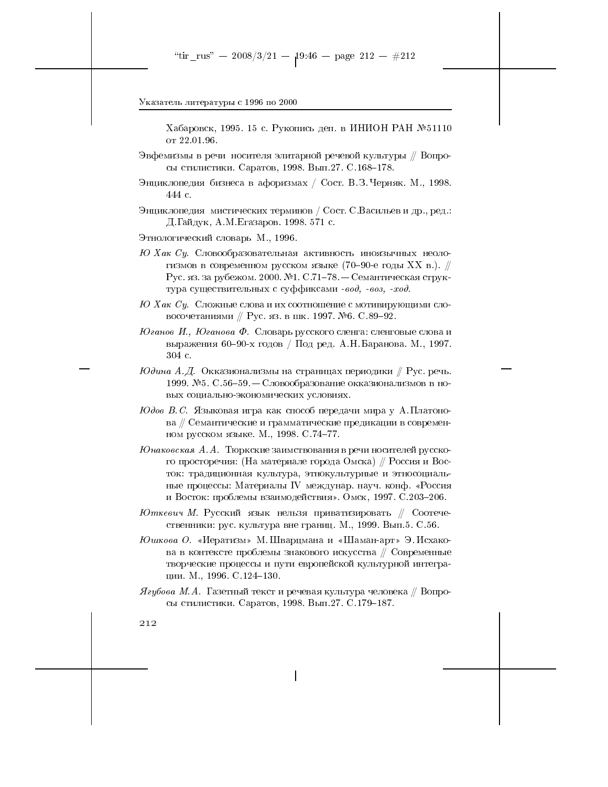Хабаровск, 1995. 15 с. Рукопись деп. в ИНИОН РАН №51110 от 22.01.96.

- Эвфемизмы в речи носителя элитарной речевой культуры // Вопросы стилистики. Саратов, 1998. Вып. 27. С. 168-178.
- Энциклопедия бизнеса в афоризмах / Сост. В.З. Черняк. М., 1998. 444 с.

Энциклопедия мистических терминов / Сост. С.Васильев и др., ред.: Д. Гайдук, А.М. Егазаров. 1998. 571 с.

- Этнологический словарь М., 1996.
- $HOXa\kappa$  Су. Словообразовательная активность иноязычных неологизмов в современном русском языке (70-90-е годы XX в.). // Рус. яз. за рубежом. 2000. №1. С.71-78. — Семантическая структура существительных с суффиксами - вод, - воз, -ход.
- $HO\ Xa\kappa\ Cy$ . Сложные слова и их соотношение с мотивирующими словосочетаниями // Рус. яз. в шк. 1997. №6. С.89-92.
- $\emph{Ioanoe II.},\emph{IOanoea $\Phi$.}$  Словарь русского сленга: сленговые слова и выражения 60-90-х годов / Под ред. А.Н. Баранова. М., 1997. 304 с.
- $I\!\mathcal{O}$ дина А.Д. Окказионализмы на страницах периодики  $\#$  Рус. речь. 1999. №5. С.56-59. – Словообразование окказионализмов в новых социально-экономических условиях.
- $H$ дов В.С. Языковая игра как способ передачи мира у А.Платонова // Семантические и грамматические предикации в современном русском языке. М., 1998. С.74-77.
- Юнаковская А.А. Тюркские заимствования в речи носителей русского просторечия: (На материале города Омска) // Россия и Восток: традиционная культура, этнокультурные и этносоциальные процессы: Материалы IV междунар. науч. конф. «Россия и Восток: проблемы взаимодействия». Омск, 1997. С.203-206.
- $\normalsize \emph{H}$ . Русский язык нельзя приватизировать // Соотечественники: рус. культура вне границ. М., 1999. Вып.5. С.56.
- Юшкова О. «Иератизм» М. Шварцмана и «Шаман-арт» Э. Исхакова в контексте проблемы знакового искусства // Современные творческие процессы и пути европейской культурной интеграции. М., 1996. С.124-130.
- $\mathcal{A}$ губова М.А. Газетный текст и речевая культура человека // Вопросы стилистики. Саратов, 1998. Вып. 27. С. 179-187.